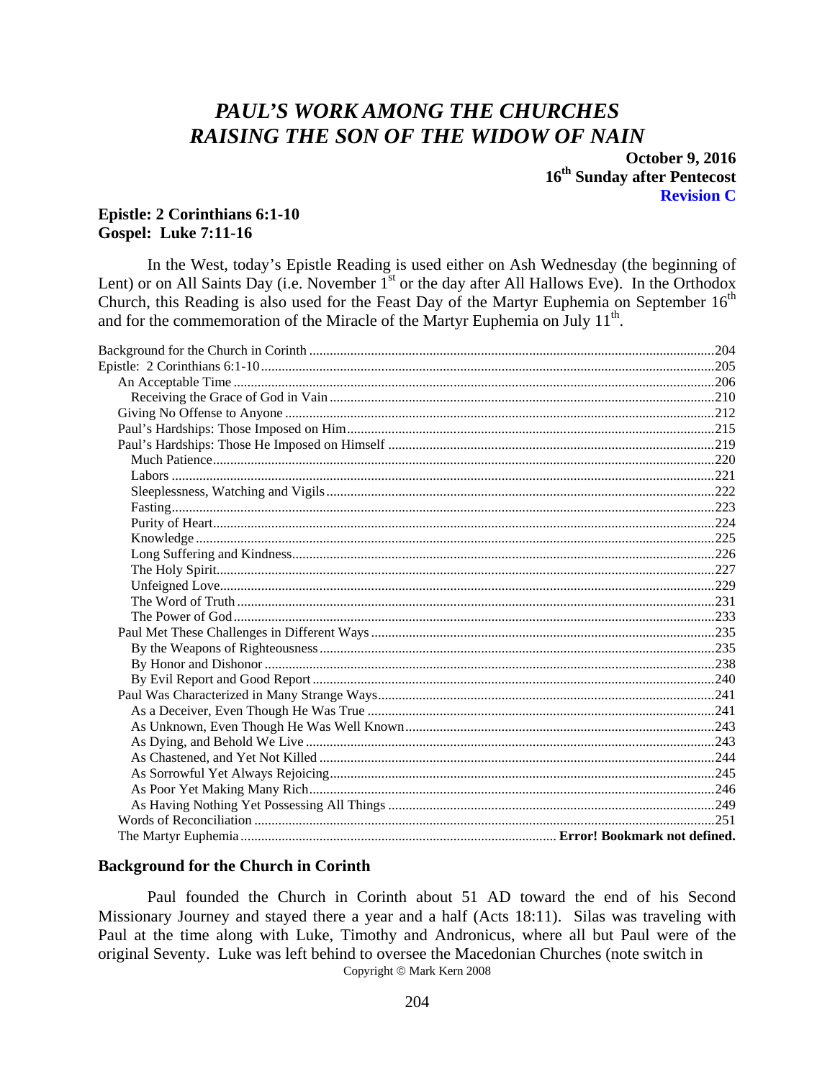# PAUL'S WORK AMONG THE CHURCHES **RAISING THE SON OF THE WIDOW OF NAIN**

**October 9, 2016** 16<sup>th</sup> Sunday after Pentecost **Revision C** 

### **Epistle: 2 Corinthians 6:1-10 Gospel: Luke 7:11-16**

In the West, today's Epistle Reading is used either on Ash Wednesday (the beginning of Lent) or on All Saints Day (i.e. November  $I<sup>st</sup>$  or the day after All Hallows Eve). In the Orthodox Church, this Reading is also used for the Feast Day of the Martyr Euphemia on September  $16<sup>th</sup>$ and for the commemoration of the Miracle of the Martyr Euphemia on July 11<sup>th</sup>.

#### <span id="page-0-0"></span>**Background for the Church in Corinth**

Paul founded the Church in Corinth about 51 AD toward the end of his Second Missionary Journey and stayed there a year and a half (Acts 18:11). Silas was traveling with Paul at the time along with Luke, Timothy and Andronicus, where all but Paul were of the original Seventy. Luke was left behind to oversee the Macedonian Churches (note switch in Copyright © Mark Kern 2008

204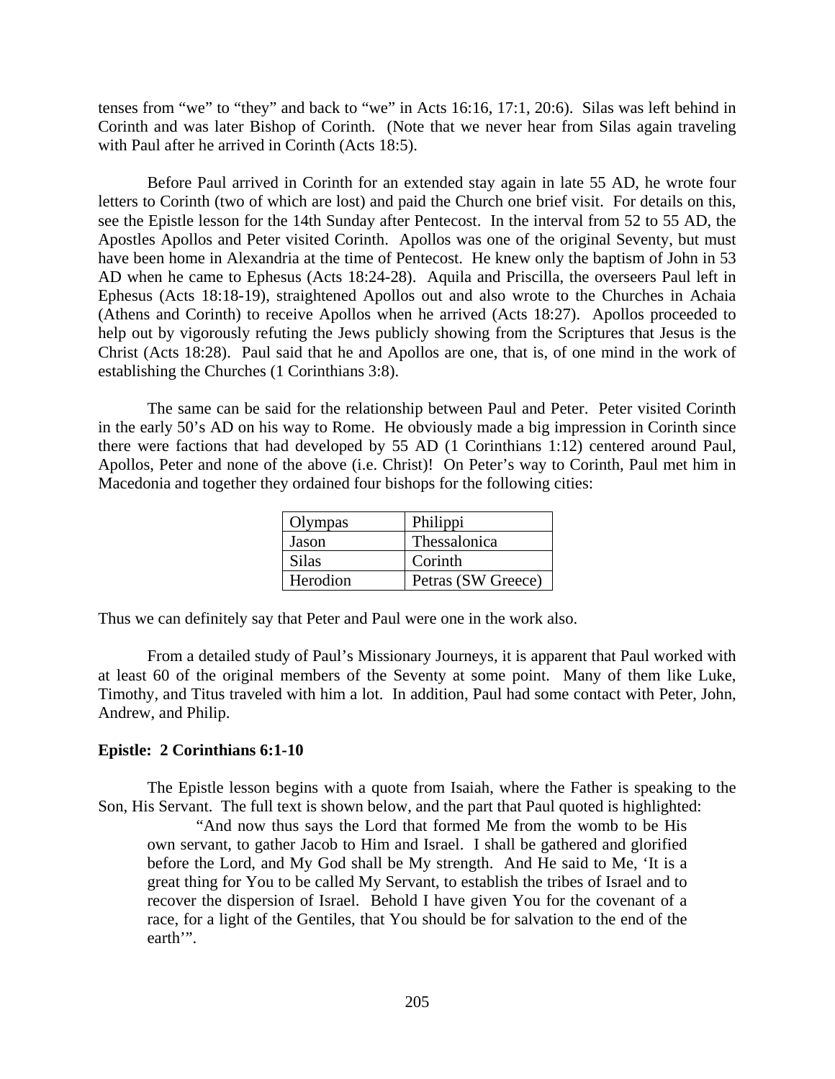tenses from "we" to "they" and back to "we" in Acts 16:16, 17:1, 20:6). Silas was left behind in Corinth and was later Bishop of Corinth. (Note that we never hear from Silas again traveling with Paul after he arrived in Corinth (Acts 18:5).

Before Paul arrived in Corinth for an extended stay again in late 55 AD, he wrote four letters to Corinth (two of which are lost) and paid the Church one brief visit. For details on this, see the Epistle lesson for the 14th Sunday after Pentecost. In the interval from 52 to 55 AD, the Apostles Apollos and Peter visited Corinth. Apollos was one of the original Seventy, but must have been home in Alexandria at the time of Pentecost. He knew only the baptism of John in 53 AD when he came to Ephesus (Acts 18:24-28). Aquila and Priscilla, the overseers Paul left in Ephesus (Acts 18:18-19), straightened Apollos out and also wrote to the Churches in Achaia (Athens and Corinth) to receive Apollos when he arrived (Acts 18:27). Apollos proceeded to help out by vigorously refuting the Jews publicly showing from the Scriptures that Jesus is the Christ (Acts 18:28). Paul said that he and Apollos are one, that is, of one mind in the work of establishing the Churches (1 Corinthians 3:8).

The same can be said for the relationship between Paul and Peter. Peter visited Corinth in the early 50's AD on his way to Rome. He obviously made a big impression in Corinth since there were factions that had developed by 55 AD (1 Corinthians 1:12) centered around Paul, Apollos, Peter and none of the above (i.e. Christ)! On Peter's way to Corinth, Paul met him in Macedonia and together they ordained four bishops for the following cities:

| Olympas  | Philippi           |
|----------|--------------------|
| Jason    | Thessalonica       |
| Silas    | Corinth            |
| Herodion | Petras (SW Greece) |

Thus we can definitely say that Peter and Paul were one in the work also.

From a detailed study of Paul's Missionary Journeys, it is apparent that Paul worked with at least 60 of the original members of the Seventy at some point. Many of them like Luke, Timothy, and Titus traveled with him a lot. In addition, Paul had some contact with Peter, John, Andrew, and Philip.

### <span id="page-1-0"></span>**Epistle: 2 Corinthians 6:1-10**

The Epistle lesson begins with a quote from Isaiah, where the Father is speaking to the Son, His Servant. The full text is shown below, and the part that Paul quoted is highlighted:

"And now thus says the Lord that formed Me from the womb to be His own servant, to gather Jacob to Him and Israel. I shall be gathered and glorified before the Lord, and My God shall be My strength. And He said to Me, 'It is a great thing for You to be called My Servant, to establish the tribes of Israel and to recover the dispersion of Israel. Behold I have given You for the covenant of a race, for a light of the Gentiles, that You should be for salvation to the end of the earth'".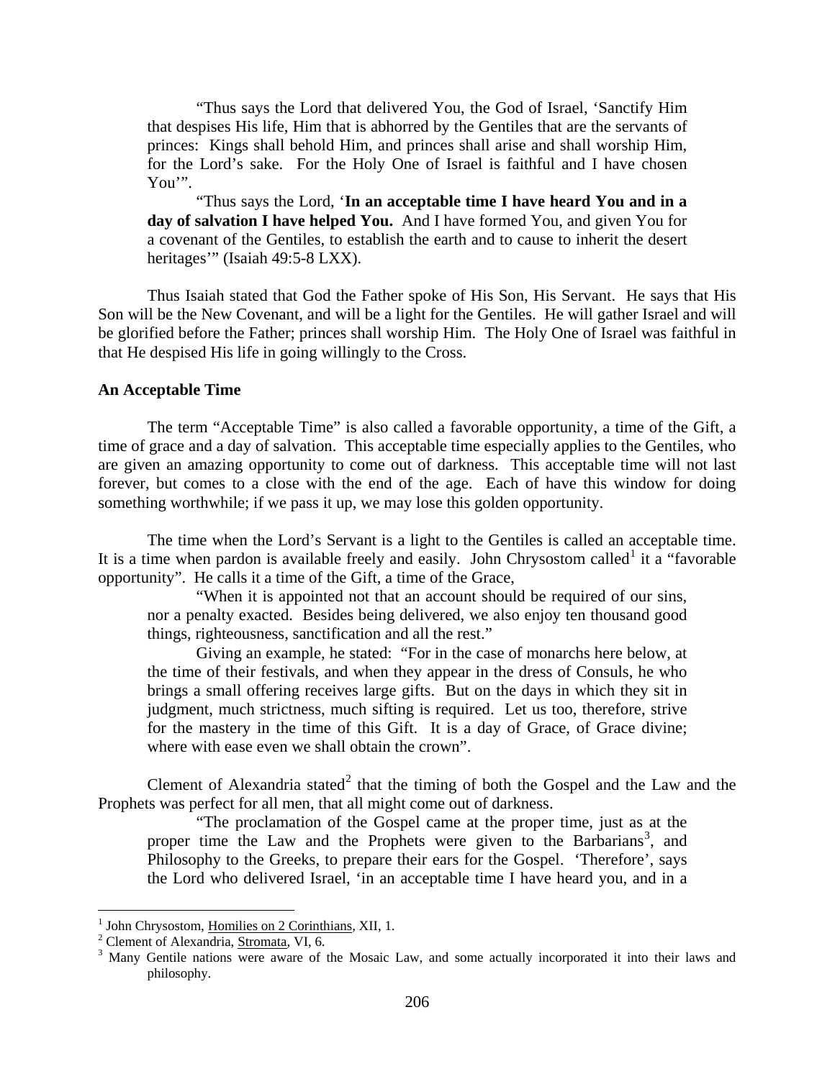"Thus says the Lord that delivered You, the God of Israel, 'Sanctify Him that despises His life, Him that is abhorred by the Gentiles that are the servants of princes: Kings shall behold Him, and princes shall arise and shall worship Him, for the Lord's sake. For the Holy One of Israel is faithful and I have chosen You'".

"Thus says the Lord, '**In an acceptable time I have heard You and in a day of salvation I have helped You.** And I have formed You, and given You for a covenant of the Gentiles, to establish the earth and to cause to inherit the desert heritages" (Isaiah 49:5-8 LXX).

Thus Isaiah stated that God the Father spoke of His Son, His Servant. He says that His Son will be the New Covenant, and will be a light for the Gentiles. He will gather Israel and will be glorified before the Father; princes shall worship Him. The Holy One of Israel was faithful in that He despised His life in going willingly to the Cross.

#### <span id="page-2-0"></span>**An Acceptable Time**

The term "Acceptable Time" is also called a favorable opportunity, a time of the Gift, a time of grace and a day of salvation. This acceptable time especially applies to the Gentiles, who are given an amazing opportunity to come out of darkness. This acceptable time will not last forever, but comes to a close with the end of the age. Each of have this window for doing something worthwhile; if we pass it up, we may lose this golden opportunity.

The time when the Lord's Servant is a light to the Gentiles is called an acceptable time. It is a time when pardon is available freely and easily. John Chrysostom called<sup>[1](#page-2-1)</sup> it a "favorable" opportunity". He calls it a time of the Gift, a time of the Grace,

"When it is appointed not that an account should be required of our sins, nor a penalty exacted. Besides being delivered, we also enjoy ten thousand good things, righteousness, sanctification and all the rest."

Giving an example, he stated: "For in the case of monarchs here below, at the time of their festivals, and when they appear in the dress of Consuls, he who brings a small offering receives large gifts. But on the days in which they sit in judgment, much strictness, much sifting is required. Let us too, therefore, strive for the mastery in the time of this Gift. It is a day of Grace, of Grace divine; where with ease even we shall obtain the crown".

Clement of Alexandria stated<sup>[2](#page-2-2)</sup> that the timing of both the Gospel and the Law and the Prophets was perfect for all men, that all might come out of darkness.

"The proclamation of the Gospel came at the proper time, just as at the proper time the Law and the Prophets were given to the Barbarians<sup>[3](#page-2-3)</sup>, and Philosophy to the Greeks, to prepare their ears for the Gospel. 'Therefore', says the Lord who delivered Israel, 'in an acceptable time I have heard you, and in a

<span id="page-2-3"></span>

<span id="page-2-2"></span><span id="page-2-1"></span><sup>&</sup>lt;sup>1</sup> John Chrysostom, <u>Homilies on 2 Corinthians</u>, XII, 1.<br><sup>2</sup> Clement of Alexandria, <u>Stromata</u>, VI, 6.<br><sup>3</sup> Many Gentile nations were aware of the Mosaic Law, and some actually incorporated it into their laws and philosophy.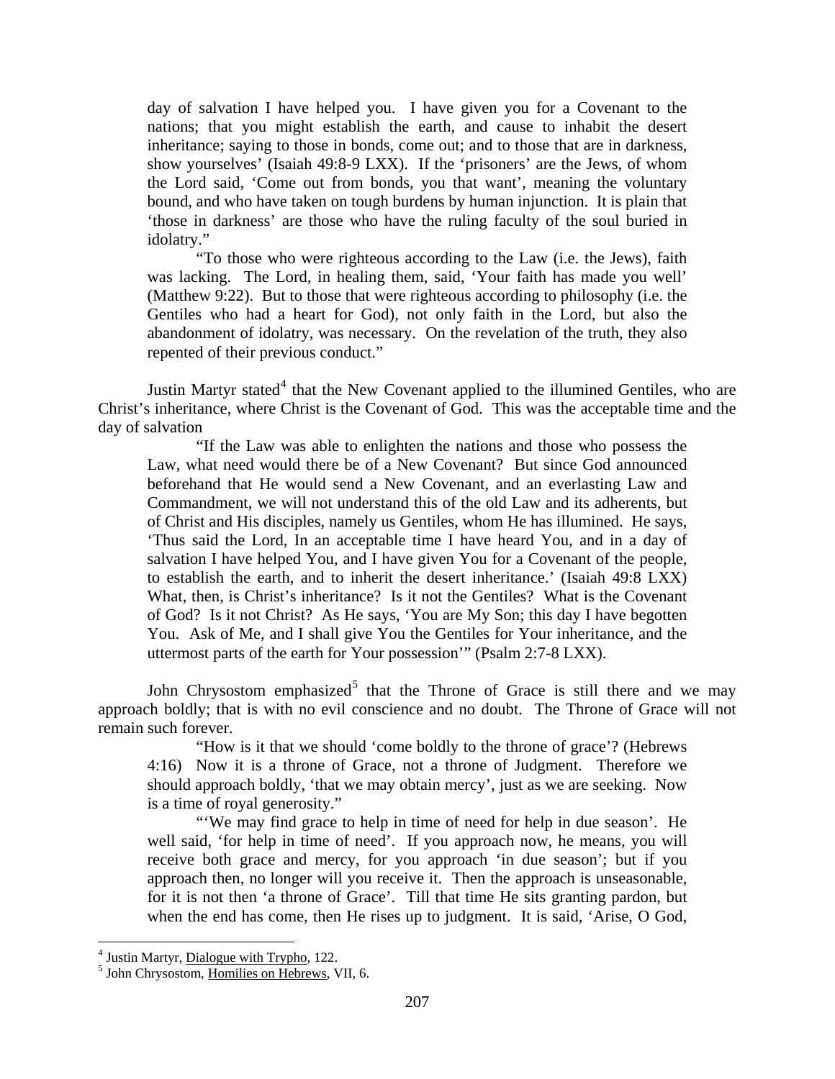day of salvation I have helped you. I have given you for a Covenant to the nations; that you might establish the earth, and cause to inhabit the desert inheritance; saying to those in bonds, come out; and to those that are in darkness, show yourselves' (Isaiah 49:8-9 LXX). If the 'prisoners' are the Jews, of whom the Lord said, 'Come out from bonds, you that want', meaning the voluntary bound, and who have taken on tough burdens by human injunction. It is plain that 'those in darkness' are those who have the ruling faculty of the soul buried in idolatry."

"To those who were righteous according to the Law (i.e. the Jews), faith was lacking. The Lord, in healing them, said, 'Your faith has made you well' (Matthew 9:22). But to those that were righteous according to philosophy (i.e. the Gentiles who had a heart for God), not only faith in the Lord, but also the abandonment of idolatry, was necessary. On the revelation of the truth, they also repented of their previous conduct."

Justin Martyr stated $4$  that the New Covenant applied to the illumined Gentiles, who are Christ's inheritance, where Christ is the Covenant of God. This was the acceptable time and the day of salvation

"If the Law was able to enlighten the nations and those who possess the Law, what need would there be of a New Covenant? But since God announced beforehand that He would send a New Covenant, and an everlasting Law and Commandment, we will not understand this of the old Law and its adherents, but of Christ and His disciples, namely us Gentiles, whom He has illumined. He says, 'Thus said the Lord, In an acceptable time I have heard You, and in a day of salvation I have helped You, and I have given You for a Covenant of the people, to establish the earth, and to inherit the desert inheritance.' (Isaiah 49:8 LXX) What, then, is Christ's inheritance? Is it not the Gentiles? What is the Covenant of God? Is it not Christ? As He says, 'You are My Son; this day I have begotten You. Ask of Me, and I shall give You the Gentiles for Your inheritance, and the uttermost parts of the earth for Your possession'" (Psalm 2:7-8 LXX).

John Chrysostom emphasized<sup>[5](#page-3-1)</sup> that the Throne of Grace is still there and we may approach boldly; that is with no evil conscience and no doubt. The Throne of Grace will not remain such forever.

"How is it that we should 'come boldly to the throne of grace'? (Hebrews 4:16) Now it is a throne of Grace, not a throne of Judgment. Therefore we should approach boldly, 'that we may obtain mercy', just as we are seeking. Now is a time of royal generosity."

"'We may find grace to help in time of need for help in due season'. He well said, 'for help in time of need'. If you approach now, he means, you will receive both grace and mercy, for you approach 'in due season'; but if you approach then, no longer will you receive it. Then the approach is unseasonable, for it is not then 'a throne of Grace'. Till that time He sits granting pardon, but when the end has come, then He rises up to judgment. It is said, 'Arise, O God,

<span id="page-3-1"></span><span id="page-3-0"></span> $<sup>4</sup>$  Justin Martyr, *Dialogue with Trypho*, 122.<br> $<sup>5</sup>$  John Chrysostom, Homilies on Hebrews, VII, 6.</sup></sup>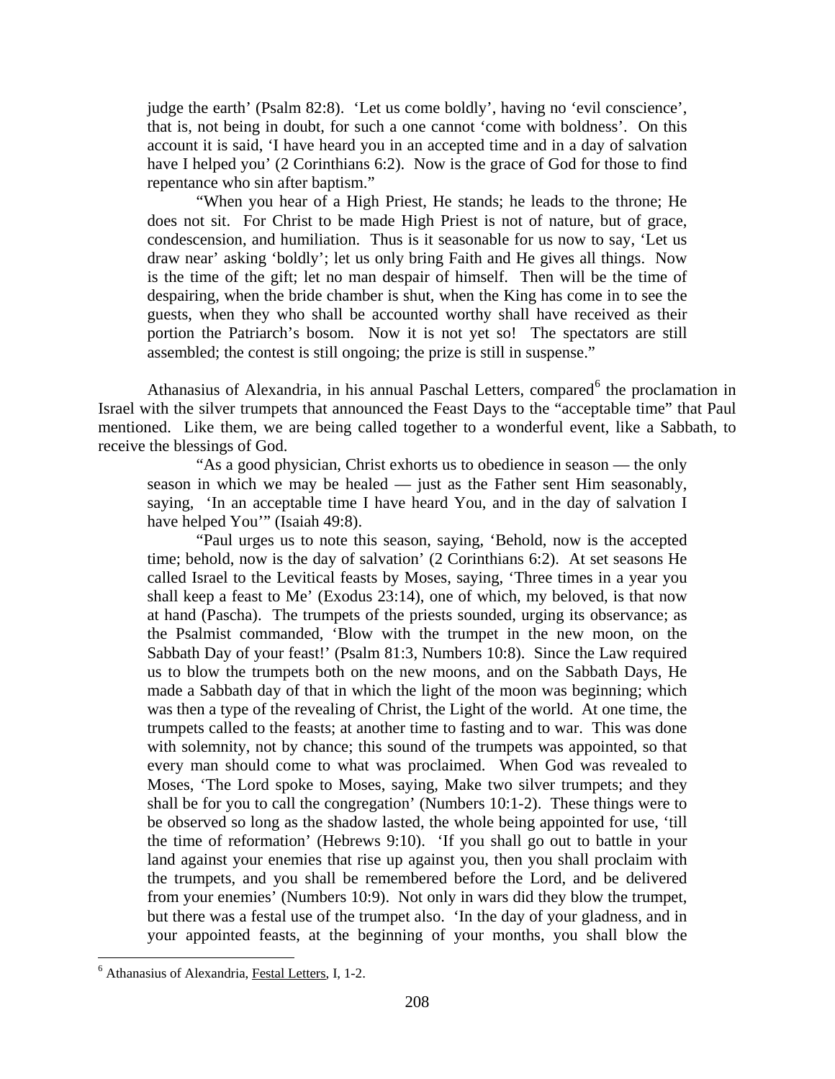judge the earth' (Psalm 82:8). 'Let us come boldly', having no 'evil conscience', that is, not being in doubt, for such a one cannot 'come with boldness'. On this account it is said, 'I have heard you in an accepted time and in a day of salvation have I helped you' (2 Corinthians 6:2). Now is the grace of God for those to find repentance who sin after baptism."

"When you hear of a High Priest, He stands; he leads to the throne; He does not sit. For Christ to be made High Priest is not of nature, but of grace, condescension, and humiliation. Thus is it seasonable for us now to say, 'Let us draw near' asking 'boldly'; let us only bring Faith and He gives all things. Now is the time of the gift; let no man despair of himself. Then will be the time of despairing, when the bride chamber is shut, when the King has come in to see the guests, when they who shall be accounted worthy shall have received as their portion the Patriarch's bosom. Now it is not yet so! The spectators are still assembled; the contest is still ongoing; the prize is still in suspense."

Athanasius of Alexandria, in his annual Paschal Letters, compared<sup>[6](#page-4-0)</sup> the proclamation in Israel with the silver trumpets that announced the Feast Days to the "acceptable time" that Paul mentioned. Like them, we are being called together to a wonderful event, like a Sabbath, to receive the blessings of God.

"As a good physician, Christ exhorts us to obedience in season — the only season in which we may be healed — just as the Father sent Him seasonably, saying, 'In an acceptable time I have heard You, and in the day of salvation I have helped You'" (Isaiah 49:8).

"Paul urges us to note this season, saying, 'Behold, now is the accepted time; behold, now is the day of salvation' (2 Corinthians 6:2). At set seasons He called Israel to the Levitical feasts by Moses, saying, 'Three times in a year you shall keep a feast to Me' (Exodus 23:14), one of which, my beloved, is that now at hand (Pascha). The trumpets of the priests sounded, urging its observance; as the Psalmist commanded, 'Blow with the trumpet in the new moon, on the Sabbath Day of your feast!' (Psalm 81:3, Numbers 10:8). Since the Law required us to blow the trumpets both on the new moons, and on the Sabbath Days, He made a Sabbath day of that in which the light of the moon was beginning; which was then a type of the revealing of Christ, the Light of the world. At one time, the trumpets called to the feasts; at another time to fasting and to war. This was done with solemnity, not by chance; this sound of the trumpets was appointed, so that every man should come to what was proclaimed. When God was revealed to Moses, 'The Lord spoke to Moses, saying, Make two silver trumpets; and they shall be for you to call the congregation' (Numbers 10:1-2). These things were to be observed so long as the shadow lasted, the whole being appointed for use, 'till the time of reformation' (Hebrews 9:10). 'If you shall go out to battle in your land against your enemies that rise up against you, then you shall proclaim with the trumpets, and you shall be remembered before the Lord, and be delivered from your enemies' (Numbers 10:9). Not only in wars did they blow the trumpet, but there was a festal use of the trumpet also. 'In the day of your gladness, and in your appointed feasts, at the beginning of your months, you shall blow the

<span id="page-4-0"></span> <sup>6</sup> Athanasius of Alexandria, Festal Letters, I, 1-2.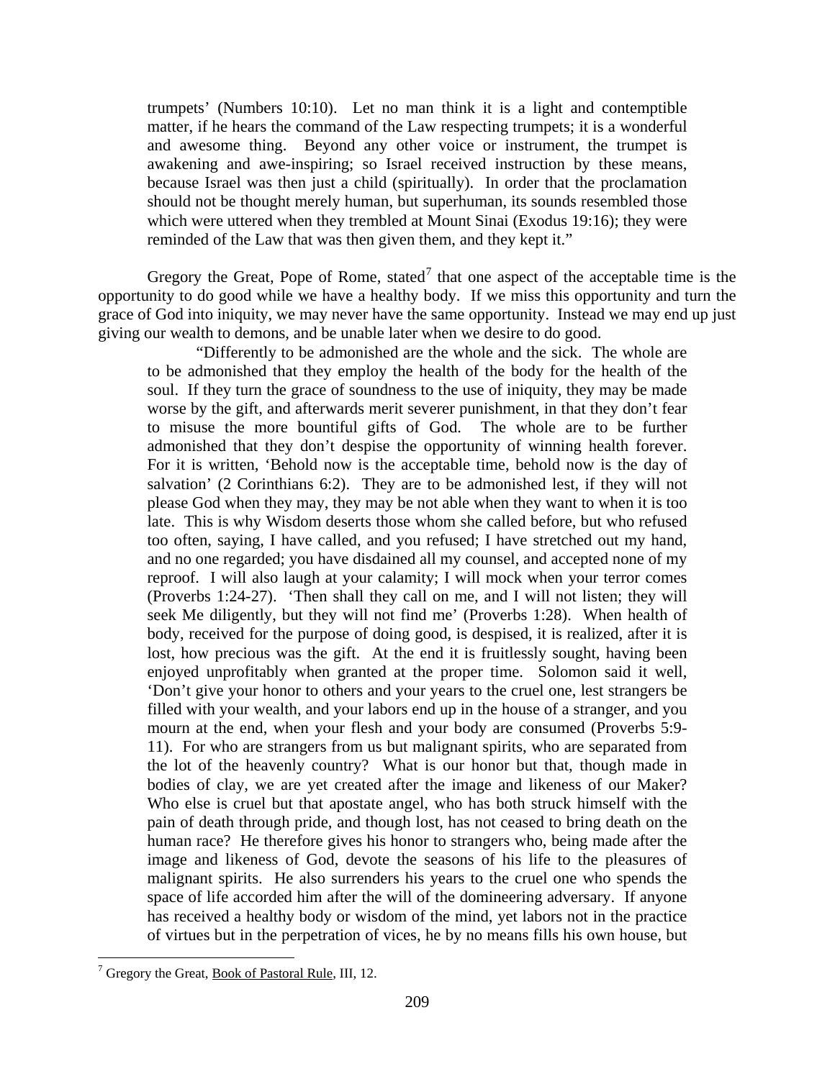trumpets' (Numbers 10:10). Let no man think it is a light and contemptible matter, if he hears the command of the Law respecting trumpets; it is a wonderful and awesome thing. Beyond any other voice or instrument, the trumpet is awakening and awe-inspiring; so Israel received instruction by these means, because Israel was then just a child (spiritually). In order that the proclamation should not be thought merely human, but superhuman, its sounds resembled those which were uttered when they trembled at Mount Sinai (Exodus 19:16); they were reminded of the Law that was then given them, and they kept it."

Gregory the Great, Pope of Rome, stated<sup>[7](#page-5-0)</sup> that one aspect of the acceptable time is the opportunity to do good while we have a healthy body. If we miss this opportunity and turn the grace of God into iniquity, we may never have the same opportunity. Instead we may end up just giving our wealth to demons, and be unable later when we desire to do good.

"Differently to be admonished are the whole and the sick. The whole are to be admonished that they employ the health of the body for the health of the soul. If they turn the grace of soundness to the use of iniquity, they may be made worse by the gift, and afterwards merit severer punishment, in that they don't fear to misuse the more bountiful gifts of God. The whole are to be further admonished that they don't despise the opportunity of winning health forever. For it is written, 'Behold now is the acceptable time, behold now is the day of salvation' (2 Corinthians 6:2). They are to be admonished lest, if they will not please God when they may, they may be not able when they want to when it is too late. This is why Wisdom deserts those whom she called before, but who refused too often, saying, I have called, and you refused; I have stretched out my hand, and no one regarded; you have disdained all my counsel, and accepted none of my reproof. I will also laugh at your calamity; I will mock when your terror comes (Proverbs 1:24-27). 'Then shall they call on me, and I will not listen; they will seek Me diligently, but they will not find me' (Proverbs 1:28). When health of body, received for the purpose of doing good, is despised, it is realized, after it is lost, how precious was the gift. At the end it is fruitlessly sought, having been enjoyed unprofitably when granted at the proper time. Solomon said it well, 'Don't give your honor to others and your years to the cruel one, lest strangers be filled with your wealth, and your labors end up in the house of a stranger, and you mourn at the end, when your flesh and your body are consumed (Proverbs 5:9- 11). For who are strangers from us but malignant spirits, who are separated from the lot of the heavenly country? What is our honor but that, though made in bodies of clay, we are yet created after the image and likeness of our Maker? Who else is cruel but that apostate angel, who has both struck himself with the pain of death through pride, and though lost, has not ceased to bring death on the human race? He therefore gives his honor to strangers who, being made after the image and likeness of God, devote the seasons of his life to the pleasures of malignant spirits. He also surrenders his years to the cruel one who spends the space of life accorded him after the will of the domineering adversary. If anyone has received a healthy body or wisdom of the mind, yet labors not in the practice of virtues but in the perpetration of vices, he by no means fills his own house, but

<span id="page-5-0"></span> $7$  Gregory the Great, <u>Book of Pastoral Rule</u>, III, 12.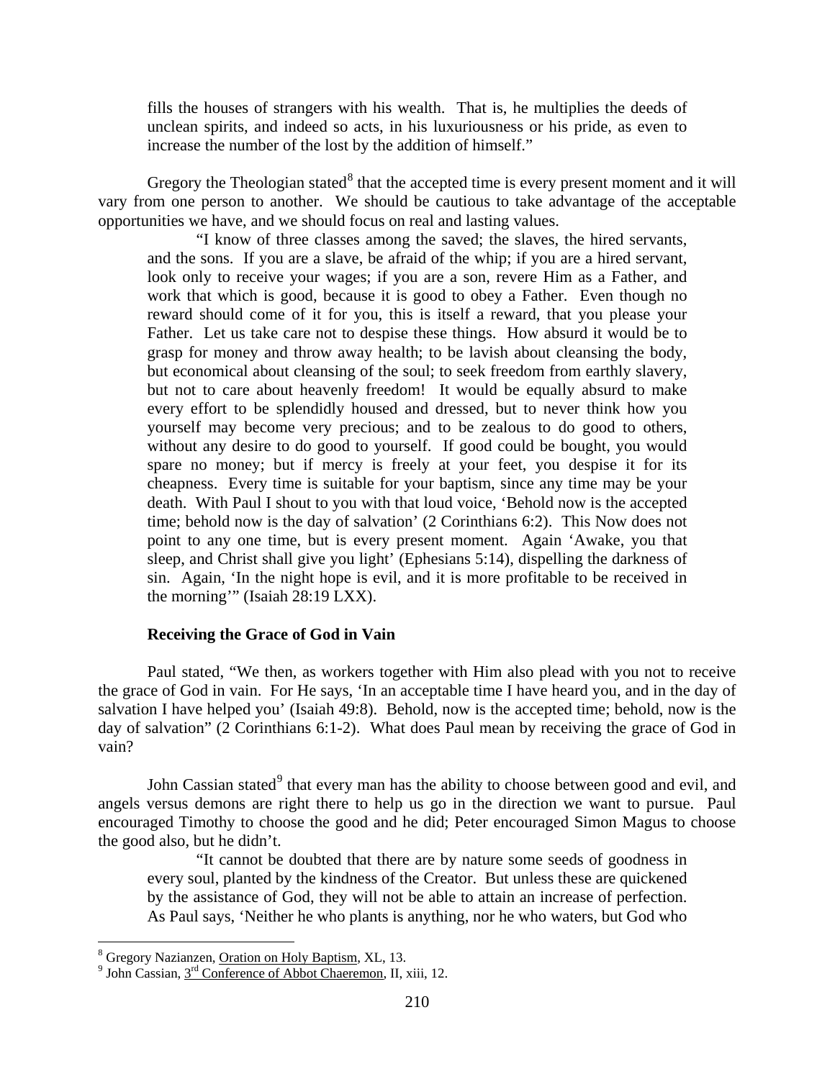fills the houses of strangers with his wealth. That is, he multiplies the deeds of unclean spirits, and indeed so acts, in his luxuriousness or his pride, as even to increase the number of the lost by the addition of himself."

Gregory the Theologian stated<sup>[8](#page-6-1)</sup> that the accepted time is every present moment and it will vary from one person to another. We should be cautious to take advantage of the acceptable opportunities we have, and we should focus on real and lasting values.

"I know of three classes among the saved; the slaves, the hired servants, and the sons. If you are a slave, be afraid of the whip; if you are a hired servant, look only to receive your wages; if you are a son, revere Him as a Father, and work that which is good, because it is good to obey a Father. Even though no reward should come of it for you, this is itself a reward, that you please your Father. Let us take care not to despise these things. How absurd it would be to grasp for money and throw away health; to be lavish about cleansing the body, but economical about cleansing of the soul; to seek freedom from earthly slavery, but not to care about heavenly freedom! It would be equally absurd to make every effort to be splendidly housed and dressed, but to never think how you yourself may become very precious; and to be zealous to do good to others, without any desire to do good to yourself. If good could be bought, you would spare no money; but if mercy is freely at your feet, you despise it for its cheapness. Every time is suitable for your baptism, since any time may be your death. With Paul I shout to you with that loud voice, 'Behold now is the accepted time; behold now is the day of salvation' (2 Corinthians 6:2). This Now does not point to any one time, but is every present moment. Again 'Awake, you that sleep, and Christ shall give you light' (Ephesians 5:14), dispelling the darkness of sin. Again, 'In the night hope is evil, and it is more profitable to be received in the morning'" (Isaiah 28:19 LXX).

# **Receiving the Grace of God in Vain**

<span id="page-6-0"></span>Paul stated, "We then, as workers together with Him also plead with you not to receive the grace of God in vain. For He says, 'In an acceptable time I have heard you, and in the day of salvation I have helped you' (Isaiah 49:8). Behold, now is the accepted time; behold, now is the day of salvation" (2 Corinthians 6:1-2). What does Paul mean by receiving the grace of God in vain?

John Cassian stated $^9$  $^9$  that every man has the ability to choose between good and evil, and angels versus demons are right there to help us go in the direction we want to pursue. Paul encouraged Timothy to choose the good and he did; Peter encouraged Simon Magus to choose the good also, but he didn't.

"It cannot be doubted that there are by nature some seeds of goodness in every soul, planted by the kindness of the Creator. But unless these are quickened by the assistance of God, they will not be able to attain an increase of perfection. As Paul says, 'Neither he who plants is anything, nor he who waters, but God who

<span id="page-6-2"></span>

<span id="page-6-1"></span><sup>&</sup>lt;sup>8</sup> Gregory Nazianzen, <u>Oration on Holy Baptism</u>, XL, 13.<br><sup>9</sup> John Cassian, 3<sup>rd</sup> Conference of Abbot Chaeremon, II, xiii, 12.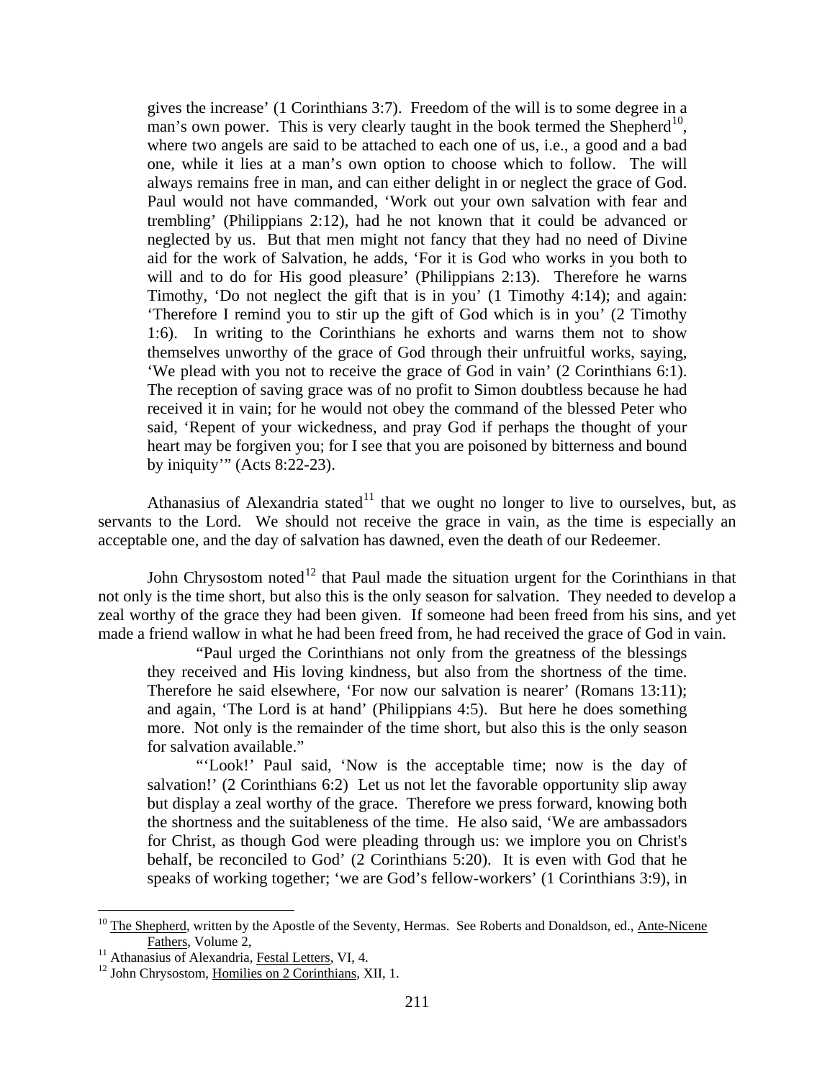gives the increase' (1 Corinthians 3:7). Freedom of the will is to some degree in a man's own power. This is very clearly taught in the book termed the Shepherd<sup>[10](#page-7-0)</sup>, where two angels are said to be attached to each one of us, i.e., a good and a bad one, while it lies at a man's own option to choose which to follow. The will always remains free in man, and can either delight in or neglect the grace of God. Paul would not have commanded, 'Work out your own salvation with fear and trembling' (Philippians 2:12), had he not known that it could be advanced or neglected by us. But that men might not fancy that they had no need of Divine aid for the work of Salvation, he adds, 'For it is God who works in you both to will and to do for His good pleasure' (Philippians 2:13). Therefore he warns Timothy, 'Do not neglect the gift that is in you' (1 Timothy 4:14); and again: 'Therefore I remind you to stir up the gift of God which is in you' (2 Timothy 1:6). In writing to the Corinthians he exhorts and warns them not to show themselves unworthy of the grace of God through their unfruitful works, saying, 'We plead with you not to receive the grace of God in vain' (2 Corinthians 6:1). The reception of saving grace was of no profit to Simon doubtless because he had received it in vain; for he would not obey the command of the blessed Peter who said, 'Repent of your wickedness, and pray God if perhaps the thought of your heart may be forgiven you; for I see that you are poisoned by bitterness and bound by iniquity'" (Acts 8:22-23).

Athanasius of Alexandria stated<sup>[11](#page-7-1)</sup> that we ought no longer to live to ourselves, but, as servants to the Lord. We should not receive the grace in vain, as the time is especially an acceptable one, and the day of salvation has dawned, even the death of our Redeemer.

John Chrysostom noted<sup>[12](#page-7-2)</sup> that Paul made the situation urgent for the Corinthians in that not only is the time short, but also this is the only season for salvation. They needed to develop a zeal worthy of the grace they had been given. If someone had been freed from his sins, and yet made a friend wallow in what he had been freed from, he had received the grace of God in vain.

"Paul urged the Corinthians not only from the greatness of the blessings they received and His loving kindness, but also from the shortness of the time. Therefore he said elsewhere, 'For now our salvation is nearer' (Romans 13:11); and again, 'The Lord is at hand' (Philippians 4:5). But here he does something more. Not only is the remainder of the time short, but also this is the only season for salvation available."

"'Look!' Paul said, 'Now is the acceptable time; now is the day of salvation!' (2 Corinthians 6:2) Let us not let the favorable opportunity slip away but display a zeal worthy of the grace. Therefore we press forward, knowing both the shortness and the suitableness of the time. He also said, 'We are ambassadors for Christ, as though God were pleading through us: we implore you on Christ's behalf, be reconciled to God' (2 Corinthians 5:20). It is even with God that he speaks of working together; 'we are God's fellow-workers' (1 Corinthians 3:9), in

<span id="page-7-0"></span> $10$  The Shepherd, written by the Apostle of the Seventy, Hermas. See Roberts and Donaldson, ed., Ante-Nicene Fathers, Volume 2,<br><sup>11</sup> Athanasius of Alexandria, <u>Festal Letters</u>, VI, 4.<br><sup>12</sup> John Chrysostom, Homilies on 2 Corinthians, XII, 1.

<span id="page-7-1"></span>

<span id="page-7-2"></span>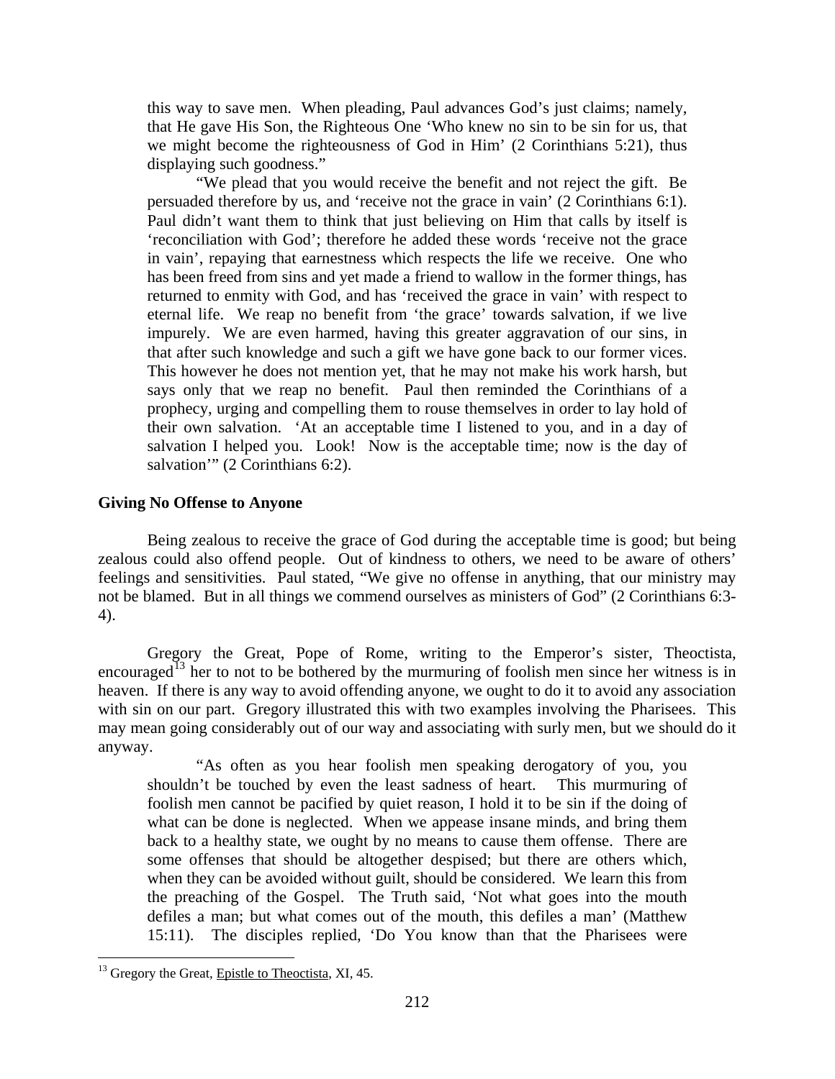this way to save men. When pleading, Paul advances God's just claims; namely, that He gave His Son, the Righteous One 'Who knew no sin to be sin for us, that we might become the righteousness of God in Him' (2 Corinthians 5:21), thus displaying such goodness."

"We plead that you would receive the benefit and not reject the gift. Be persuaded therefore by us, and 'receive not the grace in vain' (2 Corinthians 6:1). Paul didn't want them to think that just believing on Him that calls by itself is 'reconciliation with God'; therefore he added these words 'receive not the grace in vain', repaying that earnestness which respects the life we receive. One who has been freed from sins and yet made a friend to wallow in the former things, has returned to enmity with God, and has 'received the grace in vain' with respect to eternal life. We reap no benefit from 'the grace' towards salvation, if we live impurely. We are even harmed, having this greater aggravation of our sins, in that after such knowledge and such a gift we have gone back to our former vices. This however he does not mention yet, that he may not make his work harsh, but says only that we reap no benefit. Paul then reminded the Corinthians of a prophecy, urging and compelling them to rouse themselves in order to lay hold of their own salvation. 'At an acceptable time I listened to you, and in a day of salvation I helped you. Look! Now is the acceptable time; now is the day of salvation" (2 Corinthians 6:2).

### <span id="page-8-0"></span>**Giving No Offense to Anyone**

Being zealous to receive the grace of God during the acceptable time is good; but being zealous could also offend people. Out of kindness to others, we need to be aware of others' feelings and sensitivities. Paul stated, "We give no offense in anything, that our ministry may not be blamed. But in all things we commend ourselves as ministers of God" (2 Corinthians 6:3- 4).

Gregory the Great, Pope of Rome, writing to the Emperor's sister, Theoctista, encouraged<sup>[13](#page-8-1)</sup> her to not to be bothered by the murmuring of foolish men since her witness is in heaven. If there is any way to avoid offending anyone, we ought to do it to avoid any association with sin on our part. Gregory illustrated this with two examples involving the Pharisees. This may mean going considerably out of our way and associating with surly men, but we should do it anyway.

"As often as you hear foolish men speaking derogatory of you, you shouldn't be touched by even the least sadness of heart. This murmuring of foolish men cannot be pacified by quiet reason, I hold it to be sin if the doing of what can be done is neglected. When we appease insane minds, and bring them back to a healthy state, we ought by no means to cause them offense. There are some offenses that should be altogether despised; but there are others which, when they can be avoided without guilt, should be considered. We learn this from the preaching of the Gospel. The Truth said, 'Not what goes into the mouth defiles a man; but what comes out of the mouth, this defiles a man' (Matthew 15:11). The disciples replied, 'Do You know than that the Pharisees were

<span id="page-8-1"></span><sup>&</sup>lt;sup>13</sup> Gregory the Great, Epistle to Theoctista, XI, 45.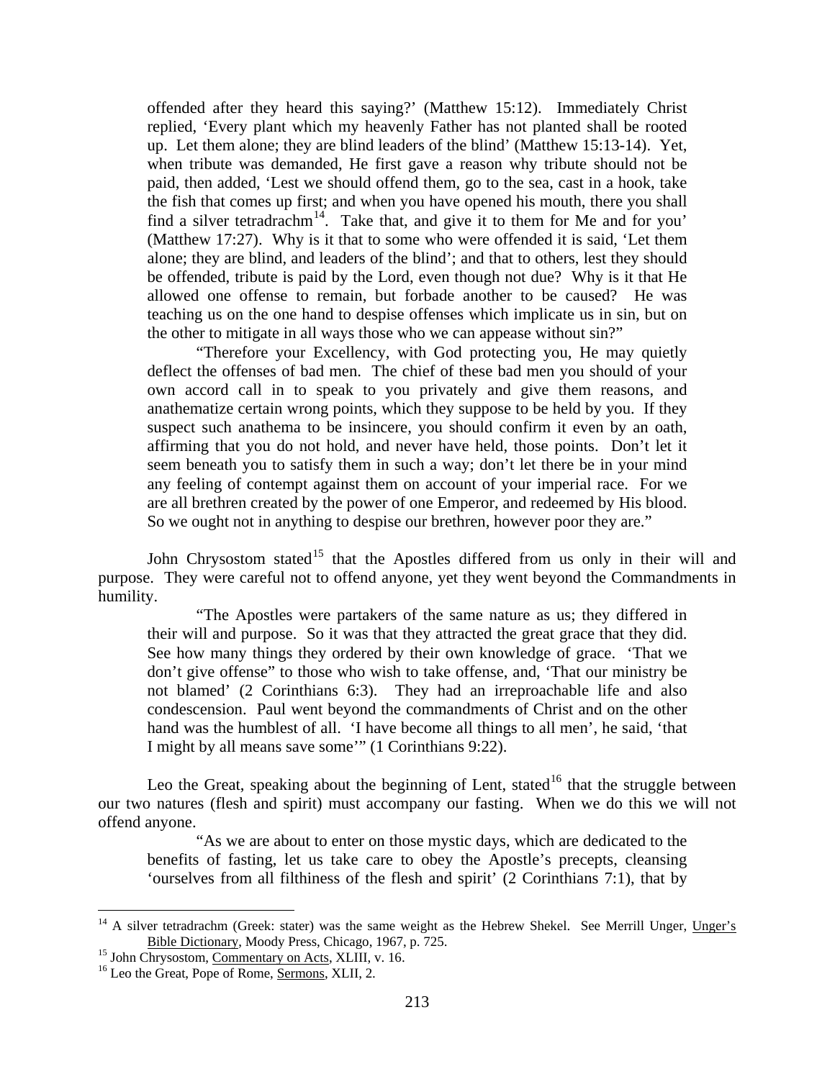offended after they heard this saying?' (Matthew 15:12). Immediately Christ replied, 'Every plant which my heavenly Father has not planted shall be rooted up. Let them alone; they are blind leaders of the blind' (Matthew 15:13-14). Yet, when tribute was demanded, He first gave a reason why tribute should not be paid, then added, 'Lest we should offend them, go to the sea, cast in a hook, take the fish that comes up first; and when you have opened his mouth, there you shall find a silver tetradrachm<sup>[14](#page-9-0)</sup>. Take that, and give it to them for Me and for you' (Matthew 17:27). Why is it that to some who were offended it is said, 'Let them alone; they are blind, and leaders of the blind'; and that to others, lest they should be offended, tribute is paid by the Lord, even though not due? Why is it that He allowed one offense to remain, but forbade another to be caused? He was teaching us on the one hand to despise offenses which implicate us in sin, but on the other to mitigate in all ways those who we can appease without sin?"

"Therefore your Excellency, with God protecting you, He may quietly deflect the offenses of bad men. The chief of these bad men you should of your own accord call in to speak to you privately and give them reasons, and anathematize certain wrong points, which they suppose to be held by you. If they suspect such anathema to be insincere, you should confirm it even by an oath, affirming that you do not hold, and never have held, those points. Don't let it seem beneath you to satisfy them in such a way; don't let there be in your mind any feeling of contempt against them on account of your imperial race. For we are all brethren created by the power of one Emperor, and redeemed by His blood. So we ought not in anything to despise our brethren, however poor they are."

John Chrysostom stated<sup>[15](#page-9-1)</sup> that the Apostles differed from us only in their will and purpose. They were careful not to offend anyone, yet they went beyond the Commandments in humility.

"The Apostles were partakers of the same nature as us; they differed in their will and purpose. So it was that they attracted the great grace that they did. See how many things they ordered by their own knowledge of grace. 'That we don't give offense" to those who wish to take offense, and, 'That our ministry be not blamed' (2 Corinthians 6:3). They had an irreproachable life and also condescension. Paul went beyond the commandments of Christ and on the other hand was the humblest of all. 'I have become all things to all men', he said, 'that I might by all means save some'" (1 Corinthians 9:22).

Leo the Great, speaking about the beginning of Lent, stated<sup>[16](#page-9-2)</sup> that the struggle between our two natures (flesh and spirit) must accompany our fasting. When we do this we will not offend anyone.

"As we are about to enter on those mystic days, which are dedicated to the benefits of fasting, let us take care to obey the Apostle's precepts, cleansing 'ourselves from all filthiness of the flesh and spirit' (2 Corinthians 7:1), that by

<span id="page-9-0"></span><sup>&</sup>lt;sup>14</sup> A silver tetradrachm (Greek: stater) was the same weight as the Hebrew Shekel. See Merrill Unger, Unger's Bible Dictionary, Moody Press, Chicago, 1967, p. 725.

<span id="page-9-2"></span><span id="page-9-1"></span><sup>&</sup>lt;sup>15</sup> John Chrysostom, <u>Commentary on Acts</u>, XLIII, v. 16. <sup>16</sup> Leo the Great, Pope of Rome, <u>Sermons</u>, XLII, 2.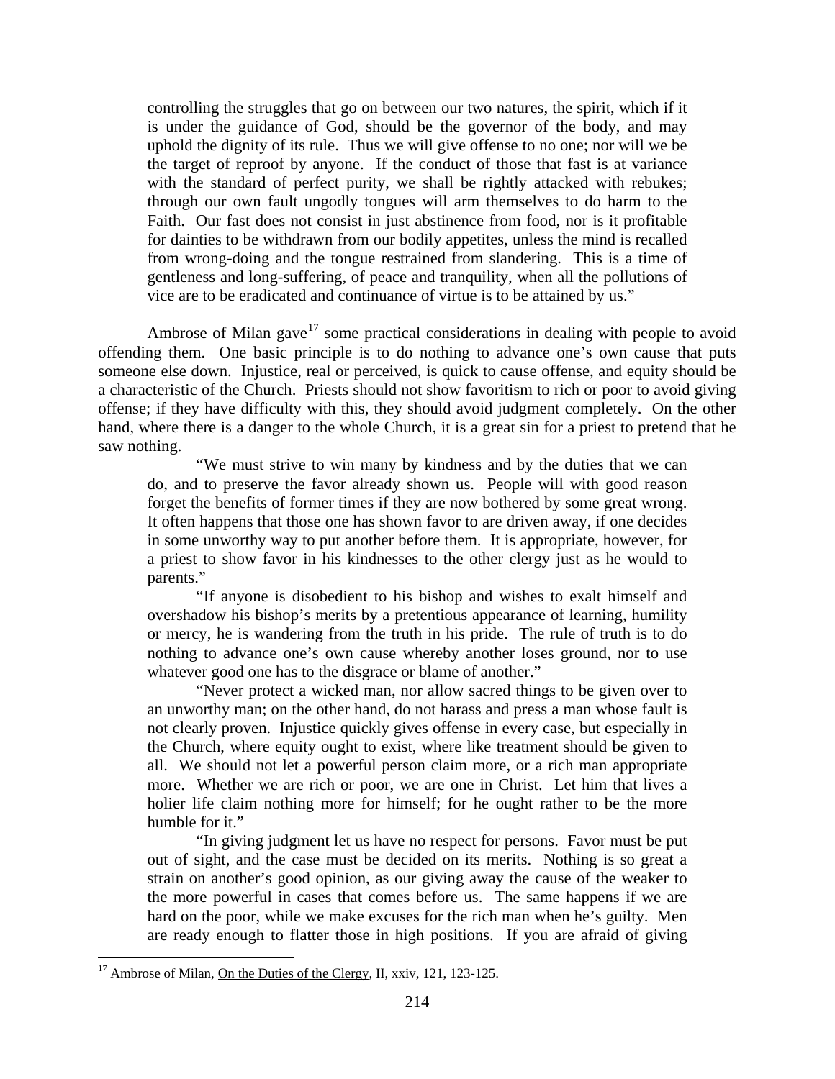controlling the struggles that go on between our two natures, the spirit, which if it is under the guidance of God, should be the governor of the body, and may uphold the dignity of its rule. Thus we will give offense to no one; nor will we be the target of reproof by anyone. If the conduct of those that fast is at variance with the standard of perfect purity, we shall be rightly attacked with rebukes; through our own fault ungodly tongues will arm themselves to do harm to the Faith. Our fast does not consist in just abstinence from food, nor is it profitable for dainties to be withdrawn from our bodily appetites, unless the mind is recalled from wrong-doing and the tongue restrained from slandering. This is a time of gentleness and long-suffering, of peace and tranquility, when all the pollutions of vice are to be eradicated and continuance of virtue is to be attained by us."

Ambrose of Milan gave<sup>[17](#page-10-0)</sup> some practical considerations in dealing with people to avoid offending them. One basic principle is to do nothing to advance one's own cause that puts someone else down. Injustice, real or perceived, is quick to cause offense, and equity should be a characteristic of the Church. Priests should not show favoritism to rich or poor to avoid giving offense; if they have difficulty with this, they should avoid judgment completely. On the other hand, where there is a danger to the whole Church, it is a great sin for a priest to pretend that he saw nothing.

"We must strive to win many by kindness and by the duties that we can do, and to preserve the favor already shown us. People will with good reason forget the benefits of former times if they are now bothered by some great wrong. It often happens that those one has shown favor to are driven away, if one decides in some unworthy way to put another before them. It is appropriate, however, for a priest to show favor in his kindnesses to the other clergy just as he would to parents."

"If anyone is disobedient to his bishop and wishes to exalt himself and overshadow his bishop's merits by a pretentious appearance of learning, humility or mercy, he is wandering from the truth in his pride. The rule of truth is to do nothing to advance one's own cause whereby another loses ground, nor to use whatever good one has to the disgrace or blame of another."

"Never protect a wicked man, nor allow sacred things to be given over to an unworthy man; on the other hand, do not harass and press a man whose fault is not clearly proven. Injustice quickly gives offense in every case, but especially in the Church, where equity ought to exist, where like treatment should be given to all. We should not let a powerful person claim more, or a rich man appropriate more. Whether we are rich or poor, we are one in Christ. Let him that lives a holier life claim nothing more for himself; for he ought rather to be the more humble for it."

"In giving judgment let us have no respect for persons. Favor must be put out of sight, and the case must be decided on its merits. Nothing is so great a strain on another's good opinion, as our giving away the cause of the weaker to the more powerful in cases that comes before us. The same happens if we are hard on the poor, while we make excuses for the rich man when he's guilty. Men are ready enough to flatter those in high positions. If you are afraid of giving

<span id="page-10-0"></span><sup>&</sup>lt;sup>17</sup> Ambrose of Milan, On the Duties of the Clergy, II, xxiv, 121, 123-125.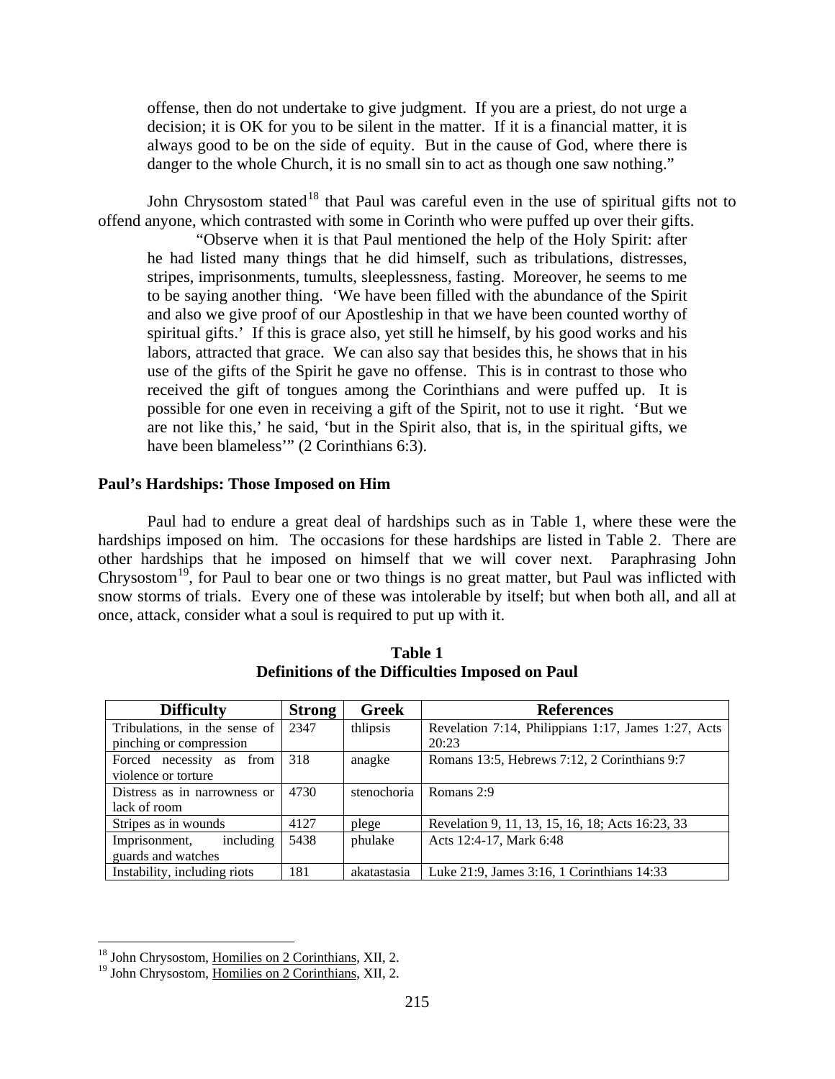offense, then do not undertake to give judgment. If you are a priest, do not urge a decision; it is OK for you to be silent in the matter. If it is a financial matter, it is always good to be on the side of equity. But in the cause of God, where there is danger to the whole Church, it is no small sin to act as though one saw nothing."

John Chrysostom stated<sup>[18](#page-11-1)</sup> that Paul was careful even in the use of spiritual gifts not to offend anyone, which contrasted with some in Corinth who were puffed up over their gifts.

"Observe when it is that Paul mentioned the help of the Holy Spirit: after he had listed many things that he did himself, such as tribulations, distresses, stripes, imprisonments, tumults, sleeplessness, fasting. Moreover, he seems to me to be saying another thing. 'We have been filled with the abundance of the Spirit and also we give proof of our Apostleship in that we have been counted worthy of spiritual gifts.' If this is grace also, yet still he himself, by his good works and his labors, attracted that grace. We can also say that besides this, he shows that in his use of the gifts of the Spirit he gave no offense. This is in contrast to those who received the gift of tongues among the Corinthians and were puffed up. It is possible for one even in receiving a gift of the Spirit, not to use it right. 'But we are not like this,' he said, 'but in the Spirit also, that is, in the spiritual gifts, we have been blameless" (2 Corinthians 6:3).

#### <span id="page-11-0"></span>**Paul's Hardships: Those Imposed on Him**

Paul had to endure a great deal of hardships such as in Table 1, where these were the hardships imposed on him. The occasions for these hardships are listed in Table 2. There are other hardships that he imposed on himself that we will cover next. Paraphrasing John Chrysostom<sup>19</sup>, for Paul to bear one or two things is no great matter, but Paul was inflicted with snow storms of trials. Every one of these was intolerable by itself; but when both all, and all at once, attack, consider what a soul is required to put up with it.

| <b>Difficulty</b>             | <b>Strong</b> | Greek       | <b>References</b>                                   |
|-------------------------------|---------------|-------------|-----------------------------------------------------|
| Tribulations, in the sense of | 2347          | thlipsis    | Revelation 7:14, Philippians 1:17, James 1:27, Acts |
| pinching or compression       |               |             | 20:23                                               |
| Forced necessity as<br>from   | 318           | anagke      | Romans 13:5, Hebrews 7:12, 2 Corinthians 9:7        |
| violence or torture           |               |             |                                                     |
| Distress as in narrowness or  | 4730          | stenochoria | Romans 2:9                                          |
| lack of room                  |               |             |                                                     |
| Stripes as in wounds          | 4127          | plege       | Revelation 9, 11, 13, 15, 16, 18; Acts 16:23, 33    |
| including<br>Imprisonment,    | 5438          | phulake     | Acts 12:4-17, Mark 6:48                             |
| guards and watches            |               |             |                                                     |
| Instability, including riots  | 181           | akatastasia | Luke 21:9, James 3:16, 1 Corinthians 14:33          |

**Table 1 Definitions of the Difficulties Imposed on Paul** 

<span id="page-11-1"></span><sup>&</sup>lt;sup>18</sup> John Chrysostom, Homilies on 2 Corinthians, XII, 2.

<span id="page-11-2"></span><sup>19</sup> John Chrysostom, Homilies on 2 Corinthians, XII, 2.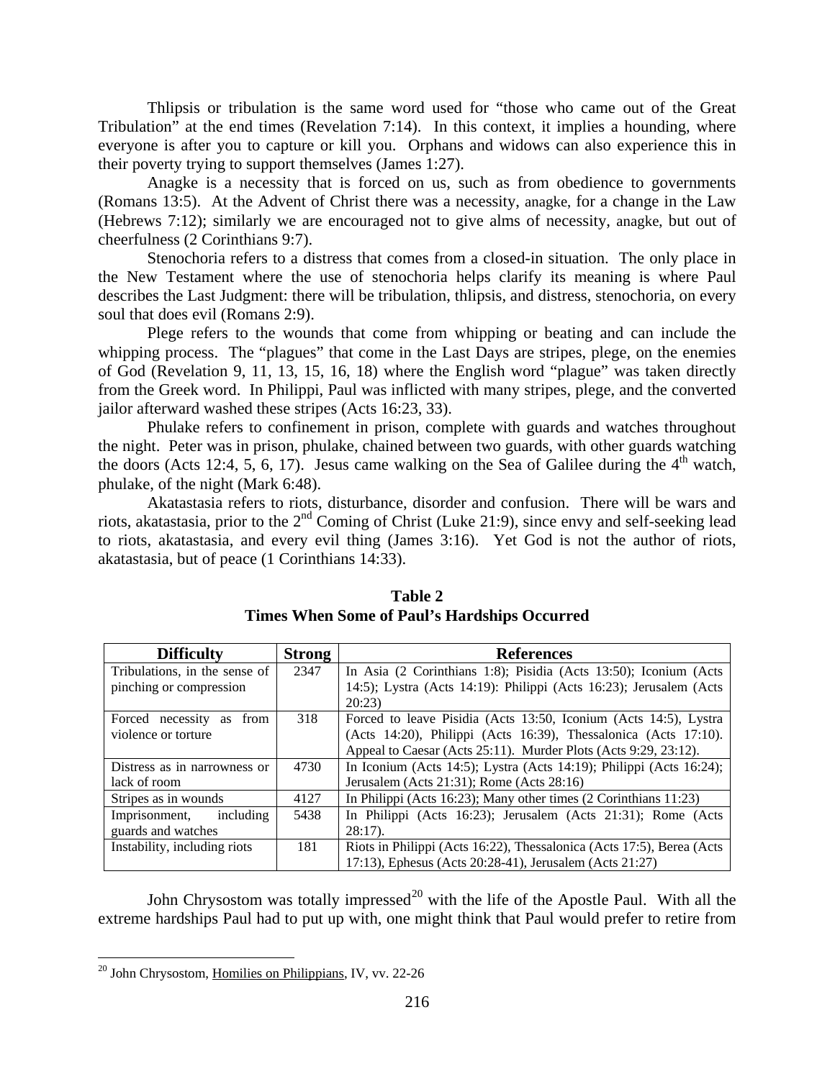Thlipsis or tribulation is the same word used for "those who came out of the Great Tribulation" at the end times (Revelation 7:14). In this context, it implies a hounding, where everyone is after you to capture or kill you. Orphans and widows can also experience this in their poverty trying to support themselves (James 1:27).

Anagke is a necessity that is forced on us, such as from obedience to governments (Romans 13:5). At the Advent of Christ there was a necessity, anagke, for a change in the Law (Hebrews 7:12); similarly we are encouraged not to give alms of necessity, anagke, but out of cheerfulness (2 Corinthians 9:7).

Stenochoria refers to a distress that comes from a closed-in situation. The only place in the New Testament where the use of stenochoria helps clarify its meaning is where Paul describes the Last Judgment: there will be tribulation, thlipsis, and distress, stenochoria, on every soul that does evil (Romans 2:9).

Plege refers to the wounds that come from whipping or beating and can include the whipping process. The "plagues" that come in the Last Days are stripes, plege, on the enemies of God (Revelation 9, 11, 13, 15, 16, 18) where the English word "plague" was taken directly from the Greek word. In Philippi, Paul was inflicted with many stripes, plege, and the converted jailor afterward washed these stripes (Acts 16:23, 33).

Phulake refers to confinement in prison, complete with guards and watches throughout the night. Peter was in prison, phulake, chained between two guards, with other guards watching the doors (Acts 12:4, 5, 6, 17). Jesus came walking on the Sea of Galilee during the  $4<sup>th</sup>$  watch, phulake, of the night (Mark 6:48).

Akatastasia refers to riots, disturbance, disorder and confusion. There will be wars and riots, akatastasia, prior to the 2<sup>nd</sup> Coming of Christ (Luke 21:9), since envy and self-seeking lead to riots, akatastasia, and every evil thing (James 3:16). Yet God is not the author of riots, akatastasia, but of peace (1 Corinthians 14:33).

| <b>Difficulty</b>             | <b>Strong</b> | <b>References</b>                                                     |
|-------------------------------|---------------|-----------------------------------------------------------------------|
| Tribulations, in the sense of | 2347          | In Asia (2 Corinthians 1:8); Pisidia (Acts 13:50); Iconium (Acts      |
| pinching or compression       |               | 14:5); Lystra (Acts 14:19): Philippi (Acts 16:23); Jerusalem (Acts    |
|                               |               | 20:23                                                                 |
| Forced necessity as<br>from   | 318           | Forced to leave Pisidia (Acts 13:50, Iconium (Acts 14:5), Lystra      |
| violence or torture           |               | (Acts 14:20), Philippi (Acts 16:39), Thessalonica (Acts 17:10).       |
|                               |               | Appeal to Caesar (Acts 25:11). Murder Plots (Acts 9:29, 23:12).       |
| Distress as in narrowness or  | 4730          | In Iconium (Acts 14:5); Lystra (Acts 14:19); Philippi (Acts 16:24);   |
| lack of room                  |               | Jerusalem (Acts 21:31); Rome (Acts 28:16)                             |
| Stripes as in wounds          | 4127          | In Philippi (Acts 16:23); Many other times (2 Corinthians 11:23)      |
| including<br>Imprisonment,    | 5438          | In Philippi (Acts 16:23); Jerusalem (Acts 21:31); Rome (Acts          |
| guards and watches            |               | $28:17$ ).                                                            |
| Instability, including riots  | 181           | Riots in Philippi (Acts 16:22), Thessalonica (Acts 17:5), Berea (Acts |
|                               |               | 17:13), Ephesus (Acts 20:28-41), Jerusalem (Acts 21:27)               |

| <b>Table 2</b>                               |
|----------------------------------------------|
| Times When Some of Paul's Hardships Occurred |

John Chrysostom was totally impressed<sup>[20](#page-12-0)</sup> with the life of the Apostle Paul. With all the extreme hardships Paul had to put up with, one might think that Paul would prefer to retire from

<span id="page-12-0"></span> $20$  John Chrysostom, Homilies on Philippians, IV, vv. 22-26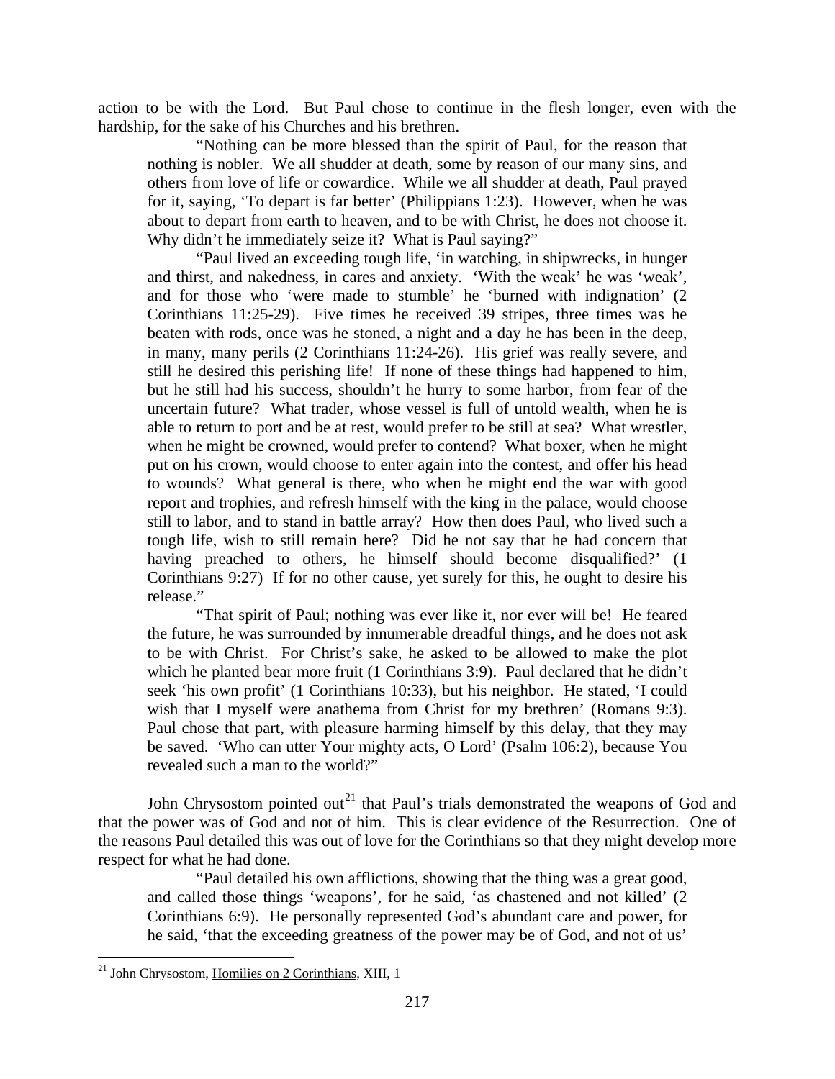action to be with the Lord. But Paul chose to continue in the flesh longer, even with the hardship, for the sake of his Churches and his brethren.

"Nothing can be more blessed than the spirit of Paul, for the reason that nothing is nobler. We all shudder at death, some by reason of our many sins, and others from love of life or cowardice. While we all shudder at death, Paul prayed for it, saying, 'To depart is far better' (Philippians 1:23). However, when he was about to depart from earth to heaven, and to be with Christ, he does not choose it. Why didn't he immediately seize it? What is Paul saying?"

"Paul lived an exceeding tough life, 'in watching, in shipwrecks, in hunger and thirst, and nakedness, in cares and anxiety. 'With the weak' he was 'weak', and for those who 'were made to stumble' he 'burned with indignation' (2 Corinthians 11:25-29). Five times he received 39 stripes, three times was he beaten with rods, once was he stoned, a night and a day he has been in the deep, in many, many perils (2 Corinthians 11:24-26). His grief was really severe, and still he desired this perishing life! If none of these things had happened to him, but he still had his success, shouldn't he hurry to some harbor, from fear of the uncertain future? What trader, whose vessel is full of untold wealth, when he is able to return to port and be at rest, would prefer to be still at sea? What wrestler, when he might be crowned, would prefer to contend? What boxer, when he might put on his crown, would choose to enter again into the contest, and offer his head to wounds? What general is there, who when he might end the war with good report and trophies, and refresh himself with the king in the palace, would choose still to labor, and to stand in battle array? How then does Paul, who lived such a tough life, wish to still remain here? Did he not say that he had concern that having preached to others, he himself should become disqualified?' (1) Corinthians 9:27) If for no other cause, yet surely for this, he ought to desire his release."

"That spirit of Paul; nothing was ever like it, nor ever will be! He feared the future, he was surrounded by innumerable dreadful things, and he does not ask to be with Christ. For Christ's sake, he asked to be allowed to make the plot which he planted bear more fruit (1 Corinthians 3:9). Paul declared that he didn't seek 'his own profit' (1 Corinthians 10:33), but his neighbor. He stated, 'I could wish that I myself were anathema from Christ for my brethren' (Romans 9:3). Paul chose that part, with pleasure harming himself by this delay, that they may be saved. 'Who can utter Your mighty acts, O Lord' (Psalm 106:2), because You revealed such a man to the world?"

John Chrysostom pointed out<sup>[21](#page-13-0)</sup> that Paul's trials demonstrated the weapons of God and that the power was of God and not of him. This is clear evidence of the Resurrection. One of the reasons Paul detailed this was out of love for the Corinthians so that they might develop more respect for what he had done.

"Paul detailed his own afflictions, showing that the thing was a great good, and called those things 'weapons', for he said, 'as chastened and not killed' (2 Corinthians 6:9). He personally represented God's abundant care and power, for he said, 'that the exceeding greatness of the power may be of God, and not of us'

<span id="page-13-0"></span> <sup>21</sup> John Chrysostom, Homilies on 2 Corinthians, XIII, 1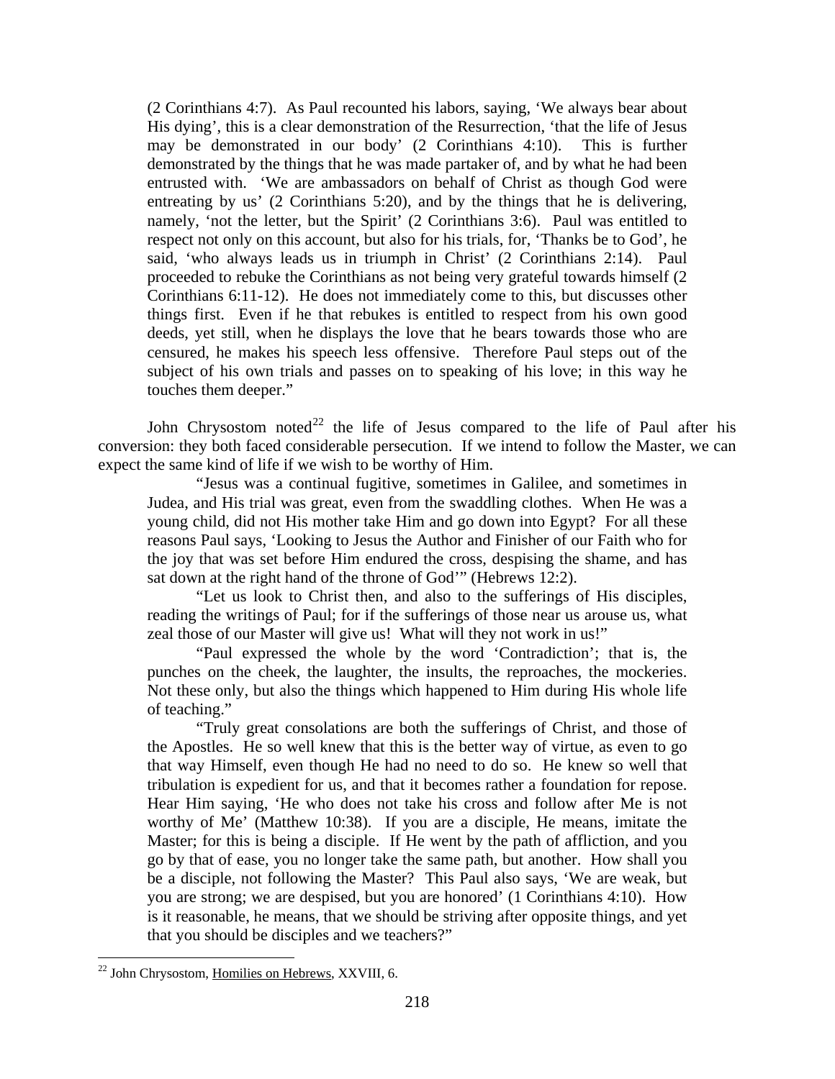(2 Corinthians 4:7). As Paul recounted his labors, saying, 'We always bear about His dying', this is a clear demonstration of the Resurrection, 'that the life of Jesus may be demonstrated in our body' (2 Corinthians 4:10). This is further demonstrated by the things that he was made partaker of, and by what he had been entrusted with. 'We are ambassadors on behalf of Christ as though God were entreating by us' (2 Corinthians 5:20), and by the things that he is delivering, namely, 'not the letter, but the Spirit' (2 Corinthians 3:6). Paul was entitled to respect not only on this account, but also for his trials, for, 'Thanks be to God', he said, 'who always leads us in triumph in Christ' (2 Corinthians 2:14). Paul proceeded to rebuke the Corinthians as not being very grateful towards himself (2 Corinthians 6:11-12). He does not immediately come to this, but discusses other things first. Even if he that rebukes is entitled to respect from his own good deeds, yet still, when he displays the love that he bears towards those who are censured, he makes his speech less offensive. Therefore Paul steps out of the subject of his own trials and passes on to speaking of his love; in this way he touches them deeper."

John Chrysostom noted<sup>[22](#page-14-0)</sup> the life of Jesus compared to the life of Paul after his conversion: they both faced considerable persecution. If we intend to follow the Master, we can expect the same kind of life if we wish to be worthy of Him.

"Jesus was a continual fugitive, sometimes in Galilee, and sometimes in Judea, and His trial was great, even from the swaddling clothes. When He was a young child, did not His mother take Him and go down into Egypt? For all these reasons Paul says, 'Looking to Jesus the Author and Finisher of our Faith who for the joy that was set before Him endured the cross, despising the shame, and has sat down at the right hand of the throne of God'" (Hebrews 12:2).

"Let us look to Christ then, and also to the sufferings of His disciples, reading the writings of Paul; for if the sufferings of those near us arouse us, what zeal those of our Master will give us! What will they not work in us!"

"Paul expressed the whole by the word 'Contradiction'; that is, the punches on the cheek, the laughter, the insults, the reproaches, the mockeries. Not these only, but also the things which happened to Him during His whole life of teaching."

"Truly great consolations are both the sufferings of Christ, and those of the Apostles. He so well knew that this is the better way of virtue, as even to go that way Himself, even though He had no need to do so. He knew so well that tribulation is expedient for us, and that it becomes rather a foundation for repose. Hear Him saying, 'He who does not take his cross and follow after Me is not worthy of Me' (Matthew 10:38). If you are a disciple, He means, imitate the Master; for this is being a disciple. If He went by the path of affliction, and you go by that of ease, you no longer take the same path, but another. How shall you be a disciple, not following the Master? This Paul also says, 'We are weak, but you are strong; we are despised, but you are honored' (1 Corinthians 4:10). How is it reasonable, he means, that we should be striving after opposite things, and yet that you should be disciples and we teachers?"

<span id="page-14-0"></span> <sup>22</sup> John Chrysostom, Homilies on Hebrews, XXVIII, 6.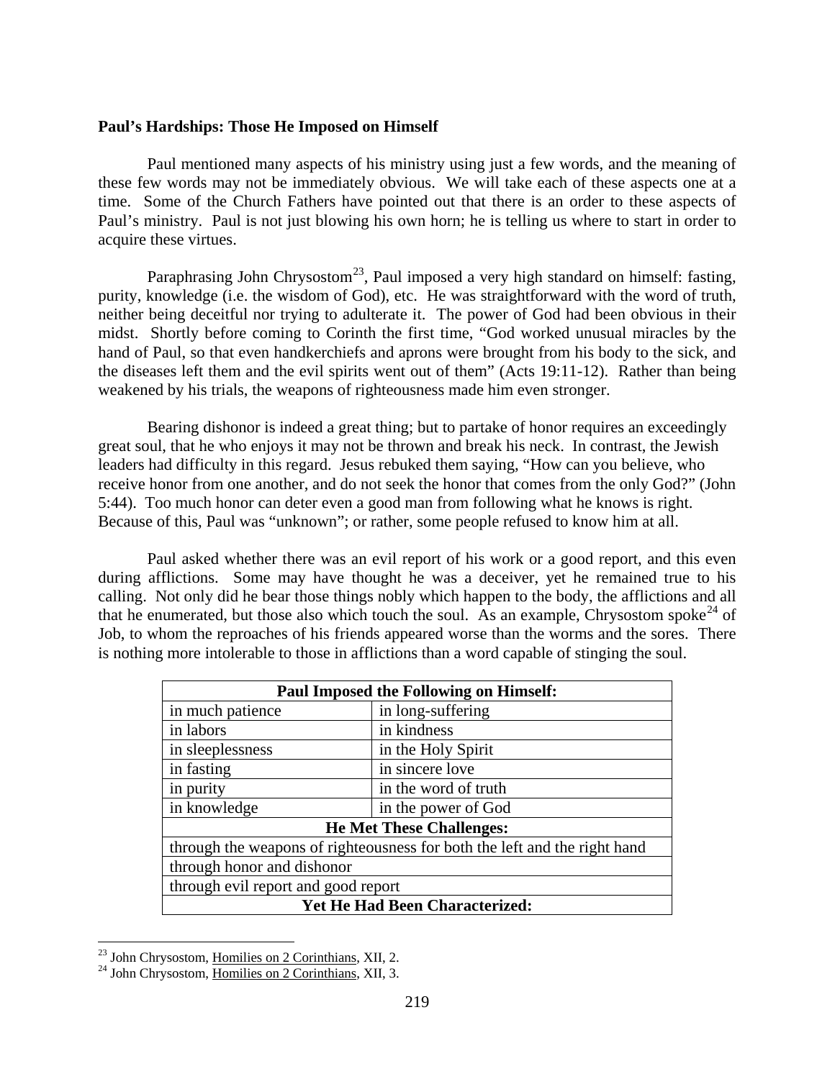#### <span id="page-15-0"></span>**Paul's Hardships: Those He Imposed on Himself**

Paul mentioned many aspects of his ministry using just a few words, and the meaning of these few words may not be immediately obvious. We will take each of these aspects one at a time. Some of the Church Fathers have pointed out that there is an order to these aspects of Paul's ministry. Paul is not just blowing his own horn; he is telling us where to start in order to acquire these virtues.

Paraphrasing John Chrysostom<sup>[23](#page-15-1)</sup>, Paul imposed a very high standard on himself: fasting, purity, knowledge (i.e. the wisdom of God), etc. He was straightforward with the word of truth, neither being deceitful nor trying to adulterate it. The power of God had been obvious in their midst. Shortly before coming to Corinth the first time, "God worked unusual miracles by the hand of Paul, so that even handkerchiefs and aprons were brought from his body to the sick, and the diseases left them and the evil spirits went out of them" (Acts 19:11-12). Rather than being weakened by his trials, the weapons of righteousness made him even stronger.

Bearing dishonor is indeed a great thing; but to partake of honor requires an exceedingly great soul, that he who enjoys it may not be thrown and break his neck. In contrast, the Jewish leaders had difficulty in this regard. Jesus rebuked them saying, "How can you believe, who receive honor from one another, and do not seek the honor that comes from the only God?" (John 5:44). Too much honor can deter even a good man from following what he knows is right. Because of this, Paul was "unknown"; or rather, some people refused to know him at all.

Paul asked whether there was an evil report of his work or a good report, and this even during afflictions. Some may have thought he was a deceiver, yet he remained true to his calling. Not only did he bear those things nobly which happen to the body, the afflictions and all that he enumerated, but those also which touch the soul. As an example, Chrysostom spoke<sup>[24](#page-15-2)</sup> of Job, to whom the reproaches of his friends appeared worse than the worms and the sores. There is nothing more intolerable to those in afflictions than a word capable of stinging the soul.

| <b>Paul Imposed the Following on Himself:</b>                             |                      |  |
|---------------------------------------------------------------------------|----------------------|--|
| in much patience                                                          | in long-suffering    |  |
| in labors                                                                 | in kindness          |  |
| in sleeplessness                                                          | in the Holy Spirit   |  |
| in fasting                                                                | in sincere love      |  |
| in purity                                                                 | in the word of truth |  |
| in knowledge                                                              | in the power of God  |  |
| <b>He Met These Challenges:</b>                                           |                      |  |
| through the weapons of righteousness for both the left and the right hand |                      |  |
| through honor and dishonor                                                |                      |  |
| through evil report and good report                                       |                      |  |
| Yet He Had Been Characterized:                                            |                      |  |

<span id="page-15-2"></span><span id="page-15-1"></span><sup>&</sup>lt;sup>23</sup> John Chrysostom, <u>Homilies on 2 Corinthians</u>, XII, 2.<br><sup>24</sup> John Chrysostom, <u>Homilies on 2 Corinthians</u>, XII, 3.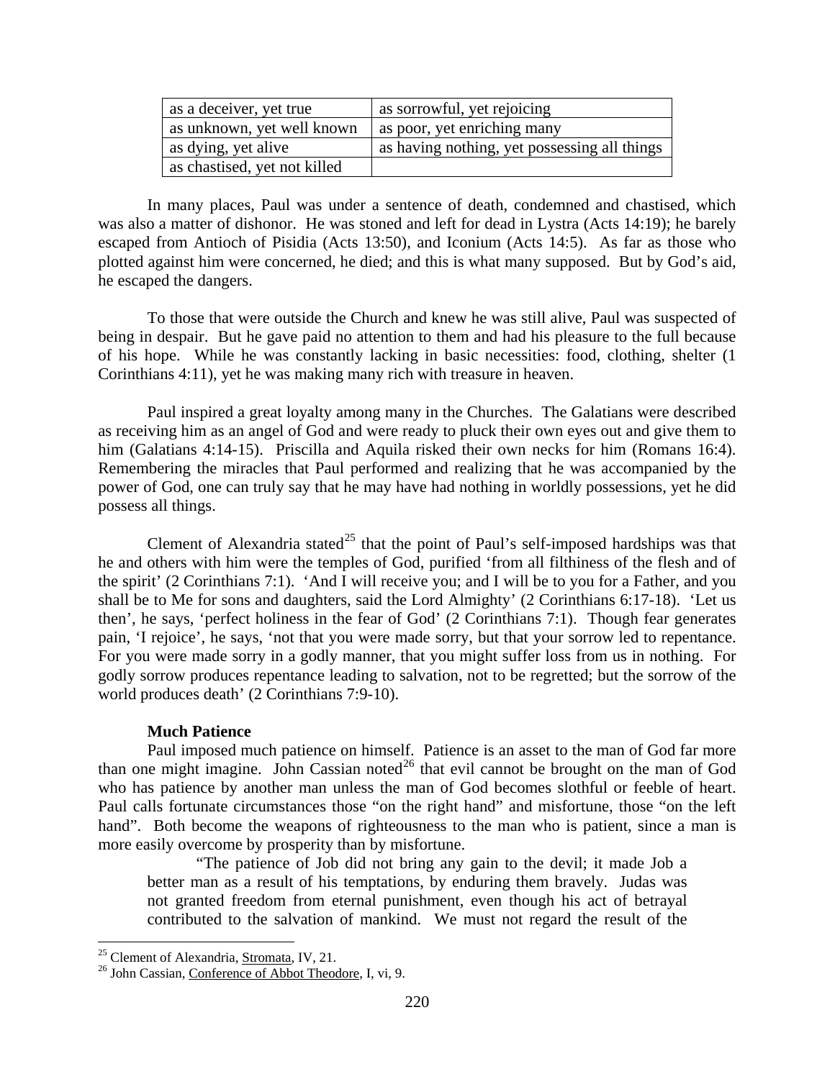| as a deceiver, yet true      | as sorrowful, yet rejoicing                  |
|------------------------------|----------------------------------------------|
| as unknown, yet well known   | as poor, yet enriching many                  |
| as dying, yet alive          | as having nothing, yet possessing all things |
| as chastised, yet not killed |                                              |

In many places, Paul was under a sentence of death, condemned and chastised, which was also a matter of dishonor. He was stoned and left for dead in Lystra (Acts 14:19); he barely escaped from Antioch of Pisidia (Acts 13:50), and Iconium (Acts 14:5). As far as those who plotted against him were concerned, he died; and this is what many supposed. But by God's aid, he escaped the dangers.

To those that were outside the Church and knew he was still alive, Paul was suspected of being in despair. But he gave paid no attention to them and had his pleasure to the full because of his hope. While he was constantly lacking in basic necessities: food, clothing, shelter (1 Corinthians 4:11), yet he was making many rich with treasure in heaven.

Paul inspired a great loyalty among many in the Churches. The Galatians were described as receiving him as an angel of God and were ready to pluck their own eyes out and give them to him (Galatians 4:14-15). Priscilla and Aquila risked their own necks for him (Romans 16:4). Remembering the miracles that Paul performed and realizing that he was accompanied by the power of God, one can truly say that he may have had nothing in worldly possessions, yet he did possess all things.

Clement of Alexandria stated<sup>[25](#page-16-1)</sup> that the point of Paul's self-imposed hardships was that he and others with him were the temples of God, purified 'from all filthiness of the flesh and of the spirit' (2 Corinthians 7:1). 'And I will receive you; and I will be to you for a Father, and you shall be to Me for sons and daughters, said the Lord Almighty' (2 Corinthians 6:17-18). 'Let us then', he says, 'perfect holiness in the fear of God' (2 Corinthians 7:1). Though fear generates pain, 'I rejoice', he says, 'not that you were made sorry, but that your sorrow led to repentance. For you were made sorry in a godly manner, that you might suffer loss from us in nothing. For godly sorrow produces repentance leading to salvation, not to be regretted; but the sorrow of the world produces death' (2 Corinthians 7:9-10).

### **Much Patience**

<span id="page-16-0"></span>Paul imposed much patience on himself. Patience is an asset to the man of God far more than one might imagine. John Cassian noted<sup>[26](#page-16-2)</sup> that evil cannot be brought on the man of God who has patience by another man unless the man of God becomes slothful or feeble of heart. Paul calls fortunate circumstances those "on the right hand" and misfortune, those "on the left hand". Both become the weapons of righteousness to the man who is patient, since a man is more easily overcome by prosperity than by misfortune.

"The patience of Job did not bring any gain to the devil; it made Job a better man as a result of his temptations, by enduring them bravely. Judas was not granted freedom from eternal punishment, even though his act of betrayal contributed to the salvation of mankind. We must not regard the result of the

<span id="page-16-2"></span><span id="page-16-1"></span><sup>&</sup>lt;sup>25</sup> Clement of Alexandria, <u>Stromata</u>, IV, 21.<br><sup>26</sup> John Cassian, Conference of Abbot Theodore, I, vi, 9.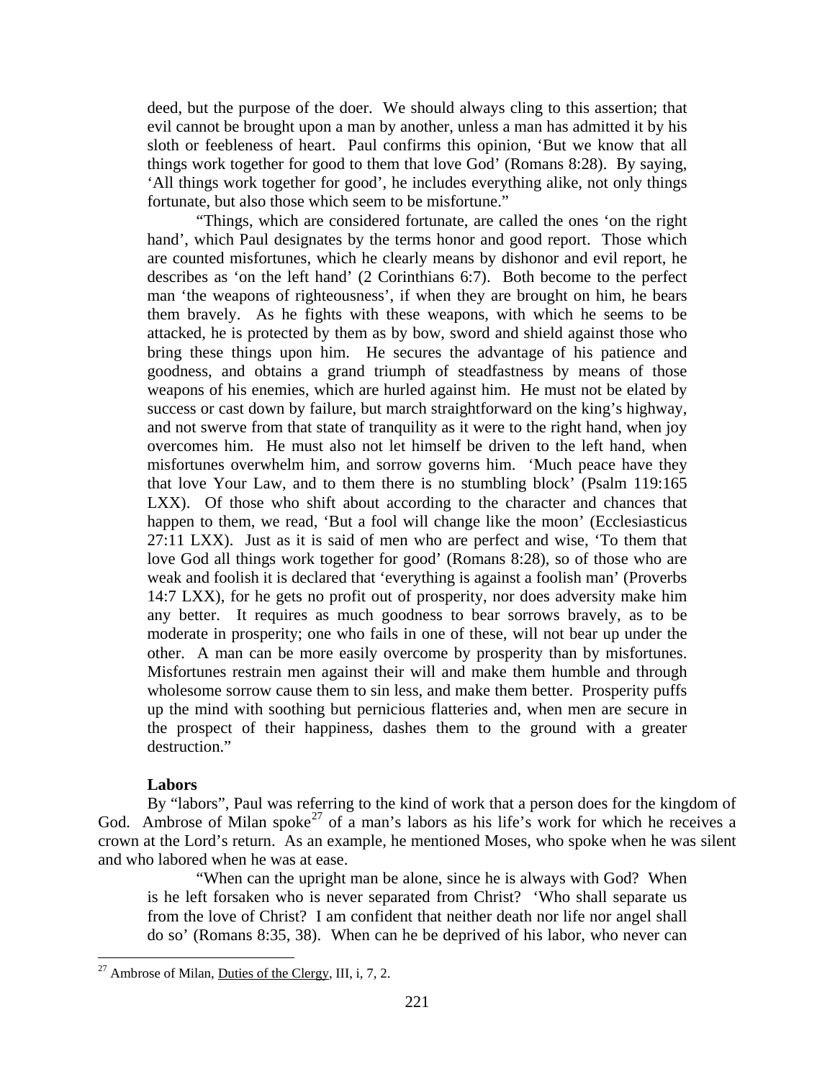deed, but the purpose of the doer. We should always cling to this assertion; that evil cannot be brought upon a man by another, unless a man has admitted it by his sloth or feebleness of heart. Paul confirms this opinion, 'But we know that all things work together for good to them that love God' (Romans 8:28). By saying, 'All things work together for good', he includes everything alike, not only things fortunate, but also those which seem to be misfortune."

"Things, which are considered fortunate, are called the ones 'on the right hand', which Paul designates by the terms honor and good report. Those which are counted misfortunes, which he clearly means by dishonor and evil report, he describes as 'on the left hand' (2 Corinthians 6:7). Both become to the perfect man 'the weapons of righteousness', if when they are brought on him, he bears them bravely. As he fights with these weapons, with which he seems to be attacked, he is protected by them as by bow, sword and shield against those who bring these things upon him. He secures the advantage of his patience and goodness, and obtains a grand triumph of steadfastness by means of those weapons of his enemies, which are hurled against him. He must not be elated by success or cast down by failure, but march straightforward on the king's highway, and not swerve from that state of tranquility as it were to the right hand, when joy overcomes him. He must also not let himself be driven to the left hand, when misfortunes overwhelm him, and sorrow governs him. 'Much peace have they that love Your Law, and to them there is no stumbling block' (Psalm 119:165 LXX). Of those who shift about according to the character and chances that happen to them, we read, 'But a fool will change like the moon' (Ecclesiasticus 27:11 LXX). Just as it is said of men who are perfect and wise, 'To them that love God all things work together for good' (Romans 8:28), so of those who are weak and foolish it is declared that 'everything is against a foolish man' (Proverbs 14:7 LXX), for he gets no profit out of prosperity, nor does adversity make him any better. It requires as much goodness to bear sorrows bravely, as to be moderate in prosperity; one who fails in one of these, will not bear up under the other. A man can be more easily overcome by prosperity than by misfortunes. Misfortunes restrain men against their will and make them humble and through wholesome sorrow cause them to sin less, and make them better. Prosperity puffs up the mind with soothing but pernicious flatteries and, when men are secure in the prospect of their happiness, dashes them to the ground with a greater destruction."

# **Labors**

<span id="page-17-0"></span>By "labors", Paul was referring to the kind of work that a person does for the kingdom of God. Ambrose of Milan spoke<sup>[27](#page-17-1)</sup> of a man's labors as his life's work for which he receives a crown at the Lord's return. As an example, he mentioned Moses, who spoke when he was silent and who labored when he was at ease.

"When can the upright man be alone, since he is always with God? When is he left forsaken who is never separated from Christ? 'Who shall separate us from the love of Christ? I am confident that neither death nor life nor angel shall do so' (Romans 8:35, 38). When can he be deprived of his labor, who never can

<span id="page-17-1"></span><sup>&</sup>lt;sup>27</sup> Ambrose of Milan, Duties of the Clergy, III, i, 7, 2.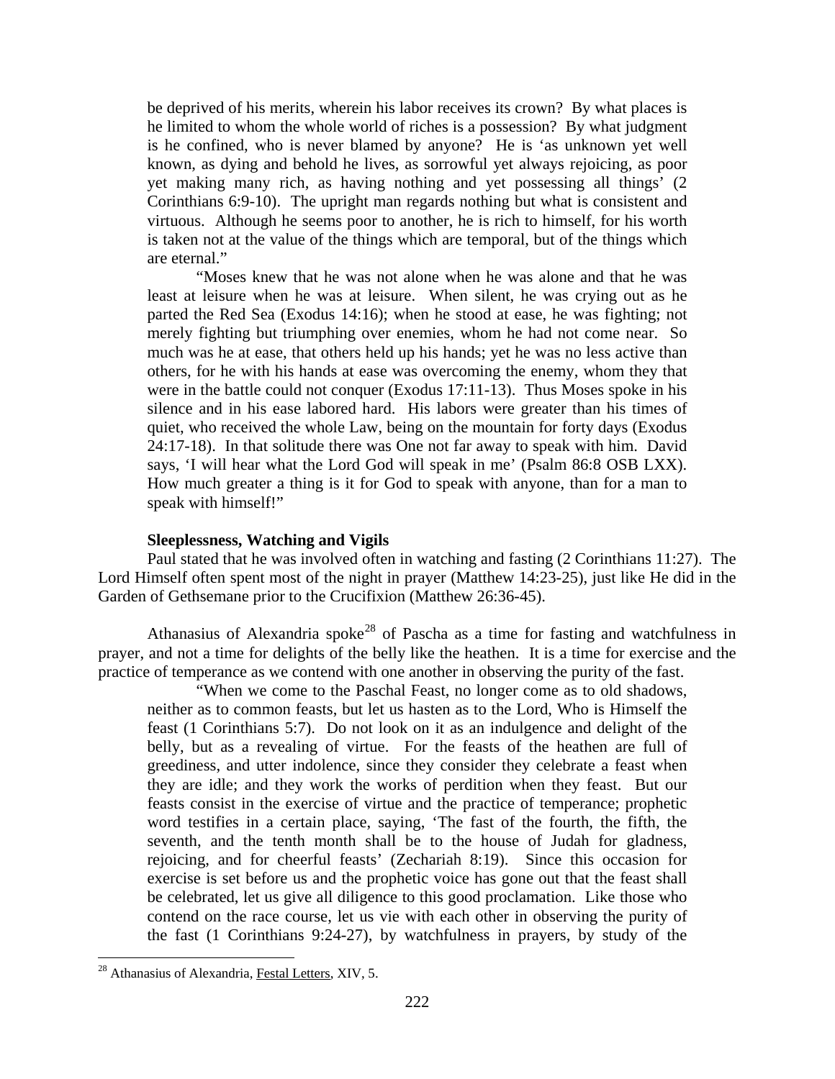be deprived of his merits, wherein his labor receives its crown? By what places is he limited to whom the whole world of riches is a possession? By what judgment is he confined, who is never blamed by anyone? He is 'as unknown yet well known, as dying and behold he lives, as sorrowful yet always rejoicing, as poor yet making many rich, as having nothing and yet possessing all things' (2 Corinthians 6:9-10). The upright man regards nothing but what is consistent and virtuous. Although he seems poor to another, he is rich to himself, for his worth is taken not at the value of the things which are temporal, but of the things which are eternal."

"Moses knew that he was not alone when he was alone and that he was least at leisure when he was at leisure. When silent, he was crying out as he parted the Red Sea (Exodus 14:16); when he stood at ease, he was fighting; not merely fighting but triumphing over enemies, whom he had not come near. So much was he at ease, that others held up his hands; yet he was no less active than others, for he with his hands at ease was overcoming the enemy, whom they that were in the battle could not conquer (Exodus 17:11-13). Thus Moses spoke in his silence and in his ease labored hard. His labors were greater than his times of quiet, who received the whole Law, being on the mountain for forty days (Exodus 24:17-18). In that solitude there was One not far away to speak with him. David says, 'I will hear what the Lord God will speak in me' (Psalm 86:8 OSB LXX). How much greater a thing is it for God to speak with anyone, than for a man to speak with himself!"

#### **Sleeplessness, Watching and Vigils**

<span id="page-18-0"></span>Paul stated that he was involved often in watching and fasting (2 Corinthians 11:27). The Lord Himself often spent most of the night in prayer (Matthew 14:23-25), just like He did in the Garden of Gethsemane prior to the Crucifixion (Matthew 26:36-45).

Athanasius of Alexandria spoke<sup>[28](#page-18-1)</sup> of Pascha as a time for fasting and watchfulness in prayer, and not a time for delights of the belly like the heathen. It is a time for exercise and the practice of temperance as we contend with one another in observing the purity of the fast.

"When we come to the Paschal Feast, no longer come as to old shadows, neither as to common feasts, but let us hasten as to the Lord, Who is Himself the feast (1 Corinthians 5:7). Do not look on it as an indulgence and delight of the belly, but as a revealing of virtue. For the feasts of the heathen are full of greediness, and utter indolence, since they consider they celebrate a feast when they are idle; and they work the works of perdition when they feast. But our feasts consist in the exercise of virtue and the practice of temperance; prophetic word testifies in a certain place, saying, 'The fast of the fourth, the fifth, the seventh, and the tenth month shall be to the house of Judah for gladness, rejoicing, and for cheerful feasts' (Zechariah 8:19). Since this occasion for exercise is set before us and the prophetic voice has gone out that the feast shall be celebrated, let us give all diligence to this good proclamation. Like those who contend on the race course, let us vie with each other in observing the purity of the fast (1 Corinthians 9:24-27), by watchfulness in prayers, by study of the

<span id="page-18-1"></span><sup>&</sup>lt;sup>28</sup> Athanasius of Alexandria, Festal Letters, XIV, 5.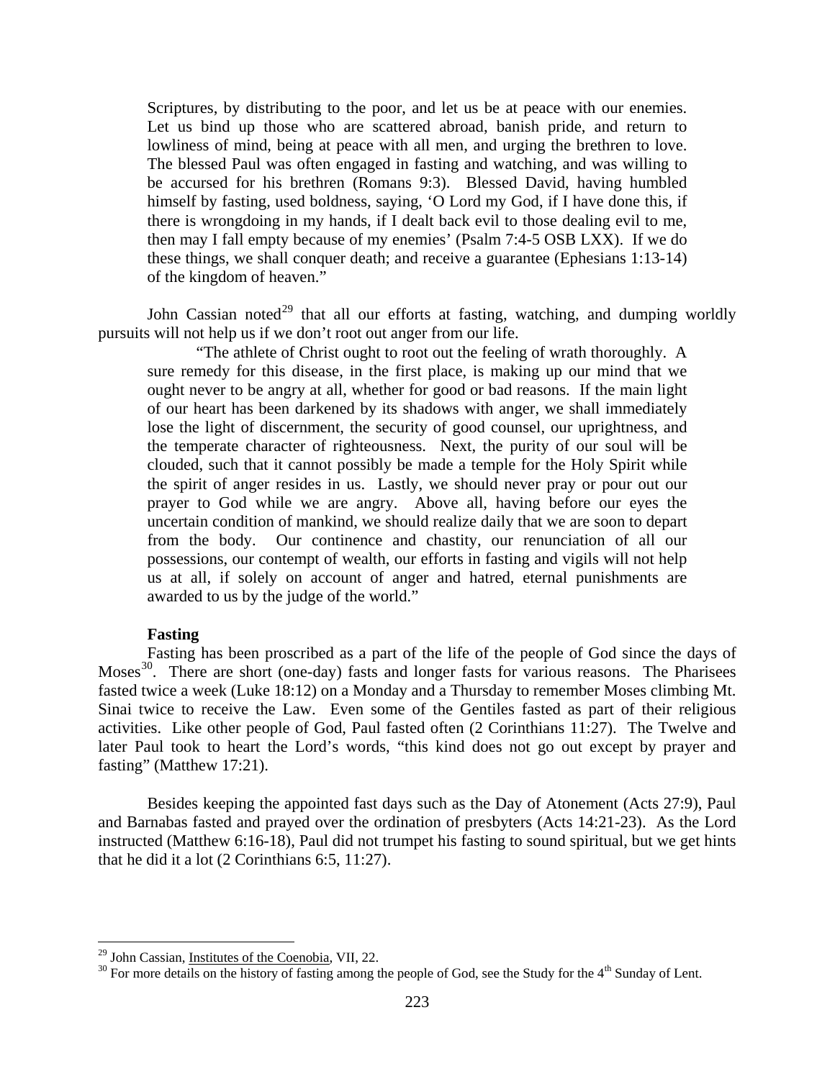Scriptures, by distributing to the poor, and let us be at peace with our enemies. Let us bind up those who are scattered abroad, banish pride, and return to lowliness of mind, being at peace with all men, and urging the brethren to love. The blessed Paul was often engaged in fasting and watching, and was willing to be accursed for his brethren (Romans 9:3). Blessed David, having humbled himself by fasting, used boldness, saying, 'O Lord my God, if I have done this, if there is wrongdoing in my hands, if I dealt back evil to those dealing evil to me, then may I fall empty because of my enemies' (Psalm 7:4-5 OSB LXX). If we do these things, we shall conquer death; and receive a guarantee (Ephesians 1:13-14) of the kingdom of heaven."

John Cassian noted<sup>[29](#page-19-1)</sup> that all our efforts at fasting, watching, and dumping worldly pursuits will not help us if we don't root out anger from our life.

"The athlete of Christ ought to root out the feeling of wrath thoroughly. A sure remedy for this disease, in the first place, is making up our mind that we ought never to be angry at all, whether for good or bad reasons. If the main light of our heart has been darkened by its shadows with anger, we shall immediately lose the light of discernment, the security of good counsel, our uprightness, and the temperate character of righteousness. Next, the purity of our soul will be clouded, such that it cannot possibly be made a temple for the Holy Spirit while the spirit of anger resides in us. Lastly, we should never pray or pour out our prayer to God while we are angry. Above all, having before our eyes the uncertain condition of mankind, we should realize daily that we are soon to depart from the body. Our continence and chastity, our renunciation of all our possessions, our contempt of wealth, our efforts in fasting and vigils will not help us at all, if solely on account of anger and hatred, eternal punishments are awarded to us by the judge of the world."

#### **Fasting**

<span id="page-19-0"></span>Fasting has been proscribed as a part of the life of the people of God since the days of Moses<sup>30</sup>. There are short (one-day) fasts and longer fasts for various reasons. The Pharisees fasted twice a week (Luke 18:12) on a Monday and a Thursday to remember Moses climbing Mt. Sinai twice to receive the Law. Even some of the Gentiles fasted as part of their religious activities. Like other people of God, Paul fasted often (2 Corinthians 11:27). The Twelve and later Paul took to heart the Lord's words, "this kind does not go out except by prayer and fasting" (Matthew 17:21).

Besides keeping the appointed fast days such as the Day of Atonement (Acts 27:9), Paul and Barnabas fasted and prayed over the ordination of presbyters (Acts 14:21-23). As the Lord instructed (Matthew 6:16-18), Paul did not trumpet his fasting to sound spiritual, but we get hints that he did it a lot (2 Corinthians 6:5, 11:27).

<span id="page-19-2"></span><span id="page-19-1"></span><sup>&</sup>lt;sup>29</sup> John Cassian, <u>Institutes of the Coenobia</u>, VII, 22.<br><sup>30</sup> For more details on the history of fasting among the people of God, see the Study for the 4<sup>th</sup> Sunday of Lent.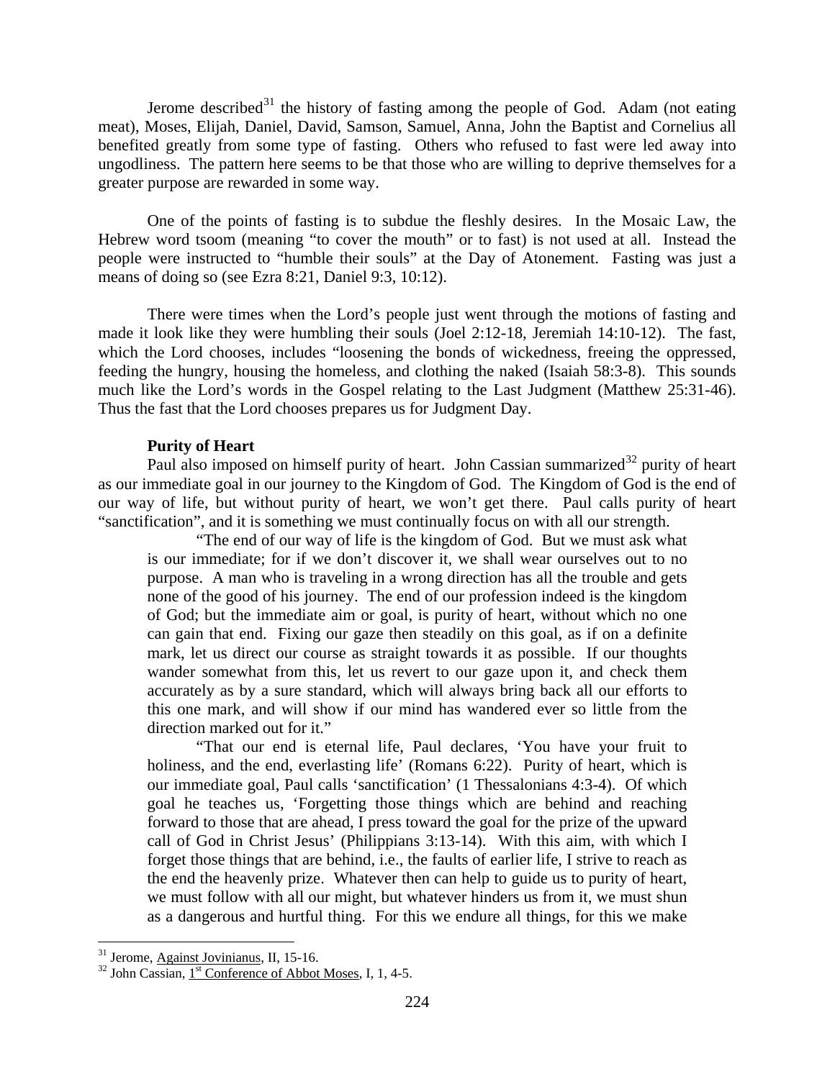Jerome described $31$  the history of fasting among the people of God. Adam (not eating meat), Moses, Elijah, Daniel, David, Samson, Samuel, Anna, John the Baptist and Cornelius all benefited greatly from some type of fasting. Others who refused to fast were led away into ungodliness. The pattern here seems to be that those who are willing to deprive themselves for a greater purpose are rewarded in some way.

One of the points of fasting is to subdue the fleshly desires. In the Mosaic Law, the Hebrew word tsoom (meaning "to cover the mouth" or to fast) is not used at all. Instead the people were instructed to "humble their souls" at the Day of Atonement. Fasting was just a means of doing so (see Ezra 8:21, Daniel 9:3, 10:12).

There were times when the Lord's people just went through the motions of fasting and made it look like they were humbling their souls (Joel 2:12-18, Jeremiah 14:10-12). The fast, which the Lord chooses, includes "loosening the bonds of wickedness, freeing the oppressed, feeding the hungry, housing the homeless, and clothing the naked (Isaiah 58:3-8). This sounds much like the Lord's words in the Gospel relating to the Last Judgment (Matthew 25:31-46). Thus the fast that the Lord chooses prepares us for Judgment Day.

### **Purity of Heart**

<span id="page-20-0"></span>Paul also imposed on himself purity of heart. John Cassian summarized<sup>[32](#page-20-2)</sup> purity of heart as our immediate goal in our journey to the Kingdom of God. The Kingdom of God is the end of our way of life, but without purity of heart, we won't get there. Paul calls purity of heart "sanctification", and it is something we must continually focus on with all our strength.

"The end of our way of life is the kingdom of God. But we must ask what is our immediate; for if we don't discover it, we shall wear ourselves out to no purpose. A man who is traveling in a wrong direction has all the trouble and gets none of the good of his journey. The end of our profession indeed is the kingdom of God; but the immediate aim or goal, is purity of heart, without which no one can gain that end. Fixing our gaze then steadily on this goal, as if on a definite mark, let us direct our course as straight towards it as possible. If our thoughts wander somewhat from this, let us revert to our gaze upon it, and check them accurately as by a sure standard, which will always bring back all our efforts to this one mark, and will show if our mind has wandered ever so little from the direction marked out for it."

"That our end is eternal life, Paul declares, 'You have your fruit to holiness, and the end, everlasting life' (Romans 6:22). Purity of heart, which is our immediate goal, Paul calls 'sanctification' (1 Thessalonians 4:3-4). Of which goal he teaches us, 'Forgetting those things which are behind and reaching forward to those that are ahead, I press toward the goal for the prize of the upward call of God in Christ Jesus' (Philippians 3:13-14). With this aim, with which I forget those things that are behind, i.e., the faults of earlier life, I strive to reach as the end the heavenly prize. Whatever then can help to guide us to purity of heart, we must follow with all our might, but whatever hinders us from it, we must shun as a dangerous and hurtful thing. For this we endure all things, for this we make

<span id="page-20-2"></span><span id="page-20-1"></span><sup>&</sup>lt;sup>31</sup> Jerome, Against Jovinianus, II, 15-16.<br><sup>32</sup> John Cassian, 1<sup>st</sup> Conference of Abbot Moses, I, 1, 4-5.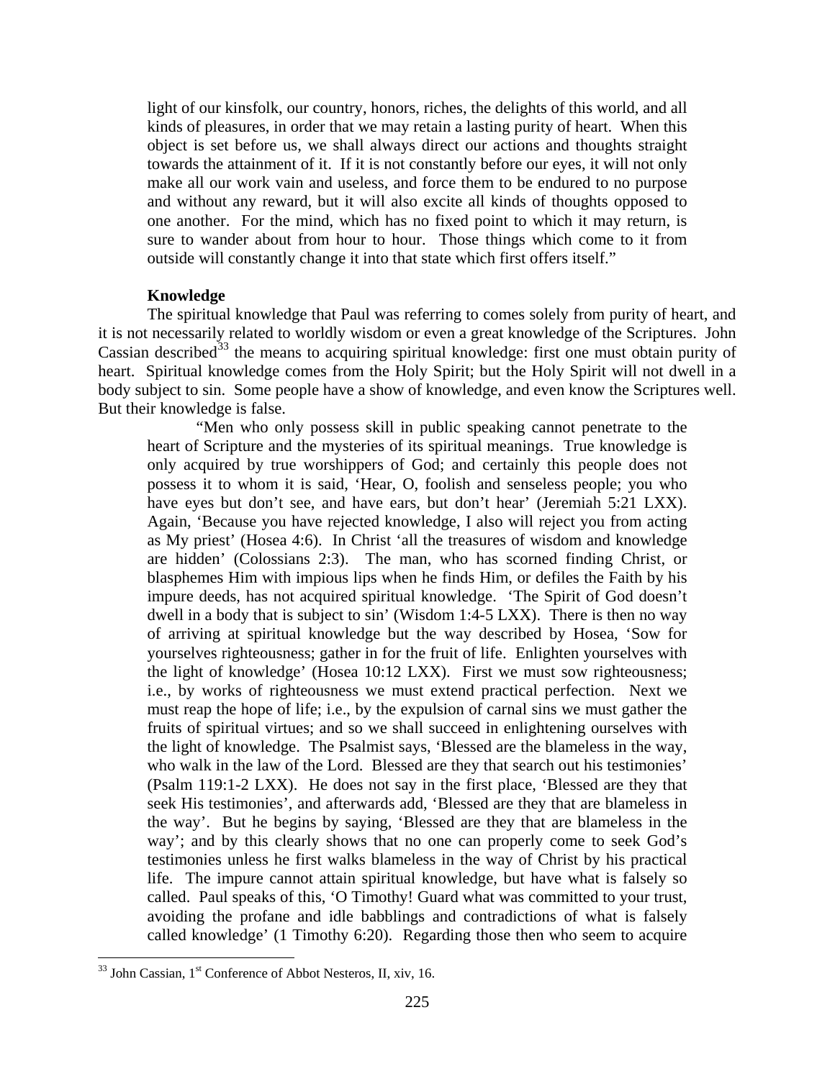light of our kinsfolk, our country, honors, riches, the delights of this world, and all kinds of pleasures, in order that we may retain a lasting purity of heart. When this object is set before us, we shall always direct our actions and thoughts straight towards the attainment of it. If it is not constantly before our eyes, it will not only make all our work vain and useless, and force them to be endured to no purpose and without any reward, but it will also excite all kinds of thoughts opposed to one another. For the mind, which has no fixed point to which it may return, is sure to wander about from hour to hour. Those things which come to it from outside will constantly change it into that state which first offers itself."

#### **Knowledge**

<span id="page-21-0"></span>The spiritual knowledge that Paul was referring to comes solely from purity of heart, and it is not necessarily related to worldly wisdom or even a great knowledge of the Scriptures. John Cassian described<sup>[33](#page-21-1)</sup> the means to acquiring spiritual knowledge: first one must obtain purity of heart. Spiritual knowledge comes from the Holy Spirit; but the Holy Spirit will not dwell in a body subject to sin. Some people have a show of knowledge, and even know the Scriptures well. But their knowledge is false.

"Men who only possess skill in public speaking cannot penetrate to the heart of Scripture and the mysteries of its spiritual meanings. True knowledge is only acquired by true worshippers of God; and certainly this people does not possess it to whom it is said, 'Hear, O, foolish and senseless people; you who have eyes but don't see, and have ears, but don't hear' (Jeremiah 5:21 LXX). Again, 'Because you have rejected knowledge, I also will reject you from acting as My priest' (Hosea 4:6). In Christ 'all the treasures of wisdom and knowledge are hidden' (Colossians 2:3). The man, who has scorned finding Christ, or blasphemes Him with impious lips when he finds Him, or defiles the Faith by his impure deeds, has not acquired spiritual knowledge. 'The Spirit of God doesn't dwell in a body that is subject to sin' (Wisdom 1:4-5 LXX). There is then no way of arriving at spiritual knowledge but the way described by Hosea, 'Sow for yourselves righteousness; gather in for the fruit of life. Enlighten yourselves with the light of knowledge' (Hosea 10:12 LXX). First we must sow righteousness; i.e., by works of righteousness we must extend practical perfection. Next we must reap the hope of life; i.e., by the expulsion of carnal sins we must gather the fruits of spiritual virtues; and so we shall succeed in enlightening ourselves with the light of knowledge. The Psalmist says, 'Blessed are the blameless in the way, who walk in the law of the Lord. Blessed are they that search out his testimonies' (Psalm 119:1-2 LXX). He does not say in the first place, 'Blessed are they that seek His testimonies', and afterwards add, 'Blessed are they that are blameless in the way'. But he begins by saying, 'Blessed are they that are blameless in the way'; and by this clearly shows that no one can properly come to seek God's testimonies unless he first walks blameless in the way of Christ by his practical life. The impure cannot attain spiritual knowledge, but have what is falsely so called. Paul speaks of this, 'O Timothy! Guard what was committed to your trust, avoiding the profane and idle babblings and contradictions of what is falsely called knowledge' (1 Timothy 6:20). Regarding those then who seem to acquire

<span id="page-21-1"></span> $33$  John Cassian,  $1<sup>st</sup>$  Conference of Abbot Nesteros, II, xiv, 16.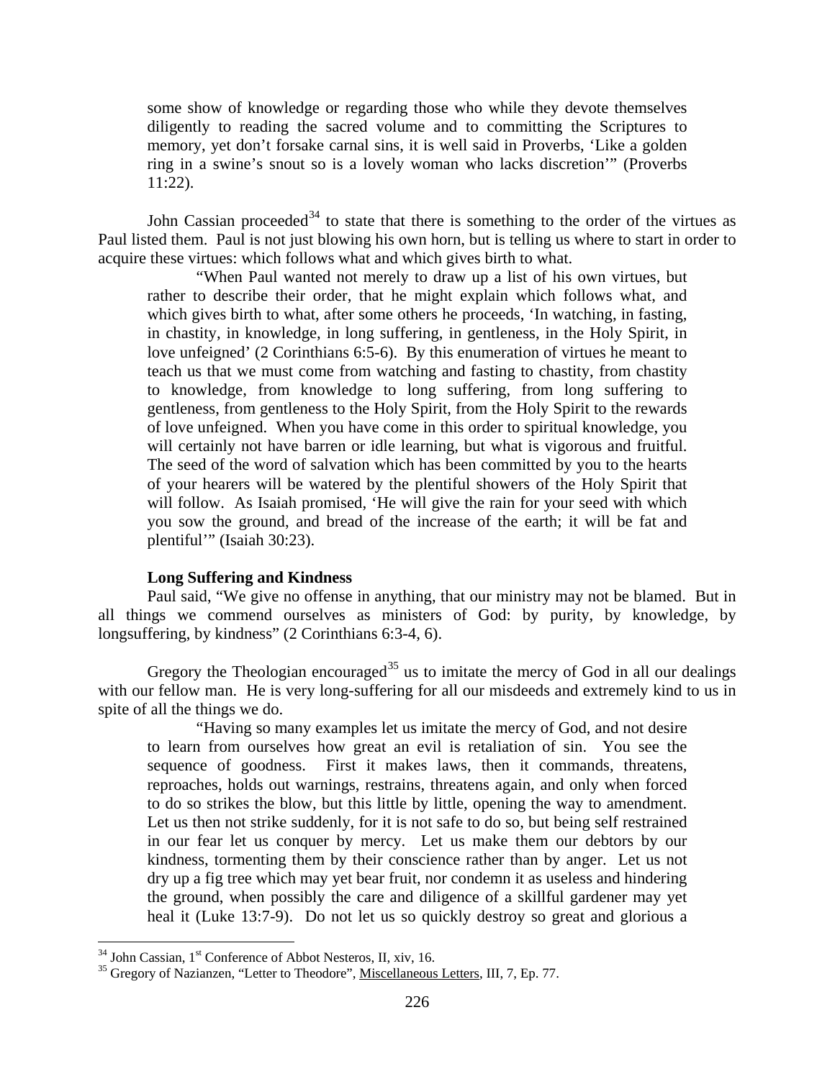some show of knowledge or regarding those who while they devote themselves diligently to reading the sacred volume and to committing the Scriptures to memory, yet don't forsake carnal sins, it is well said in Proverbs, 'Like a golden ring in a swine's snout so is a lovely woman who lacks discretion'" (Proverbs 11:22).

John Cassian proceeded<sup>[34](#page-22-1)</sup> to state that there is something to the order of the virtues as Paul listed them. Paul is not just blowing his own horn, but is telling us where to start in order to acquire these virtues: which follows what and which gives birth to what.

"When Paul wanted not merely to draw up a list of his own virtues, but rather to describe their order, that he might explain which follows what, and which gives birth to what, after some others he proceeds, 'In watching, in fasting, in chastity, in knowledge, in long suffering, in gentleness, in the Holy Spirit, in love unfeigned' (2 Corinthians 6:5-6). By this enumeration of virtues he meant to teach us that we must come from watching and fasting to chastity, from chastity to knowledge, from knowledge to long suffering, from long suffering to gentleness, from gentleness to the Holy Spirit, from the Holy Spirit to the rewards of love unfeigned. When you have come in this order to spiritual knowledge, you will certainly not have barren or idle learning, but what is vigorous and fruitful. The seed of the word of salvation which has been committed by you to the hearts of your hearers will be watered by the plentiful showers of the Holy Spirit that will follow. As Isaiah promised, 'He will give the rain for your seed with which you sow the ground, and bread of the increase of the earth; it will be fat and plentiful'" (Isaiah 30:23).

#### **Long Suffering and Kindness**

<span id="page-22-0"></span>Paul said, "We give no offense in anything, that our ministry may not be blamed. But in all things we commend ourselves as ministers of God: by purity, by knowledge, by longsuffering, by kindness" (2 Corinthians 6:3-4, 6).

Gregory the Theologian encouraged<sup>[35](#page-22-2)</sup> us to imitate the mercy of God in all our dealings with our fellow man. He is very long-suffering for all our misdeeds and extremely kind to us in spite of all the things we do.

"Having so many examples let us imitate the mercy of God, and not desire to learn from ourselves how great an evil is retaliation of sin. You see the sequence of goodness. First it makes laws, then it commands, threatens, reproaches, holds out warnings, restrains, threatens again, and only when forced to do so strikes the blow, but this little by little, opening the way to amendment. Let us then not strike suddenly, for it is not safe to do so, but being self restrained in our fear let us conquer by mercy. Let us make them our debtors by our kindness, tormenting them by their conscience rather than by anger. Let us not dry up a fig tree which may yet bear fruit, nor condemn it as useless and hindering the ground, when possibly the care and diligence of a skillful gardener may yet heal it (Luke 13:7-9). Do not let us so quickly destroy so great and glorious a

<span id="page-22-2"></span><span id="page-22-1"></span><sup>&</sup>lt;sup>34</sup> John Cassian, 1<sup>st</sup> Conference of Abbot Nesteros, II, xiv, 16.<br><sup>35</sup> Gregory of Nazianzen, "Letter to Theodore", <u>Miscellaneous Letters</u>, III, 7, Ep. 77.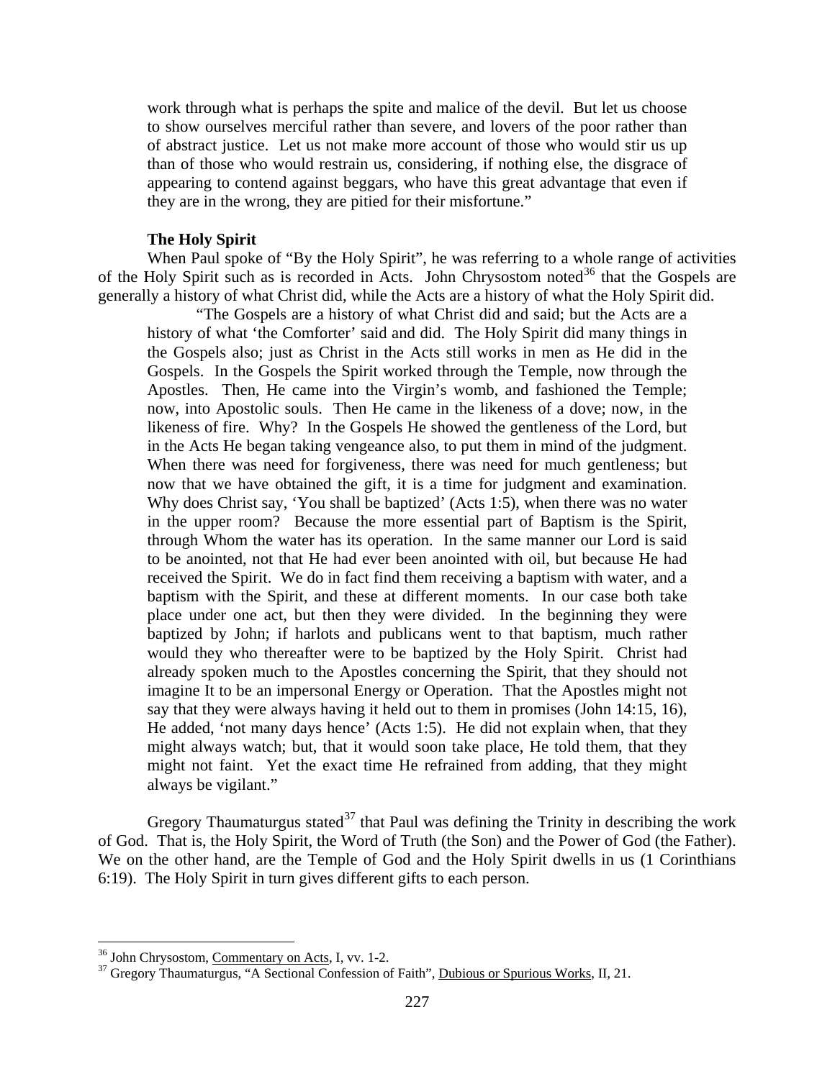work through what is perhaps the spite and malice of the devil. But let us choose to show ourselves merciful rather than severe, and lovers of the poor rather than of abstract justice. Let us not make more account of those who would stir us up than of those who would restrain us, considering, if nothing else, the disgrace of appearing to contend against beggars, who have this great advantage that even if they are in the wrong, they are pitied for their misfortune."

### **The Holy Spirit**

<span id="page-23-0"></span>When Paul spoke of "By the Holy Spirit", he was referring to a whole range of activities of the Holy Spirit such as is recorded in Acts. John Chrysostom noted<sup>[36](#page-23-1)</sup> that the Gospels are generally a history of what Christ did, while the Acts are a history of what the Holy Spirit did.

"The Gospels are a history of what Christ did and said; but the Acts are a history of what 'the Comforter' said and did. The Holy Spirit did many things in the Gospels also; just as Christ in the Acts still works in men as He did in the Gospels. In the Gospels the Spirit worked through the Temple, now through the Apostles. Then, He came into the Virgin's womb, and fashioned the Temple; now, into Apostolic souls. Then He came in the likeness of a dove; now, in the likeness of fire. Why? In the Gospels He showed the gentleness of the Lord, but in the Acts He began taking vengeance also, to put them in mind of the judgment. When there was need for forgiveness, there was need for much gentleness; but now that we have obtained the gift, it is a time for judgment and examination. Why does Christ say, 'You shall be baptized' (Acts 1:5), when there was no water in the upper room? Because the more essential part of Baptism is the Spirit, through Whom the water has its operation. In the same manner our Lord is said to be anointed, not that He had ever been anointed with oil, but because He had received the Spirit. We do in fact find them receiving a baptism with water, and a baptism with the Spirit, and these at different moments. In our case both take place under one act, but then they were divided. In the beginning they were baptized by John; if harlots and publicans went to that baptism, much rather would they who thereafter were to be baptized by the Holy Spirit. Christ had already spoken much to the Apostles concerning the Spirit, that they should not imagine It to be an impersonal Energy or Operation. That the Apostles might not say that they were always having it held out to them in promises (John 14:15, 16), He added, 'not many days hence' (Acts 1:5). He did not explain when, that they might always watch; but, that it would soon take place, He told them, that they might not faint. Yet the exact time He refrained from adding, that they might always be vigilant."

Gregory Thaumaturgus stated<sup>[37](#page-23-2)</sup> that Paul was defining the Trinity in describing the work of God. That is, the Holy Spirit, the Word of Truth (the Son) and the Power of God (the Father). We on the other hand, are the Temple of God and the Holy Spirit dwells in us (1 Corinthians 6:19). The Holy Spirit in turn gives different gifts to each person.

<span id="page-23-2"></span>

<span id="page-23-1"></span><sup>&</sup>lt;sup>36</sup> John Chrysostom, <u>Commentary on Acts</u>, I, vv. 1-2.<br><sup>37</sup> Gregory Thaumaturgus, "A Sectional Confession of Faith", <u>Dubious or Spurious Works</u>, II, 21.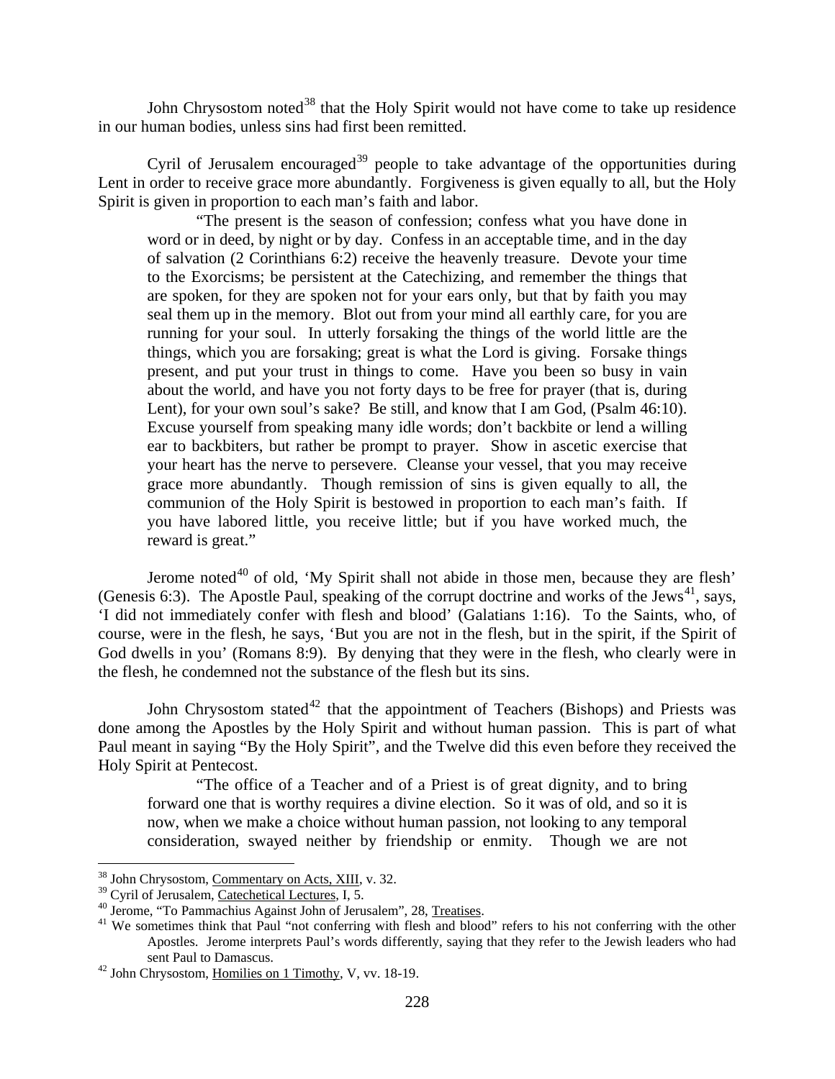John Chrysostom noted<sup>[38](#page-24-0)</sup> that the Holy Spirit would not have come to take up residence in our human bodies, unless sins had first been remitted.

Cyril of Jerusalem encouraged<sup>[39](#page-24-1)</sup> people to take advantage of the opportunities during Lent in order to receive grace more abundantly. Forgiveness is given equally to all, but the Holy Spirit is given in proportion to each man's faith and labor.

"The present is the season of confession; confess what you have done in word or in deed, by night or by day. Confess in an acceptable time, and in the day of salvation (2 Corinthians 6:2) receive the heavenly treasure. Devote your time to the Exorcisms; be persistent at the Catechizing, and remember the things that are spoken, for they are spoken not for your ears only, but that by faith you may seal them up in the memory. Blot out from your mind all earthly care, for you are running for your soul. In utterly forsaking the things of the world little are the things, which you are forsaking; great is what the Lord is giving. Forsake things present, and put your trust in things to come. Have you been so busy in vain about the world, and have you not forty days to be free for prayer (that is, during Lent), for your own soul's sake? Be still, and know that I am God, (Psalm 46:10). Excuse yourself from speaking many idle words; don't backbite or lend a willing ear to backbiters, but rather be prompt to prayer. Show in ascetic exercise that your heart has the nerve to persevere. Cleanse your vessel, that you may receive grace more abundantly. Though remission of sins is given equally to all, the communion of the Holy Spirit is bestowed in proportion to each man's faith. If you have labored little, you receive little; but if you have worked much, the reward is great."

Jerome noted<sup>[40](#page-24-2)</sup> of old, 'My Spirit shall not abide in those men, because they are flesh' (Genesis 6:3). The Apostle Paul, speaking of the corrupt doctrine and works of the Jews<sup>[41](#page-24-3)</sup>, says, 'I did not immediately confer with flesh and blood' (Galatians 1:16). To the Saints, who, of course, were in the flesh, he says, 'But you are not in the flesh, but in the spirit, if the Spirit of God dwells in you' (Romans 8:9). By denying that they were in the flesh, who clearly were in the flesh, he condemned not the substance of the flesh but its sins.

John Chrysostom stated<sup>[42](#page-24-4)</sup> that the appointment of Teachers (Bishops) and Priests was done among the Apostles by the Holy Spirit and without human passion. This is part of what Paul meant in saying "By the Holy Spirit", and the Twelve did this even before they received the Holy Spirit at Pentecost.

"The office of a Teacher and of a Priest is of great dignity, and to bring forward one that is worthy requires a divine election. So it was of old, and so it is now, when we make a choice without human passion, not looking to any temporal consideration, swayed neither by friendship or enmity. Though we are not

<span id="page-24-0"></span> $38$  John Chrysostom, <u>Commentary on Acts, XIII</u>, v. 32.<br> $39$  Cyril of Jerusalem, Catechetical Lectures, I, 5.

<span id="page-24-3"></span><span id="page-24-2"></span><span id="page-24-1"></span><sup>&</sup>lt;sup>40</sup> Jerome, "To Pammachius Against John of Jerusalem", 28, <u>Treatises</u>.<br><sup>41</sup> We sometimes think that Paul "not conferring with flesh and blood" refers to his not conferring with the other Apostles. Jerome interprets Paul's words differently, saying that they refer to the Jewish leaders who had sent Paul to Damascus.<br><sup>42</sup> John Chrysostom, Homilies on 1 Timothy, V, vv. 18-19.

<span id="page-24-4"></span>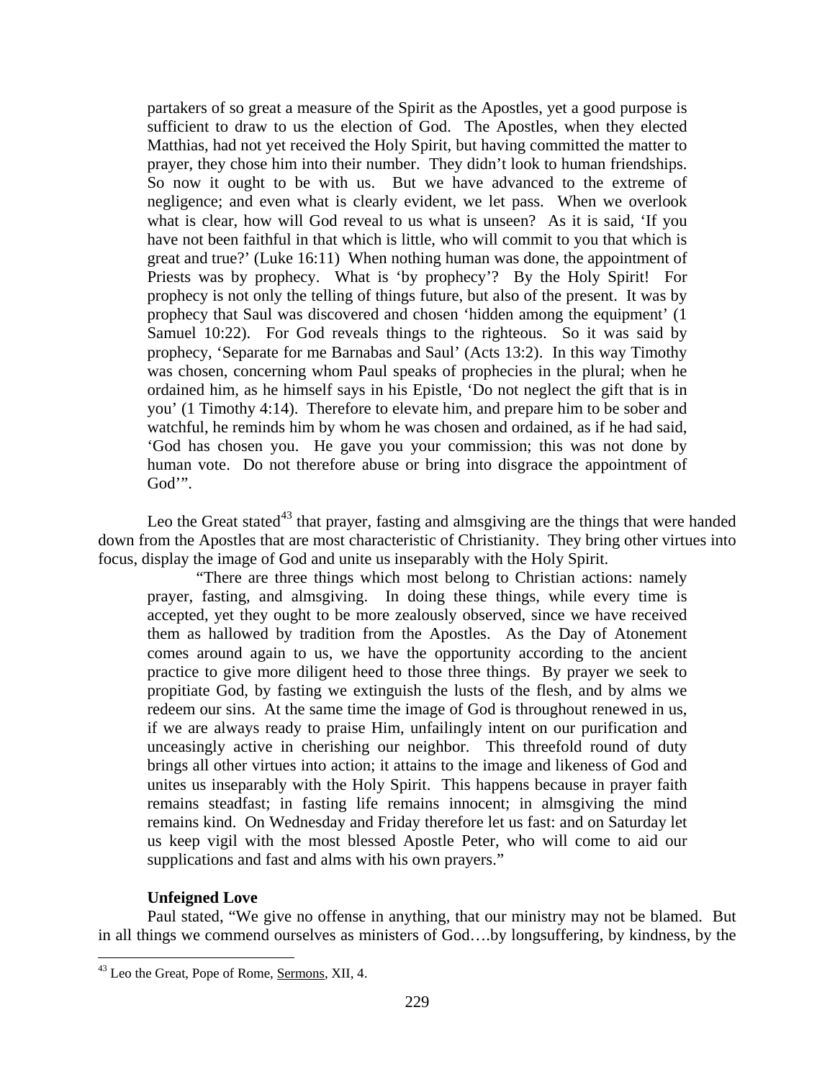partakers of so great a measure of the Spirit as the Apostles, yet a good purpose is sufficient to draw to us the election of God. The Apostles, when they elected Matthias, had not yet received the Holy Spirit, but having committed the matter to prayer, they chose him into their number. They didn't look to human friendships. So now it ought to be with us. But we have advanced to the extreme of negligence; and even what is clearly evident, we let pass. When we overlook what is clear, how will God reveal to us what is unseen? As it is said, 'If you have not been faithful in that which is little, who will commit to you that which is great and true?' (Luke 16:11) When nothing human was done, the appointment of Priests was by prophecy. What is 'by prophecy'? By the Holy Spirit! For prophecy is not only the telling of things future, but also of the present. It was by prophecy that Saul was discovered and chosen 'hidden among the equipment' (1 Samuel 10:22). For God reveals things to the righteous. So it was said by prophecy, 'Separate for me Barnabas and Saul' (Acts 13:2). In this way Timothy was chosen, concerning whom Paul speaks of prophecies in the plural; when he ordained him, as he himself says in his Epistle, 'Do not neglect the gift that is in you' (1 Timothy 4:14). Therefore to elevate him, and prepare him to be sober and watchful, he reminds him by whom he was chosen and ordained, as if he had said, 'God has chosen you. He gave you your commission; this was not done by human vote. Do not therefore abuse or bring into disgrace the appointment of God'".

Leo the Great stated<sup>[43](#page-25-1)</sup> that prayer, fasting and almsgiving are the things that were handed down from the Apostles that are most characteristic of Christianity. They bring other virtues into focus, display the image of God and unite us inseparably with the Holy Spirit.

"There are three things which most belong to Christian actions: namely prayer, fasting, and almsgiving. In doing these things, while every time is accepted, yet they ought to be more zealously observed, since we have received them as hallowed by tradition from the Apostles. As the Day of Atonement comes around again to us, we have the opportunity according to the ancient practice to give more diligent heed to those three things. By prayer we seek to propitiate God, by fasting we extinguish the lusts of the flesh, and by alms we redeem our sins. At the same time the image of God is throughout renewed in us, if we are always ready to praise Him, unfailingly intent on our purification and unceasingly active in cherishing our neighbor. This threefold round of duty brings all other virtues into action; it attains to the image and likeness of God and unites us inseparably with the Holy Spirit. This happens because in prayer faith remains steadfast; in fasting life remains innocent; in almsgiving the mind remains kind. On Wednesday and Friday therefore let us fast: and on Saturday let us keep vigil with the most blessed Apostle Peter, who will come to aid our supplications and fast and alms with his own prayers."

# **Unfeigned Love**

<span id="page-25-0"></span>Paul stated, "We give no offense in anything, that our ministry may not be blamed. But in all things we commend ourselves as ministers of God….by longsuffering, by kindness, by the

<span id="page-25-1"></span> <sup>43</sup> Leo the Great, Pope of Rome, Sermons, XII, 4.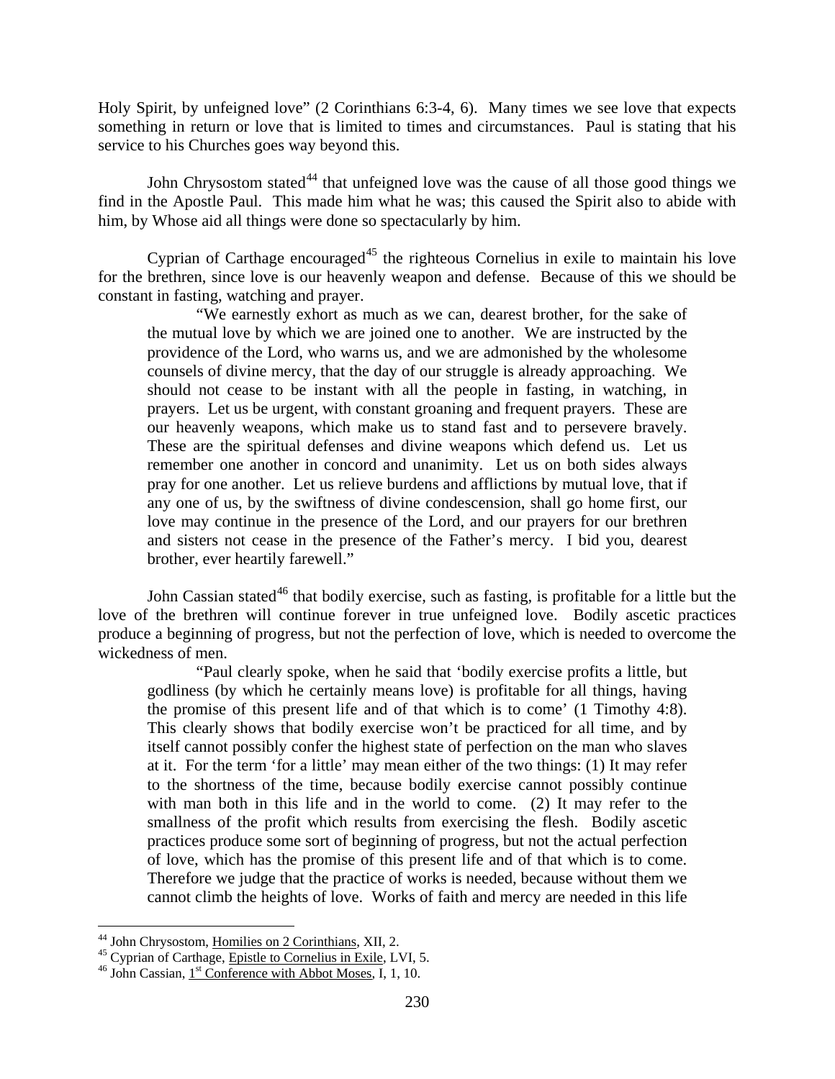Holy Spirit, by unfeigned love" (2 Corinthians 6:3-4, 6). Many times we see love that expects something in return or love that is limited to times and circumstances. Paul is stating that his service to his Churches goes way beyond this.

John Chrysostom stated<sup>[44](#page-26-0)</sup> that unfeigned love was the cause of all those good things we find in the Apostle Paul. This made him what he was; this caused the Spirit also to abide with him, by Whose aid all things were done so spectacularly by him.

Cyprian of Carthage encouraged<sup> $45$ </sup> the righteous Cornelius in exile to maintain his love for the brethren, since love is our heavenly weapon and defense. Because of this we should be constant in fasting, watching and prayer.

"We earnestly exhort as much as we can, dearest brother, for the sake of the mutual love by which we are joined one to another. We are instructed by the providence of the Lord, who warns us, and we are admonished by the wholesome counsels of divine mercy, that the day of our struggle is already approaching. We should not cease to be instant with all the people in fasting, in watching, in prayers. Let us be urgent, with constant groaning and frequent prayers. These are our heavenly weapons, which make us to stand fast and to persevere bravely. These are the spiritual defenses and divine weapons which defend us. Let us remember one another in concord and unanimity. Let us on both sides always pray for one another. Let us relieve burdens and afflictions by mutual love, that if any one of us, by the swiftness of divine condescension, shall go home first, our love may continue in the presence of the Lord, and our prayers for our brethren and sisters not cease in the presence of the Father's mercy. I bid you, dearest brother, ever heartily farewell."

John Cassian stated<sup>[46](#page-26-2)</sup> that bodily exercise, such as fasting, is profitable for a little but the love of the brethren will continue forever in true unfeigned love. Bodily ascetic practices produce a beginning of progress, but not the perfection of love, which is needed to overcome the wickedness of men.

"Paul clearly spoke, when he said that 'bodily exercise profits a little, but godliness (by which he certainly means love) is profitable for all things, having the promise of this present life and of that which is to come' (1 Timothy 4:8). This clearly shows that bodily exercise won't be practiced for all time, and by itself cannot possibly confer the highest state of perfection on the man who slaves at it. For the term 'for a little' may mean either of the two things: (1) It may refer to the shortness of the time, because bodily exercise cannot possibly continue with man both in this life and in the world to come. (2) It may refer to the smallness of the profit which results from exercising the flesh. Bodily ascetic practices produce some sort of beginning of progress, but not the actual perfection of love, which has the promise of this present life and of that which is to come. Therefore we judge that the practice of works is needed, because without them we cannot climb the heights of love. Works of faith and mercy are needed in this life

<span id="page-26-1"></span><span id="page-26-0"></span><sup>&</sup>lt;sup>44</sup> John Chrysostom, <u>Homilies on 2 Corinthians</u>, XII, 2.<br><sup>45</sup> Cyprian of Carthage, <u>Epistle to Cornelius in Exile</u>, LVI, 5.<br><sup>46</sup> John Cassian, 1<sup>st</sup> Conference with Abbot Moses, I, 1, 10.

<span id="page-26-2"></span>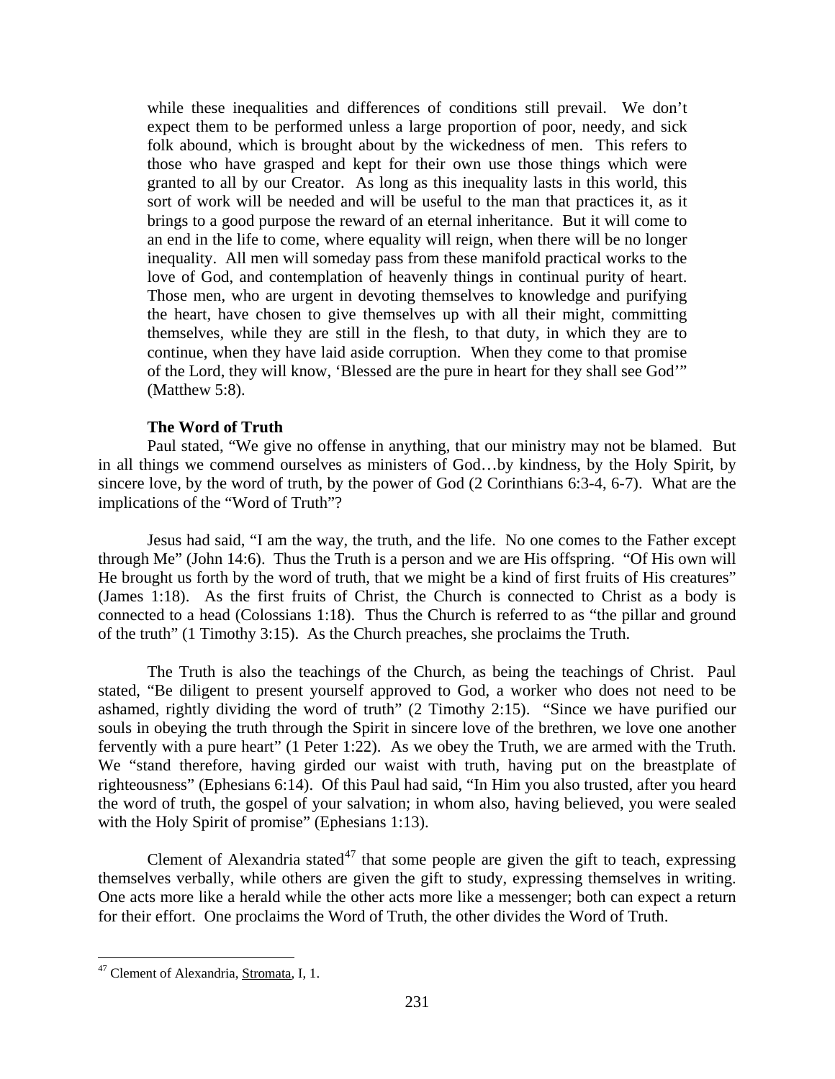while these inequalities and differences of conditions still prevail. We don't expect them to be performed unless a large proportion of poor, needy, and sick folk abound, which is brought about by the wickedness of men. This refers to those who have grasped and kept for their own use those things which were granted to all by our Creator. As long as this inequality lasts in this world, this sort of work will be needed and will be useful to the man that practices it, as it brings to a good purpose the reward of an eternal inheritance. But it will come to an end in the life to come, where equality will reign, when there will be no longer inequality. All men will someday pass from these manifold practical works to the love of God, and contemplation of heavenly things in continual purity of heart. Those men, who are urgent in devoting themselves to knowledge and purifying the heart, have chosen to give themselves up with all their might, committing themselves, while they are still in the flesh, to that duty, in which they are to continue, when they have laid aside corruption. When they come to that promise of the Lord, they will know, 'Blessed are the pure in heart for they shall see God'" (Matthew 5:8).

### **The Word of Truth**

<span id="page-27-0"></span>Paul stated, "We give no offense in anything, that our ministry may not be blamed. But in all things we commend ourselves as ministers of God…by kindness, by the Holy Spirit, by sincere love, by the word of truth, by the power of God (2 Corinthians 6:3-4, 6-7). What are the implications of the "Word of Truth"?

Jesus had said, "I am the way, the truth, and the life. No one comes to the Father except through Me" (John 14:6). Thus the Truth is a person and we are His offspring. "Of His own will He brought us forth by the word of truth, that we might be a kind of first fruits of His creatures" (James 1:18). As the first fruits of Christ, the Church is connected to Christ as a body is connected to a head (Colossians 1:18). Thus the Church is referred to as "the pillar and ground of the truth" (1 Timothy 3:15). As the Church preaches, she proclaims the Truth.

The Truth is also the teachings of the Church, as being the teachings of Christ. Paul stated, "Be diligent to present yourself approved to God, a worker who does not need to be ashamed, rightly dividing the word of truth" (2 Timothy 2:15). "Since we have purified our souls in obeying the truth through the Spirit in sincere love of the brethren, we love one another fervently with a pure heart" (1 Peter 1:22). As we obey the Truth, we are armed with the Truth. We "stand therefore, having girded our waist with truth, having put on the breastplate of righteousness" (Ephesians 6:14). Of this Paul had said, "In Him you also trusted, after you heard the word of truth, the gospel of your salvation; in whom also, having believed, you were sealed with the Holy Spirit of promise" (Ephesians 1:13).

Clement of Alexandria stated<sup>[47](#page-27-1)</sup> that some people are given the gift to teach, expressing themselves verbally, while others are given the gift to study, expressing themselves in writing. One acts more like a herald while the other acts more like a messenger; both can expect a return for their effort. One proclaims the Word of Truth, the other divides the Word of Truth.

<span id="page-27-1"></span><sup>&</sup>lt;sup>47</sup> Clement of Alexandria, Stromata, I, 1.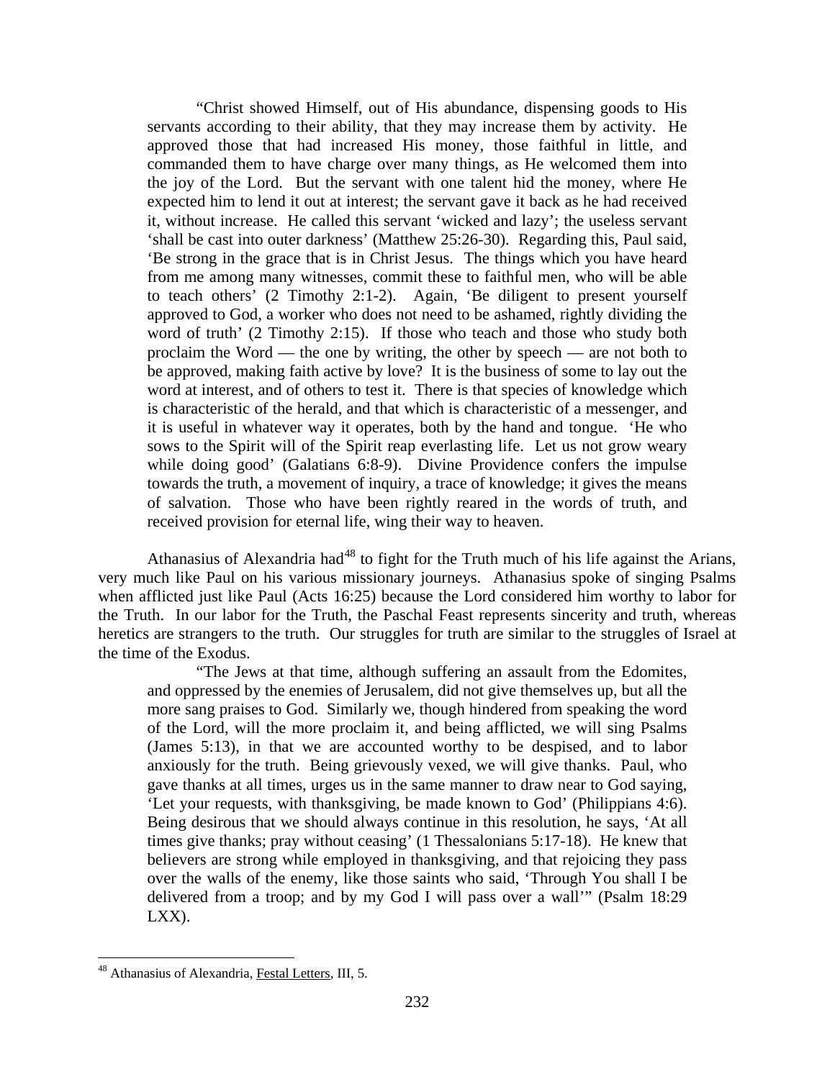"Christ showed Himself, out of His abundance, dispensing goods to His servants according to their ability, that they may increase them by activity. He approved those that had increased His money, those faithful in little, and commanded them to have charge over many things, as He welcomed them into the joy of the Lord. But the servant with one talent hid the money, where He expected him to lend it out at interest; the servant gave it back as he had received it, without increase. He called this servant 'wicked and lazy'; the useless servant 'shall be cast into outer darkness' (Matthew 25:26-30). Regarding this, Paul said, 'Be strong in the grace that is in Christ Jesus. The things which you have heard from me among many witnesses, commit these to faithful men, who will be able to teach others' (2 Timothy 2:1-2). Again, 'Be diligent to present yourself approved to God, a worker who does not need to be ashamed, rightly dividing the word of truth' (2 Timothy 2:15). If those who teach and those who study both proclaim the Word — the one by writing, the other by speech — are not both to be approved, making faith active by love? It is the business of some to lay out the word at interest, and of others to test it. There is that species of knowledge which is characteristic of the herald, and that which is characteristic of a messenger, and it is useful in whatever way it operates, both by the hand and tongue. 'He who sows to the Spirit will of the Spirit reap everlasting life. Let us not grow weary while doing good' (Galatians 6:8-9). Divine Providence confers the impulse towards the truth, a movement of inquiry, a trace of knowledge; it gives the means of salvation. Those who have been rightly reared in the words of truth, and received provision for eternal life, wing their way to heaven.

Athanasius of Alexandria had<sup>[48](#page-28-0)</sup> to fight for the Truth much of his life against the Arians, very much like Paul on his various missionary journeys. Athanasius spoke of singing Psalms when afflicted just like Paul (Acts 16:25) because the Lord considered him worthy to labor for the Truth. In our labor for the Truth, the Paschal Feast represents sincerity and truth, whereas heretics are strangers to the truth. Our struggles for truth are similar to the struggles of Israel at the time of the Exodus.

"The Jews at that time, although suffering an assault from the Edomites, and oppressed by the enemies of Jerusalem, did not give themselves up, but all the more sang praises to God. Similarly we, though hindered from speaking the word of the Lord, will the more proclaim it, and being afflicted, we will sing Psalms (James 5:13), in that we are accounted worthy to be despised, and to labor anxiously for the truth. Being grievously vexed, we will give thanks. Paul, who gave thanks at all times, urges us in the same manner to draw near to God saying, 'Let your requests, with thanksgiving, be made known to God' (Philippians 4:6). Being desirous that we should always continue in this resolution, he says, 'At all times give thanks; pray without ceasing' (1 Thessalonians 5:17-18). He knew that believers are strong while employed in thanksgiving, and that rejoicing they pass over the walls of the enemy, like those saints who said, 'Through You shall I be delivered from a troop; and by my God I will pass over a wall'" (Psalm 18:29 LXX).

<span id="page-28-0"></span><sup>&</sup>lt;sup>48</sup> Athanasius of Alexandria, Festal Letters, III, 5.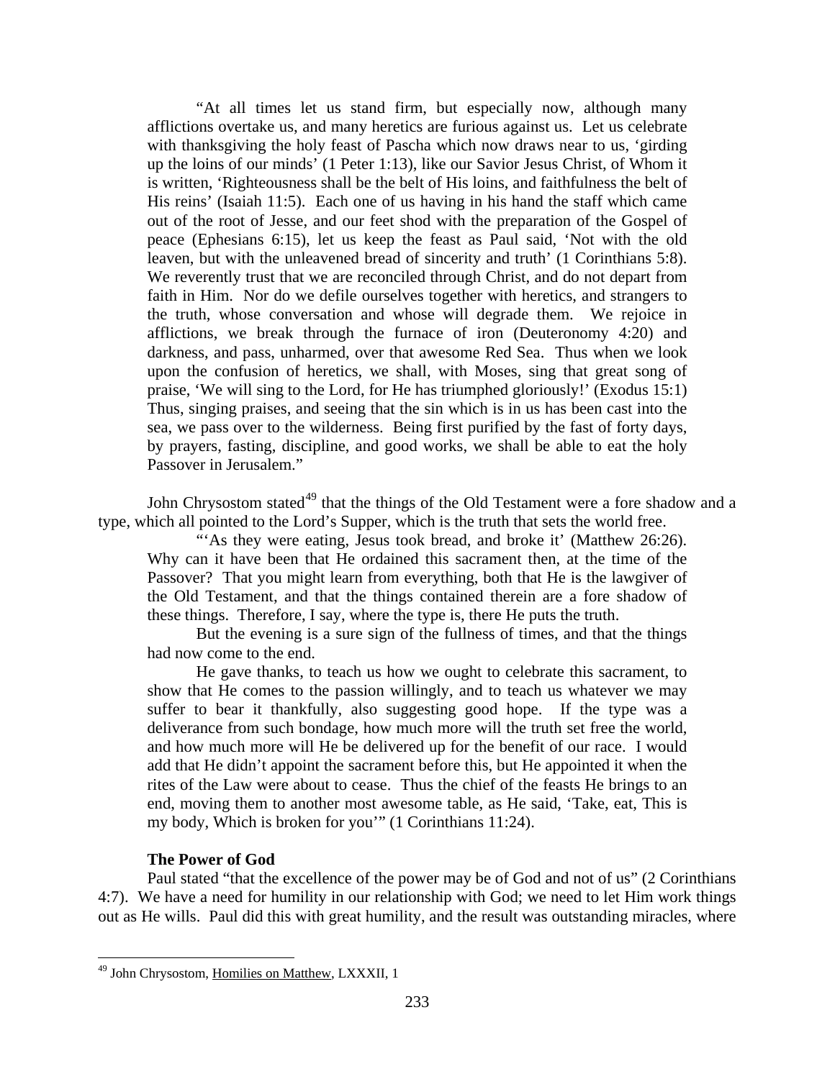"At all times let us stand firm, but especially now, although many afflictions overtake us, and many heretics are furious against us. Let us celebrate with thanksgiving the holy feast of Pascha which now draws near to us, 'girding up the loins of our minds' (1 Peter 1:13), like our Savior Jesus Christ, of Whom it is written, 'Righteousness shall be the belt of His loins, and faithfulness the belt of His reins' (Isaiah 11:5). Each one of us having in his hand the staff which came out of the root of Jesse, and our feet shod with the preparation of the Gospel of peace (Ephesians 6:15), let us keep the feast as Paul said, 'Not with the old leaven, but with the unleavened bread of sincerity and truth' (1 Corinthians 5:8). We reverently trust that we are reconciled through Christ, and do not depart from faith in Him. Nor do we defile ourselves together with heretics, and strangers to the truth, whose conversation and whose will degrade them. We rejoice in afflictions, we break through the furnace of iron (Deuteronomy 4:20) and darkness, and pass, unharmed, over that awesome Red Sea. Thus when we look upon the confusion of heretics, we shall, with Moses, sing that great song of praise, 'We will sing to the Lord, for He has triumphed gloriously!' (Exodus 15:1) Thus, singing praises, and seeing that the sin which is in us has been cast into the sea, we pass over to the wilderness. Being first purified by the fast of forty days, by prayers, fasting, discipline, and good works, we shall be able to eat the holy Passover in Jerusalem."

John Chrysostom stated<sup>[49](#page-29-1)</sup> that the things of the Old Testament were a fore shadow and a type, which all pointed to the Lord's Supper, which is the truth that sets the world free.

"As they were eating, Jesus took bread, and broke it' (Matthew 26:26). Why can it have been that He ordained this sacrament then, at the time of the Passover? That you might learn from everything, both that He is the lawgiver of the Old Testament, and that the things contained therein are a fore shadow of these things. Therefore, I say, where the type is, there He puts the truth.

But the evening is a sure sign of the fullness of times, and that the things had now come to the end.

He gave thanks, to teach us how we ought to celebrate this sacrament, to show that He comes to the passion willingly, and to teach us whatever we may suffer to bear it thankfully, also suggesting good hope. If the type was a deliverance from such bondage, how much more will the truth set free the world, and how much more will He be delivered up for the benefit of our race. I would add that He didn't appoint the sacrament before this, but He appointed it when the rites of the Law were about to cease. Thus the chief of the feasts He brings to an end, moving them to another most awesome table, as He said, 'Take, eat, This is my body, Which is broken for you'" (1 Corinthians 11:24).

#### **The Power of God**

<span id="page-29-0"></span>Paul stated "that the excellence of the power may be of God and not of us" (2 Corinthians 4:7). We have a need for humility in our relationship with God; we need to let Him work things out as He wills. Paul did this with great humility, and the result was outstanding miracles, where

<span id="page-29-1"></span><sup>&</sup>lt;sup>49</sup> John Chrysostom, Homilies on Matthew, LXXXII, 1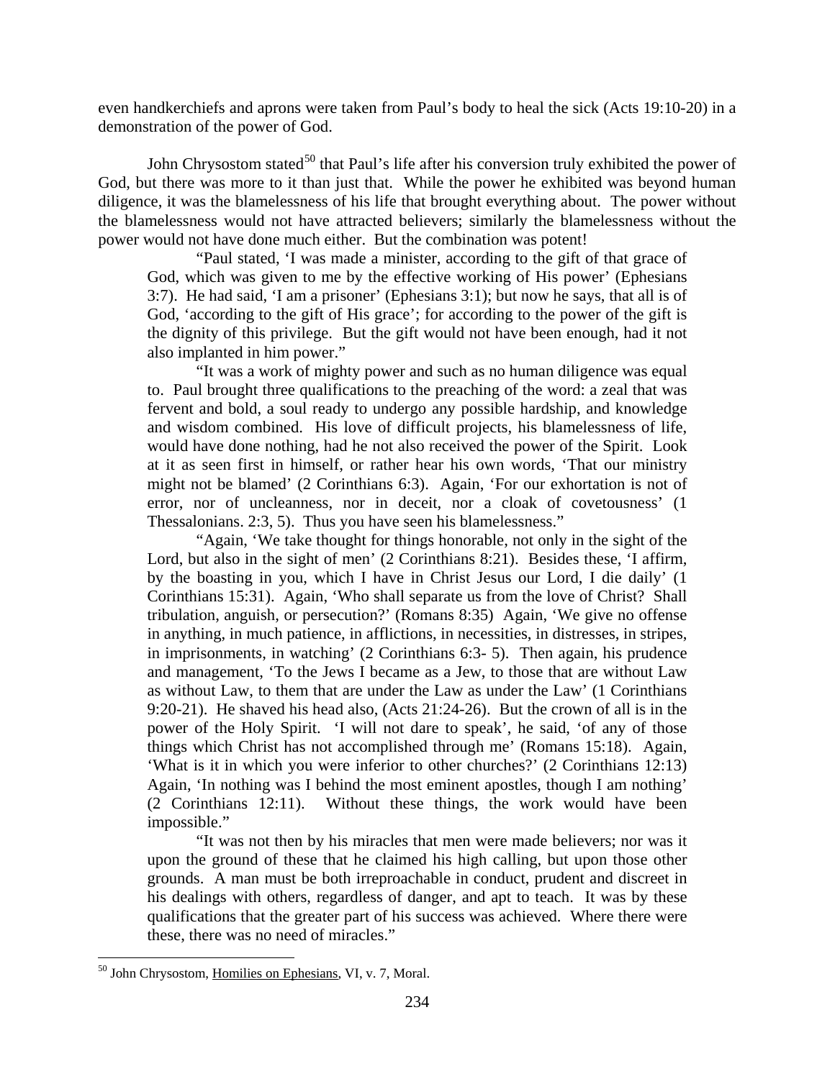even handkerchiefs and aprons were taken from Paul's body to heal the sick (Acts 19:10-20) in a demonstration of the power of God.

John Chrysostom stated<sup>[50](#page-30-0)</sup> that Paul's life after his conversion truly exhibited the power of God, but there was more to it than just that. While the power he exhibited was beyond human diligence, it was the blamelessness of his life that brought everything about. The power without the blamelessness would not have attracted believers; similarly the blamelessness without the power would not have done much either. But the combination was potent!

"Paul stated, 'I was made a minister, according to the gift of that grace of God, which was given to me by the effective working of His power' (Ephesians 3:7). He had said, 'I am a prisoner' (Ephesians 3:1); but now he says, that all is of God, 'according to the gift of His grace'; for according to the power of the gift is the dignity of this privilege. But the gift would not have been enough, had it not also implanted in him power."

"It was a work of mighty power and such as no human diligence was equal to. Paul brought three qualifications to the preaching of the word: a zeal that was fervent and bold, a soul ready to undergo any possible hardship, and knowledge and wisdom combined. His love of difficult projects, his blamelessness of life, would have done nothing, had he not also received the power of the Spirit. Look at it as seen first in himself, or rather hear his own words, 'That our ministry might not be blamed' (2 Corinthians 6:3). Again, 'For our exhortation is not of error, nor of uncleanness, nor in deceit, nor a cloak of covetousness' (1 Thessalonians. 2:3, 5). Thus you have seen his blamelessness."

"Again, 'We take thought for things honorable, not only in the sight of the Lord, but also in the sight of men' (2 Corinthians 8:21). Besides these, 'I affirm, by the boasting in you, which I have in Christ Jesus our Lord, I die daily' (1 Corinthians 15:31). Again, 'Who shall separate us from the love of Christ? Shall tribulation, anguish, or persecution?' (Romans 8:35) Again, 'We give no offense in anything, in much patience, in afflictions, in necessities, in distresses, in stripes, in imprisonments, in watching' (2 Corinthians 6:3- 5). Then again, his prudence and management, 'To the Jews I became as a Jew, to those that are without Law as without Law, to them that are under the Law as under the Law' (1 Corinthians 9:20-21). He shaved his head also, (Acts 21:24-26). But the crown of all is in the power of the Holy Spirit. 'I will not dare to speak', he said, 'of any of those things which Christ has not accomplished through me' (Romans 15:18). Again, 'What is it in which you were inferior to other churches?' (2 Corinthians 12:13) Again, 'In nothing was I behind the most eminent apostles, though I am nothing' (2 Corinthians 12:11). Without these things, the work would have been impossible."

"It was not then by his miracles that men were made believers; nor was it upon the ground of these that he claimed his high calling, but upon those other grounds. A man must be both irreproachable in conduct, prudent and discreet in his dealings with others, regardless of danger, and apt to teach. It was by these qualifications that the greater part of his success was achieved. Where there were these, there was no need of miracles."

<span id="page-30-0"></span> <sup>50</sup> John Chrysostom, Homilies on Ephesians, VI, v. 7, Moral.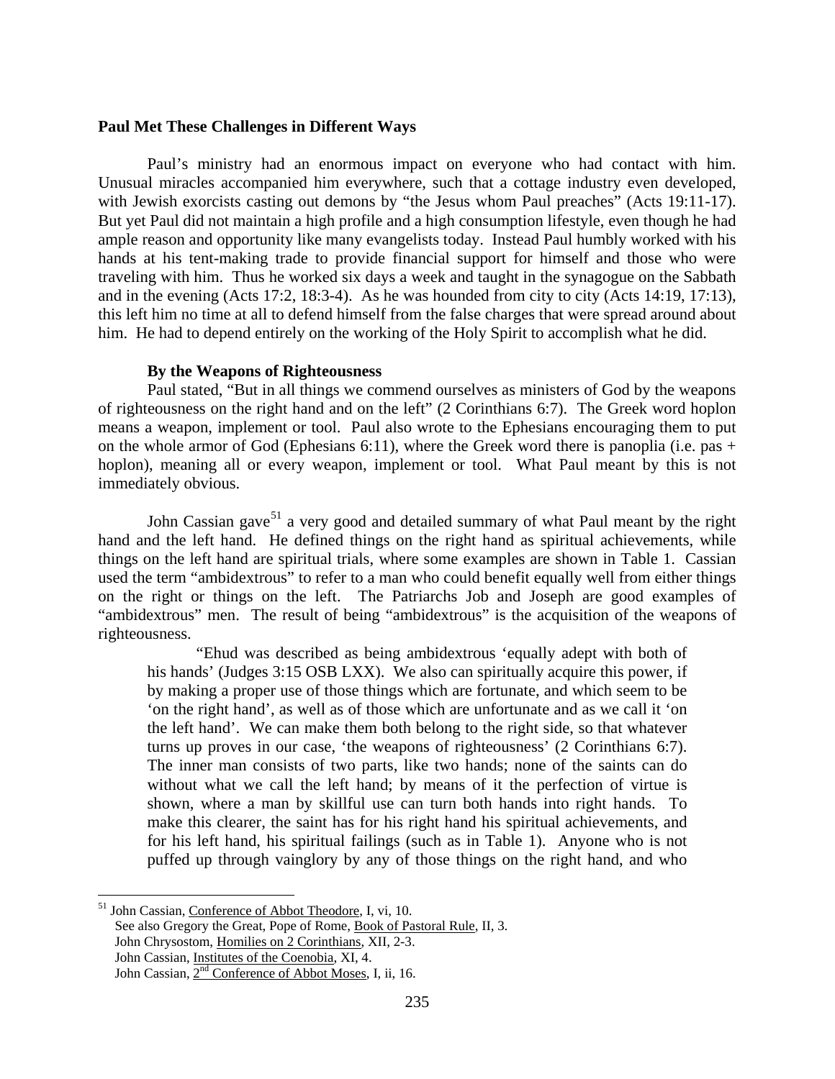#### <span id="page-31-0"></span>**Paul Met These Challenges in Different Ways**

Paul's ministry had an enormous impact on everyone who had contact with him. Unusual miracles accompanied him everywhere, such that a cottage industry even developed, with Jewish exorcists casting out demons by "the Jesus whom Paul preaches" (Acts 19:11-17). But yet Paul did not maintain a high profile and a high consumption lifestyle, even though he had ample reason and opportunity like many evangelists today. Instead Paul humbly worked with his hands at his tent-making trade to provide financial support for himself and those who were traveling with him. Thus he worked six days a week and taught in the synagogue on the Sabbath and in the evening (Acts 17:2, 18:3-4). As he was hounded from city to city (Acts 14:19, 17:13), this left him no time at all to defend himself from the false charges that were spread around about him. He had to depend entirely on the working of the Holy Spirit to accomplish what he did.

#### **By the Weapons of Righteousness**

<span id="page-31-1"></span>Paul stated, "But in all things we commend ourselves as ministers of God by the weapons of righteousness on the right hand and on the left" (2 Corinthians 6:7). The Greek word hoplon means a weapon, implement or tool. Paul also wrote to the Ephesians encouraging them to put on the whole armor of God (Ephesians 6:11), where the Greek word there is panoplia (i.e. pas + hoplon), meaning all or every weapon, implement or tool. What Paul meant by this is not immediately obvious.

John Cassian gave<sup>[51](#page-31-2)</sup> a very good and detailed summary of what Paul meant by the right hand and the left hand. He defined things on the right hand as spiritual achievements, while things on the left hand are spiritual trials, where some examples are shown in Table 1. Cassian used the term "ambidextrous" to refer to a man who could benefit equally well from either things on the right or things on the left. The Patriarchs Job and Joseph are good examples of "ambidextrous" men. The result of being "ambidextrous" is the acquisition of the weapons of righteousness.

"Ehud was described as being ambidextrous 'equally adept with both of his hands' (Judges 3:15 OSB LXX). We also can spiritually acquire this power, if by making a proper use of those things which are fortunate, and which seem to be 'on the right hand', as well as of those which are unfortunate and as we call it 'on the left hand'. We can make them both belong to the right side, so that whatever turns up proves in our case, 'the weapons of righteousness' (2 Corinthians 6:7). The inner man consists of two parts, like two hands; none of the saints can do without what we call the left hand; by means of it the perfection of virtue is shown, where a man by skillful use can turn both hands into right hands. To make this clearer, the saint has for his right hand his spiritual achievements, and for his left hand, his spiritual failings (such as in Table 1). Anyone who is not puffed up through vainglory by any of those things on the right hand, and who

<span id="page-31-2"></span><sup>&</sup>lt;sup>51</sup> John Cassian, Conference of Abbot Theodore, I, vi, 10.

See also Gregory the Great, Pope of Rome, Book of Pastoral Rule, II, 3.

John Chrysostom, Homilies on 2 Corinthians, XII, 2-3.

John Cassian, Institutes of the Coenobia, XI, 4.

John Cassian,  $2<sup>nd</sup>$  Conference of Abbot Moses, I, ii, 16.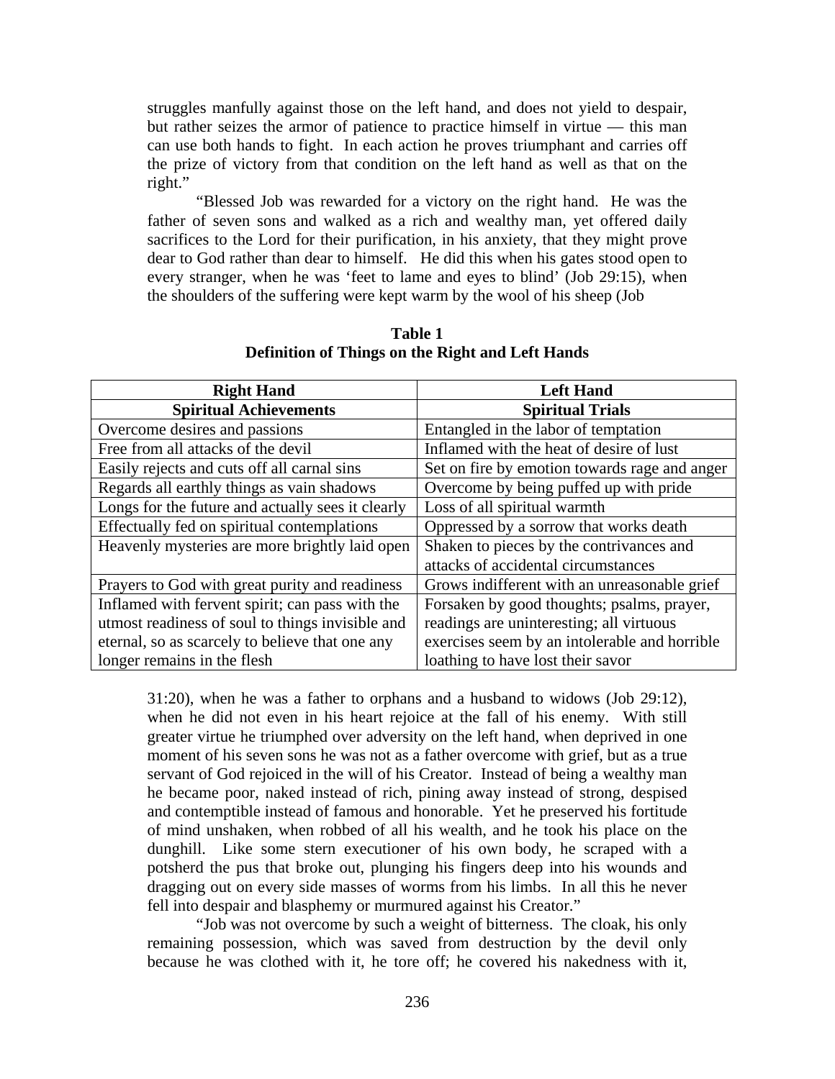struggles manfully against those on the left hand, and does not yield to despair, but rather seizes the armor of patience to practice himself in virtue — this man can use both hands to fight. In each action he proves triumphant and carries off the prize of victory from that condition on the left hand as well as that on the right."

"Blessed Job was rewarded for a victory on the right hand. He was the father of seven sons and walked as a rich and wealthy man, yet offered daily sacrifices to the Lord for their purification, in his anxiety, that they might prove dear to God rather than dear to himself. He did this when his gates stood open to every stranger, when he was 'feet to lame and eyes to blind' (Job 29:15), when the shoulders of the suffering were kept warm by the wool of his sheep (Job

| <b>Right Hand</b>                                 | <b>Left Hand</b>                              |
|---------------------------------------------------|-----------------------------------------------|
| <b>Spiritual Achievements</b>                     | <b>Spiritual Trials</b>                       |
| Overcome desires and passions                     | Entangled in the labor of temptation          |
| Free from all attacks of the devil                | Inflamed with the heat of desire of lust      |
| Easily rejects and cuts off all carnal sins       | Set on fire by emotion towards rage and anger |
| Regards all earthly things as vain shadows        | Overcome by being puffed up with pride        |
| Longs for the future and actually sees it clearly | Loss of all spiritual warmth                  |
| Effectually fed on spiritual contemplations       | Oppressed by a sorrow that works death        |
| Heavenly mysteries are more brightly laid open    | Shaken to pieces by the contrivances and      |
|                                                   | attacks of accidental circumstances           |
| Prayers to God with great purity and readiness    | Grows indifferent with an unreasonable grief  |
| Inflamed with fervent spirit; can pass with the   | Forsaken by good thoughts; psalms, prayer,    |
| utmost readiness of soul to things invisible and  | readings are uninteresting; all virtuous      |
| eternal, so as scarcely to believe that one any   | exercises seem by an intolerable and horrible |
| longer remains in the flesh                       | loathing to have lost their savor             |

**Table 1 Definition of Things on the Right and Left Hands**

31:20), when he was a father to orphans and a husband to widows (Job 29:12), when he did not even in his heart rejoice at the fall of his enemy. With still greater virtue he triumphed over adversity on the left hand, when deprived in one moment of his seven sons he was not as a father overcome with grief, but as a true servant of God rejoiced in the will of his Creator. Instead of being a wealthy man he became poor, naked instead of rich, pining away instead of strong, despised and contemptible instead of famous and honorable. Yet he preserved his fortitude of mind unshaken, when robbed of all his wealth, and he took his place on the dunghill. Like some stern executioner of his own body, he scraped with a potsherd the pus that broke out, plunging his fingers deep into his wounds and dragging out on every side masses of worms from his limbs. In all this he never fell into despair and blasphemy or murmured against his Creator."

"Job was not overcome by such a weight of bitterness. The cloak, his only remaining possession, which was saved from destruction by the devil only because he was clothed with it, he tore off; he covered his nakedness with it,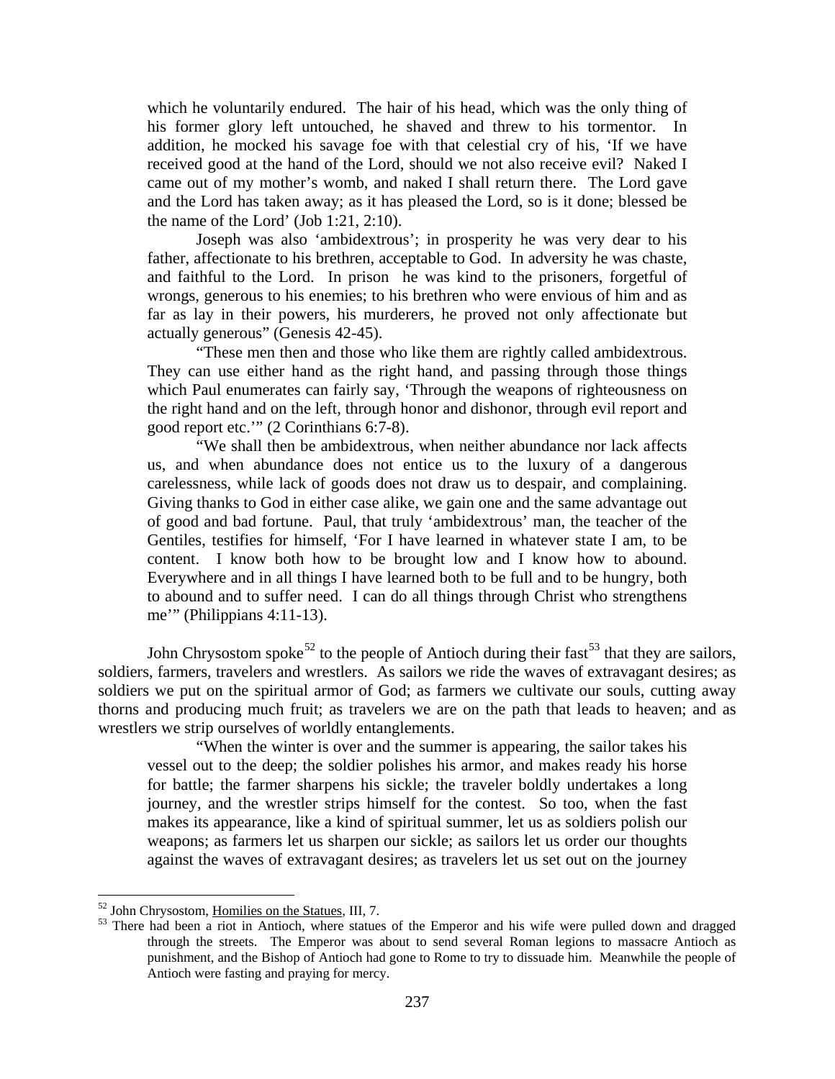which he voluntarily endured. The hair of his head, which was the only thing of his former glory left untouched, he shaved and threw to his tormentor. In addition, he mocked his savage foe with that celestial cry of his, 'If we have received good at the hand of the Lord, should we not also receive evil? Naked I came out of my mother's womb, and naked I shall return there. The Lord gave and the Lord has taken away; as it has pleased the Lord, so is it done; blessed be the name of the Lord' (Job 1:21, 2:10).

Joseph was also 'ambidextrous'; in prosperity he was very dear to his father, affectionate to his brethren, acceptable to God. In adversity he was chaste, and faithful to the Lord. In prison he was kind to the prisoners, forgetful of wrongs, generous to his enemies; to his brethren who were envious of him and as far as lay in their powers, his murderers, he proved not only affectionate but actually generous" (Genesis 42-45).

"These men then and those who like them are rightly called ambidextrous. They can use either hand as the right hand, and passing through those things which Paul enumerates can fairly say, 'Through the weapons of righteousness on the right hand and on the left, through honor and dishonor, through evil report and good report etc.'" (2 Corinthians 6:7-8).

"We shall then be ambidextrous, when neither abundance nor lack affects us, and when abundance does not entice us to the luxury of a dangerous carelessness, while lack of goods does not draw us to despair, and complaining. Giving thanks to God in either case alike, we gain one and the same advantage out of good and bad fortune. Paul, that truly 'ambidextrous' man, the teacher of the Gentiles, testifies for himself, 'For I have learned in whatever state I am, to be content. I know both how to be brought low and I know how to abound. Everywhere and in all things I have learned both to be full and to be hungry, both to abound and to suffer need. I can do all things through Christ who strengthens me'" (Philippians 4:11-13).

John Chrysostom spoke<sup>[52](#page-33-0)</sup> to the people of Antioch during their fast<sup>[53](#page-33-1)</sup> that they are sailors, soldiers, farmers, travelers and wrestlers. As sailors we ride the waves of extravagant desires; as soldiers we put on the spiritual armor of God; as farmers we cultivate our souls, cutting away thorns and producing much fruit; as travelers we are on the path that leads to heaven; and as wrestlers we strip ourselves of worldly entanglements.

"When the winter is over and the summer is appearing, the sailor takes his vessel out to the deep; the soldier polishes his armor, and makes ready his horse for battle; the farmer sharpens his sickle; the traveler boldly undertakes a long journey, and the wrestler strips himself for the contest. So too, when the fast makes its appearance, like a kind of spiritual summer, let us as soldiers polish our weapons; as farmers let us sharpen our sickle; as sailors let us order our thoughts against the waves of extravagant desires; as travelers let us set out on the journey

<span id="page-33-1"></span><span id="page-33-0"></span> $52$  John Chrysostom, <u>Homilies on the Statues</u>, III, 7.<br> $53$  There had been a riot in Antioch, where statues of the Emperor and his wife were pulled down and dragged through the streets. The Emperor was about to send several Roman legions to massacre Antioch as punishment, and the Bishop of Antioch had gone to Rome to try to dissuade him. Meanwhile the people of Antioch were fasting and praying for mercy.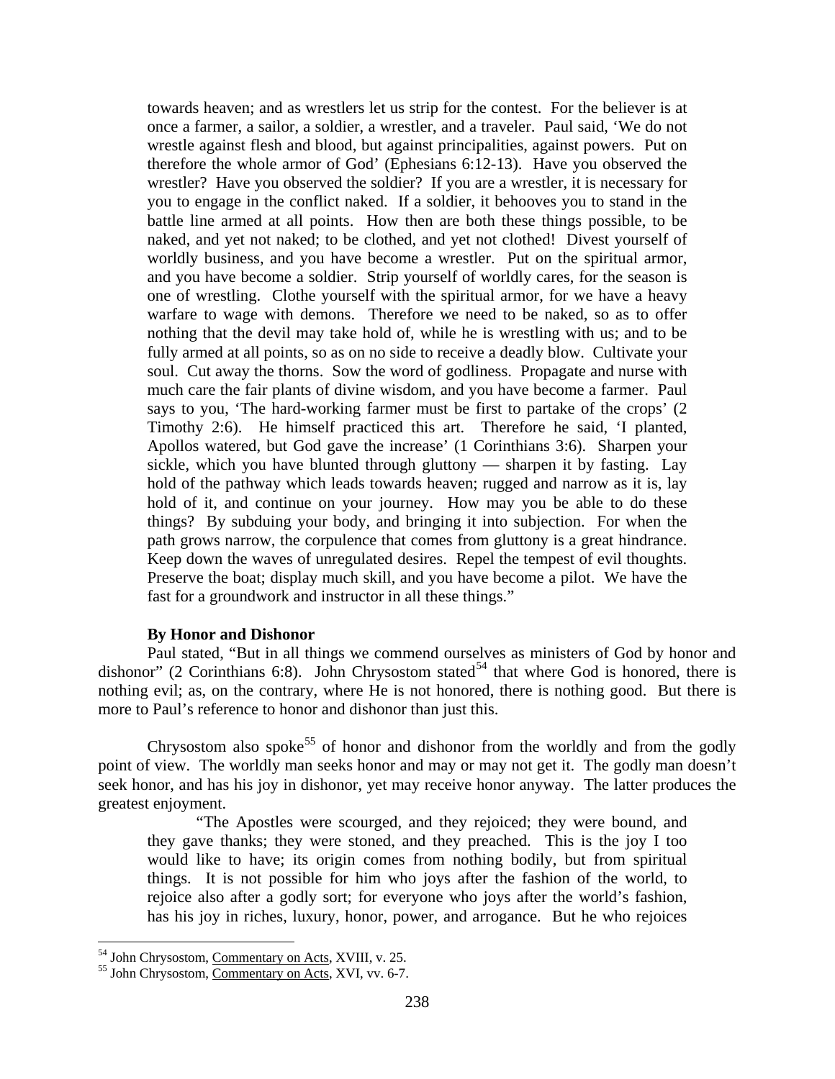towards heaven; and as wrestlers let us strip for the contest. For the believer is at once a farmer, a sailor, a soldier, a wrestler, and a traveler. Paul said, 'We do not wrestle against flesh and blood, but against principalities, against powers. Put on therefore the whole armor of God' (Ephesians 6:12-13). Have you observed the wrestler? Have you observed the soldier? If you are a wrestler, it is necessary for you to engage in the conflict naked. If a soldier, it behooves you to stand in the battle line armed at all points. How then are both these things possible, to be naked, and yet not naked; to be clothed, and yet not clothed! Divest yourself of worldly business, and you have become a wrestler. Put on the spiritual armor, and you have become a soldier. Strip yourself of worldly cares, for the season is one of wrestling. Clothe yourself with the spiritual armor, for we have a heavy warfare to wage with demons. Therefore we need to be naked, so as to offer nothing that the devil may take hold of, while he is wrestling with us; and to be fully armed at all points, so as on no side to receive a deadly blow. Cultivate your soul. Cut away the thorns. Sow the word of godliness. Propagate and nurse with much care the fair plants of divine wisdom, and you have become a farmer. Paul says to you, 'The hard-working farmer must be first to partake of the crops' (2 Timothy 2:6). He himself practiced this art. Therefore he said, 'I planted, Apollos watered, but God gave the increase' (1 Corinthians 3:6). Sharpen your sickle, which you have blunted through gluttony — sharpen it by fasting. Lay hold of the pathway which leads towards heaven; rugged and narrow as it is, lay hold of it, and continue on your journey. How may you be able to do these things? By subduing your body, and bringing it into subjection. For when the path grows narrow, the corpulence that comes from gluttony is a great hindrance. Keep down the waves of unregulated desires. Repel the tempest of evil thoughts. Preserve the boat; display much skill, and you have become a pilot. We have the fast for a groundwork and instructor in all these things."

#### **By Honor and Dishonor**

<span id="page-34-0"></span>Paul stated, "But in all things we commend ourselves as ministers of God by honor and dishonor" (2 Corinthians 6:8). John Chrysostom stated<sup>[54](#page-34-1)</sup> that where God is honored, there is nothing evil; as, on the contrary, where He is not honored, there is nothing good. But there is more to Paul's reference to honor and dishonor than just this.

Chrysostom also spoke<sup>[55](#page-34-2)</sup> of honor and dishonor from the worldly and from the godly point of view. The worldly man seeks honor and may or may not get it. The godly man doesn't seek honor, and has his joy in dishonor, yet may receive honor anyway. The latter produces the greatest enjoyment.

"The Apostles were scourged, and they rejoiced; they were bound, and they gave thanks; they were stoned, and they preached. This is the joy I too would like to have; its origin comes from nothing bodily, but from spiritual things. It is not possible for him who joys after the fashion of the world, to rejoice also after a godly sort; for everyone who joys after the world's fashion, has his joy in riches, luxury, honor, power, and arrogance. But he who rejoices

<span id="page-34-2"></span><span id="page-34-1"></span><sup>&</sup>lt;sup>54</sup> John Chrysostom, <u>Commentary on Acts</u>, XVIII, v. 25.<br><sup>55</sup> John Chrysostom, Commentary on Acts, XVI, vv. 6-7.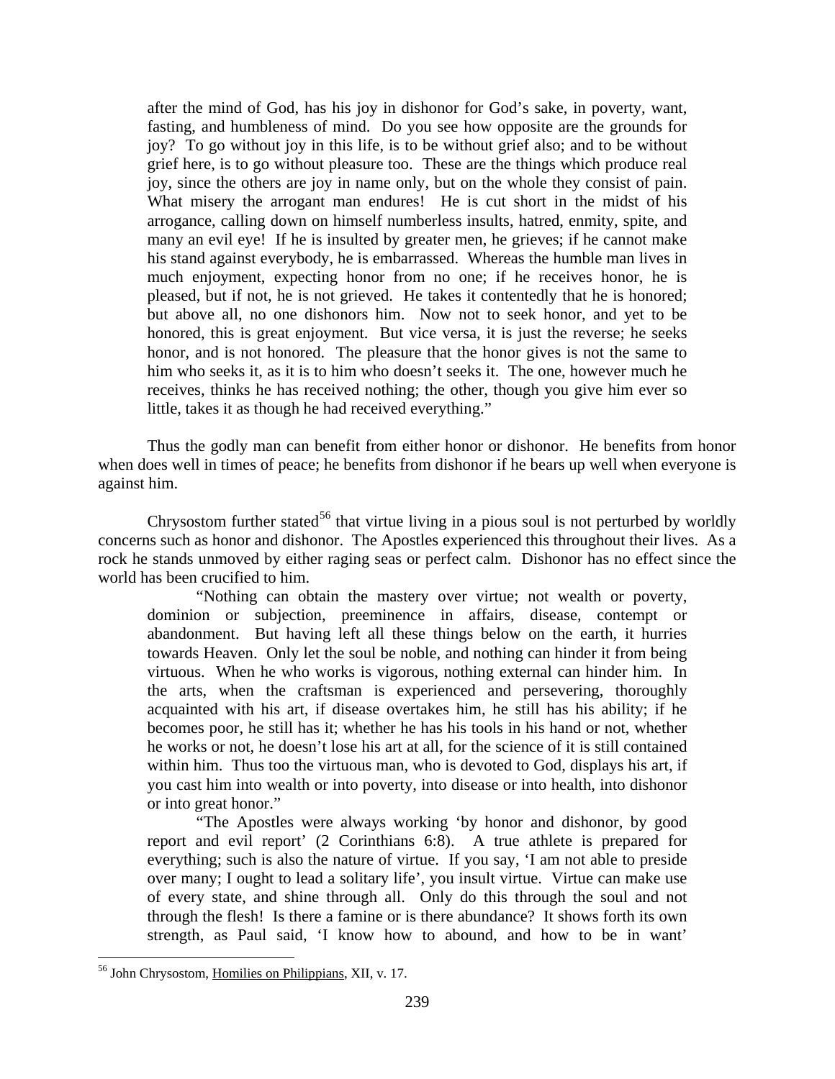after the mind of God, has his joy in dishonor for God's sake, in poverty, want, fasting, and humbleness of mind. Do you see how opposite are the grounds for joy? To go without joy in this life, is to be without grief also; and to be without grief here, is to go without pleasure too. These are the things which produce real joy, since the others are joy in name only, but on the whole they consist of pain. What misery the arrogant man endures! He is cut short in the midst of his arrogance, calling down on himself numberless insults, hatred, enmity, spite, and many an evil eye! If he is insulted by greater men, he grieves; if he cannot make his stand against everybody, he is embarrassed. Whereas the humble man lives in much enjoyment, expecting honor from no one; if he receives honor, he is pleased, but if not, he is not grieved. He takes it contentedly that he is honored; but above all, no one dishonors him. Now not to seek honor, and yet to be honored, this is great enjoyment. But vice versa, it is just the reverse; he seeks honor, and is not honored. The pleasure that the honor gives is not the same to him who seeks it, as it is to him who doesn't seeks it. The one, however much he receives, thinks he has received nothing; the other, though you give him ever so little, takes it as though he had received everything."

Thus the godly man can benefit from either honor or dishonor. He benefits from honor when does well in times of peace; he benefits from dishonor if he bears up well when everyone is against him.

Chrysostom further stated<sup>[56](#page-35-0)</sup> that virtue living in a pious soul is not perturbed by worldly concerns such as honor and dishonor. The Apostles experienced this throughout their lives. As a rock he stands unmoved by either raging seas or perfect calm. Dishonor has no effect since the world has been crucified to him.

"Nothing can obtain the mastery over virtue; not wealth or poverty, dominion or subjection, preeminence in affairs, disease, contempt or abandonment. But having left all these things below on the earth, it hurries towards Heaven. Only let the soul be noble, and nothing can hinder it from being virtuous. When he who works is vigorous, nothing external can hinder him. In the arts, when the craftsman is experienced and persevering, thoroughly acquainted with his art, if disease overtakes him, he still has his ability; if he becomes poor, he still has it; whether he has his tools in his hand or not, whether he works or not, he doesn't lose his art at all, for the science of it is still contained within him. Thus too the virtuous man, who is devoted to God, displays his art, if you cast him into wealth or into poverty, into disease or into health, into dishonor or into great honor."

"The Apostles were always working 'by honor and dishonor, by good report and evil report' (2 Corinthians 6:8). A true athlete is prepared for everything; such is also the nature of virtue. If you say, 'I am not able to preside over many; I ought to lead a solitary life', you insult virtue. Virtue can make use of every state, and shine through all. Only do this through the soul and not through the flesh! Is there a famine or is there abundance? It shows forth its own strength, as Paul said, 'I know how to abound, and how to be in want'

<span id="page-35-0"></span> <sup>56</sup> John Chrysostom, Homilies on Philippians, XII, v. 17.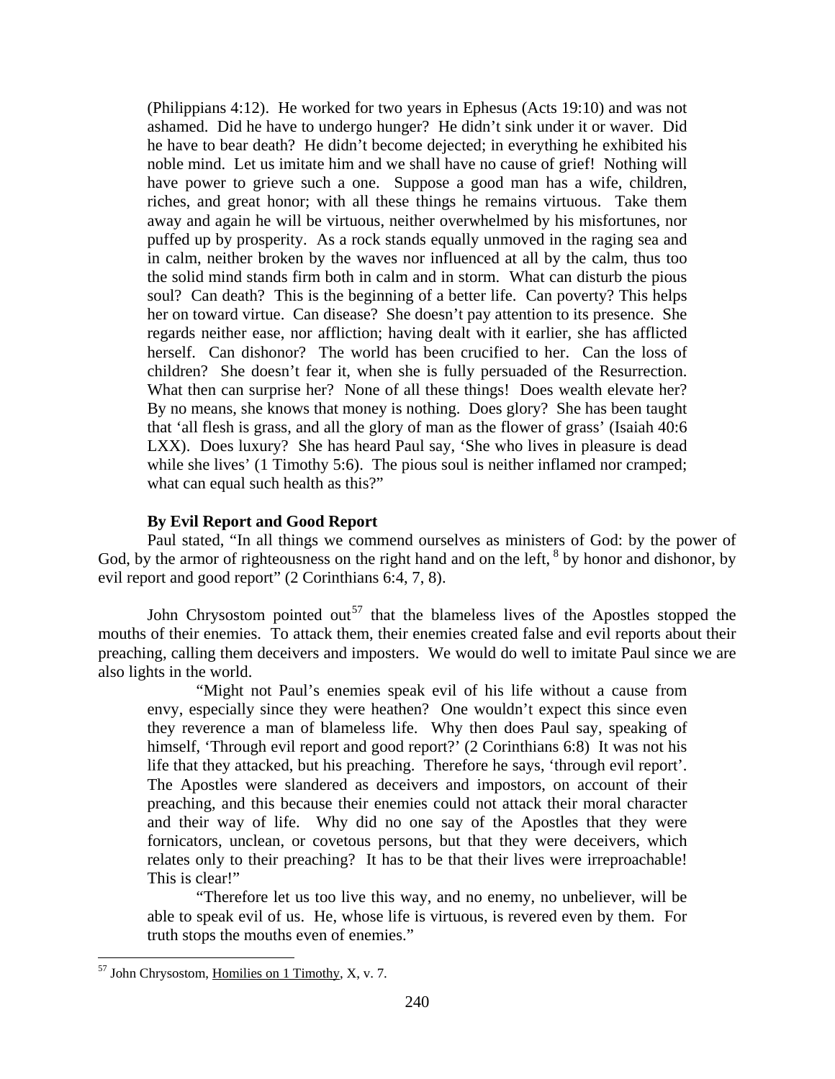(Philippians 4:12). He worked for two years in Ephesus (Acts 19:10) and was not ashamed. Did he have to undergo hunger? He didn't sink under it or waver. Did he have to bear death? He didn't become dejected; in everything he exhibited his noble mind. Let us imitate him and we shall have no cause of grief! Nothing will have power to grieve such a one. Suppose a good man has a wife, children, riches, and great honor; with all these things he remains virtuous. Take them away and again he will be virtuous, neither overwhelmed by his misfortunes, nor puffed up by prosperity. As a rock stands equally unmoved in the raging sea and in calm, neither broken by the waves nor influenced at all by the calm, thus too the solid mind stands firm both in calm and in storm. What can disturb the pious soul? Can death? This is the beginning of a better life. Can poverty? This helps her on toward virtue. Can disease? She doesn't pay attention to its presence. She regards neither ease, nor affliction; having dealt with it earlier, she has afflicted herself. Can dishonor? The world has been crucified to her. Can the loss of children? She doesn't fear it, when she is fully persuaded of the Resurrection. What then can surprise her? None of all these things! Does wealth elevate her? By no means, she knows that money is nothing. Does glory? She has been taught that 'all flesh is grass, and all the glory of man as the flower of grass' (Isaiah 40:6 LXX). Does luxury? She has heard Paul say, 'She who lives in pleasure is dead while she lives' (1 Timothy 5:6). The pious soul is neither inflamed nor cramped; what can equal such health as this?"

### **By Evil Report and Good Report**

<span id="page-36-0"></span>Paul stated, "In all things we commend ourselves as ministers of God: by the power of God, by the armor of righteousness on the right hand and on the left, <sup>8</sup> by honor and dishonor, by evil report and good report" (2 Corinthians 6:4, 7, 8).

John Chrysostom pointed out<sup>[57](#page-36-1)</sup> that the blameless lives of the Apostles stopped the mouths of their enemies. To attack them, their enemies created false and evil reports about their preaching, calling them deceivers and imposters. We would do well to imitate Paul since we are also lights in the world.

"Might not Paul's enemies speak evil of his life without a cause from envy, especially since they were heathen? One wouldn't expect this since even they reverence a man of blameless life. Why then does Paul say, speaking of himself, 'Through evil report and good report?' (2 Corinthians 6:8) It was not his life that they attacked, but his preaching. Therefore he says, 'through evil report'. The Apostles were slandered as deceivers and impostors, on account of their preaching, and this because their enemies could not attack their moral character and their way of life. Why did no one say of the Apostles that they were fornicators, unclean, or covetous persons, but that they were deceivers, which relates only to their preaching? It has to be that their lives were irreproachable! This is clear!"

"Therefore let us too live this way, and no enemy, no unbeliever, will be able to speak evil of us. He, whose life is virtuous, is revered even by them. For truth stops the mouths even of enemies."

<span id="page-36-1"></span> $57$  John Chrysostom, Homilies on 1 Timothy, X, v. 7.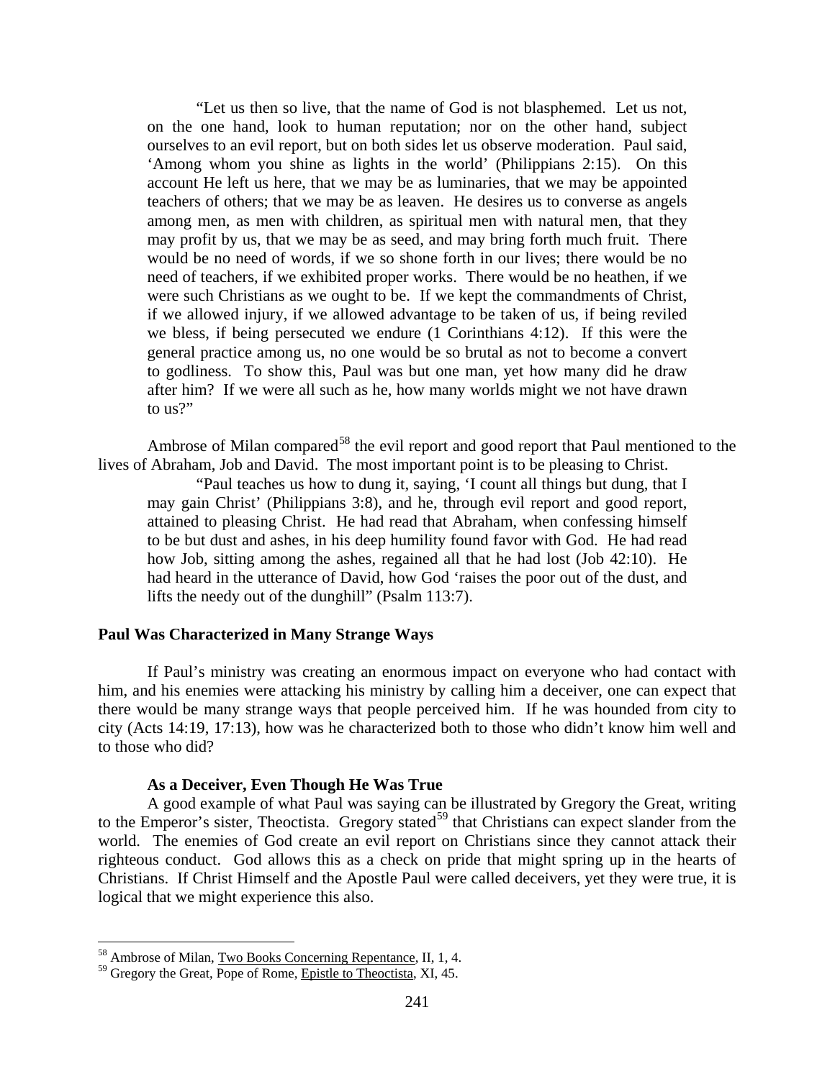"Let us then so live, that the name of God is not blasphemed. Let us not, on the one hand, look to human reputation; nor on the other hand, subject ourselves to an evil report, but on both sides let us observe moderation. Paul said, 'Among whom you shine as lights in the world' (Philippians 2:15). On this account He left us here, that we may be as luminaries, that we may be appointed teachers of others; that we may be as leaven. He desires us to converse as angels among men, as men with children, as spiritual men with natural men, that they may profit by us, that we may be as seed, and may bring forth much fruit. There would be no need of words, if we so shone forth in our lives; there would be no need of teachers, if we exhibited proper works. There would be no heathen, if we were such Christians as we ought to be. If we kept the commandments of Christ, if we allowed injury, if we allowed advantage to be taken of us, if being reviled we bless, if being persecuted we endure (1 Corinthians 4:12). If this were the general practice among us, no one would be so brutal as not to become a convert to godliness. To show this, Paul was but one man, yet how many did he draw after him? If we were all such as he, how many worlds might we not have drawn to us?"

Ambrose of Milan compared<sup>[58](#page-37-2)</sup> the evil report and good report that Paul mentioned to the lives of Abraham, Job and David. The most important point is to be pleasing to Christ.

"Paul teaches us how to dung it, saying, 'I count all things but dung, that I may gain Christ' (Philippians 3:8), and he, through evil report and good report, attained to pleasing Christ. He had read that Abraham, when confessing himself to be but dust and ashes, in his deep humility found favor with God. He had read how Job, sitting among the ashes, regained all that he had lost (Job 42:10). He had heard in the utterance of David, how God 'raises the poor out of the dust, and lifts the needy out of the dunghill" (Psalm 113:7).

### <span id="page-37-0"></span>**Paul Was Characterized in Many Strange Ways**

If Paul's ministry was creating an enormous impact on everyone who had contact with him, and his enemies were attacking his ministry by calling him a deceiver, one can expect that there would be many strange ways that people perceived him. If he was hounded from city to city (Acts 14:19, 17:13), how was he characterized both to those who didn't know him well and to those who did?

#### **As a Deceiver, Even Though He Was True**

<span id="page-37-1"></span>A good example of what Paul was saying can be illustrated by Gregory the Great, writing to the Emperor's sister, Theoctista. Gregory stated<sup>[59](#page-37-3)</sup> that Christians can expect slander from the world. The enemies of God create an evil report on Christians since they cannot attack their righteous conduct. God allows this as a check on pride that might spring up in the hearts of Christians. If Christ Himself and the Apostle Paul were called deceivers, yet they were true, it is logical that we might experience this also.

<span id="page-37-2"></span> <sup>58</sup> Ambrose of Milan, Two Books Concerning Repentance, II, 1, 4.

<span id="page-37-3"></span><sup>&</sup>lt;sup>59</sup> Gregory the Great, Pope of Rome, Epistle to Theoctista, XI, 45.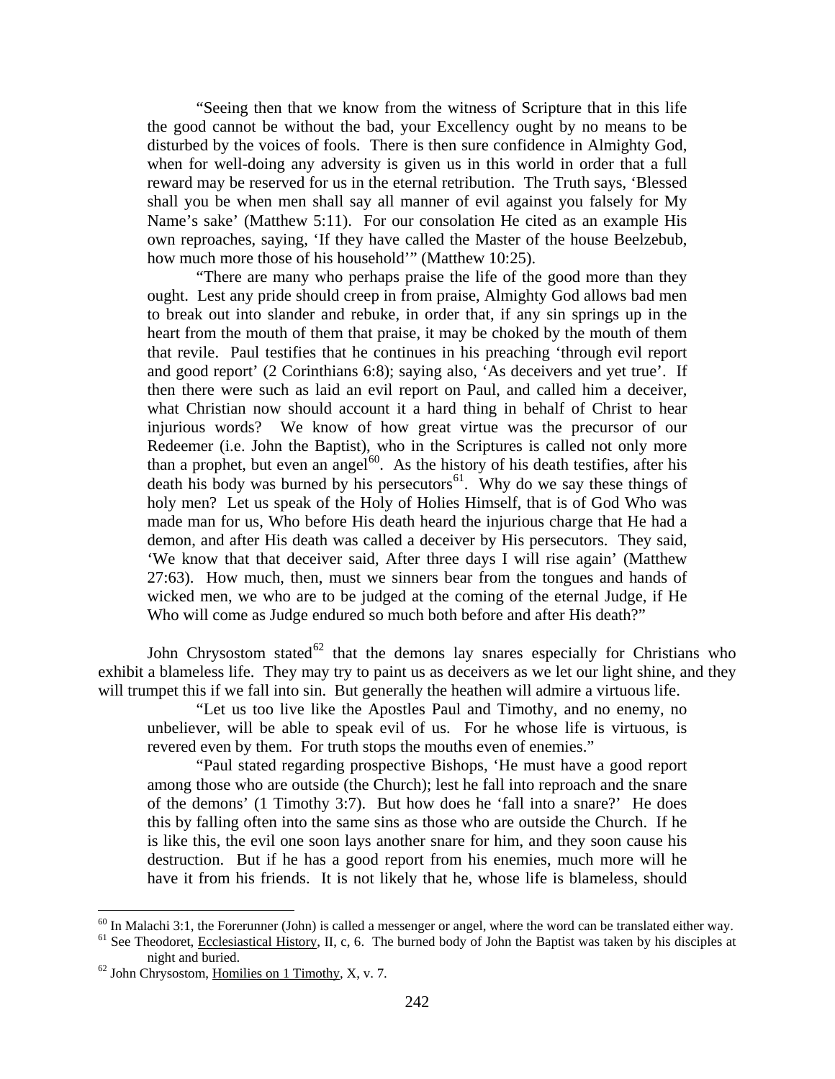"Seeing then that we know from the witness of Scripture that in this life the good cannot be without the bad, your Excellency ought by no means to be disturbed by the voices of fools. There is then sure confidence in Almighty God, when for well-doing any adversity is given us in this world in order that a full reward may be reserved for us in the eternal retribution. The Truth says, 'Blessed shall you be when men shall say all manner of evil against you falsely for My Name's sake' (Matthew 5:11). For our consolation He cited as an example His own reproaches, saying, 'If they have called the Master of the house Beelzebub, how much more those of his household'" (Matthew 10:25).

"There are many who perhaps praise the life of the good more than they ought. Lest any pride should creep in from praise, Almighty God allows bad men to break out into slander and rebuke, in order that, if any sin springs up in the heart from the mouth of them that praise, it may be choked by the mouth of them that revile. Paul testifies that he continues in his preaching 'through evil report and good report' (2 Corinthians 6:8); saying also, 'As deceivers and yet true'. If then there were such as laid an evil report on Paul, and called him a deceiver, what Christian now should account it a hard thing in behalf of Christ to hear injurious words? We know of how great virtue was the precursor of our Redeemer (i.e. John the Baptist), who in the Scriptures is called not only more than a prophet, but even an angel<sup>[60](#page-38-0)</sup>. As the history of his death testifies, after his death his body was burned by his persecutors<sup>61</sup>. Why do we say these things of holy men? Let us speak of the Holy of Holies Himself, that is of God Who was made man for us, Who before His death heard the injurious charge that He had a demon, and after His death was called a deceiver by His persecutors. They said, 'We know that that deceiver said, After three days I will rise again' (Matthew 27:63). How much, then, must we sinners bear from the tongues and hands of wicked men, we who are to be judged at the coming of the eternal Judge, if He Who will come as Judge endured so much both before and after His death?"

John Chrysostom stated<sup>[62](#page-38-2)</sup> that the demons lay snares especially for Christians who exhibit a blameless life. They may try to paint us as deceivers as we let our light shine, and they will trumpet this if we fall into sin. But generally the heathen will admire a virtuous life.

"Let us too live like the Apostles Paul and Timothy, and no enemy, no unbeliever, will be able to speak evil of us. For he whose life is virtuous, is revered even by them. For truth stops the mouths even of enemies."

"Paul stated regarding prospective Bishops, 'He must have a good report among those who are outside (the Church); lest he fall into reproach and the snare of the demons' (1 Timothy 3:7). But how does he 'fall into a snare?' He does this by falling often into the same sins as those who are outside the Church. If he is like this, the evil one soon lays another snare for him, and they soon cause his destruction. But if he has a good report from his enemies, much more will he have it from his friends. It is not likely that he, whose life is blameless, should

<span id="page-38-1"></span><span id="page-38-0"></span> $^{60}$  In Malachi 3:1, the Forerunner (John) is called a messenger or angel, where the word can be translated either way.<br><sup>61</sup> See Theodoret, <u>Ecclesiastical History</u>, II, c, 6. The burned body of John the Baptist was tak night and buried.<br><sup>62</sup> John Chrysostom, <u>Homilies on 1 Timothy</u>, X, v. 7.

<span id="page-38-2"></span>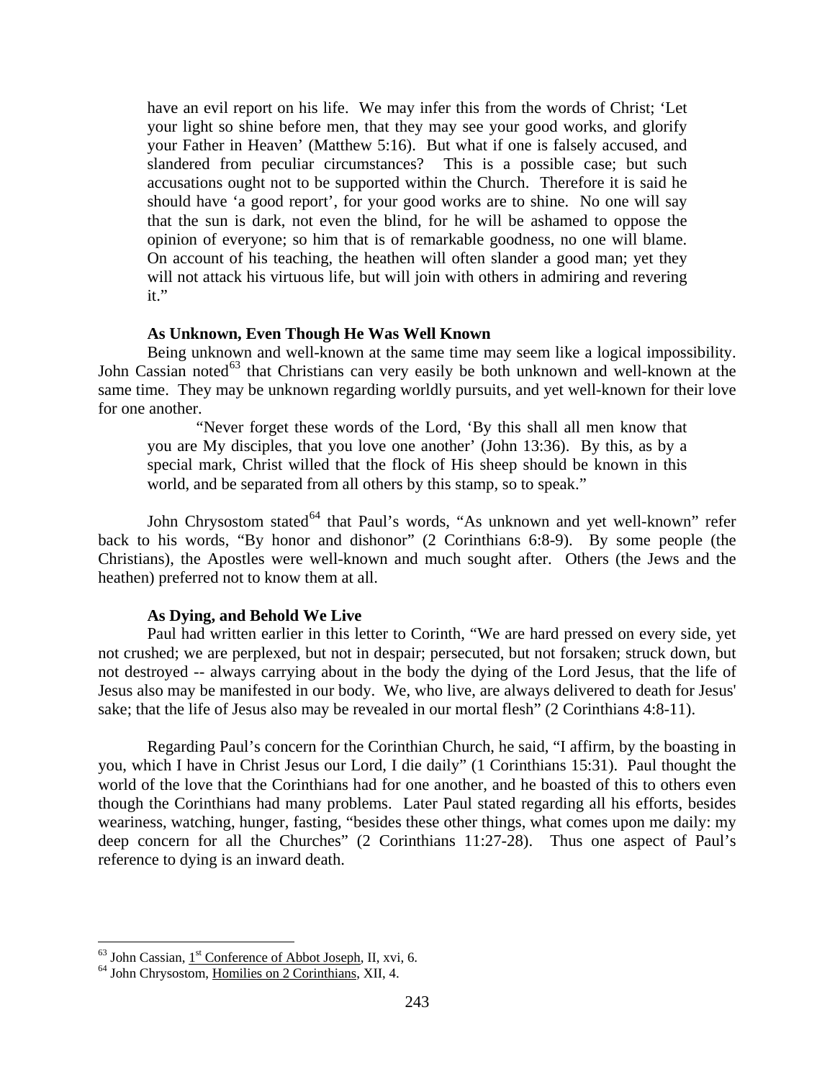have an evil report on his life. We may infer this from the words of Christ; 'Let your light so shine before men, that they may see your good works, and glorify your Father in Heaven' (Matthew 5:16). But what if one is falsely accused, and slandered from peculiar circumstances? This is a possible case; but such accusations ought not to be supported within the Church. Therefore it is said he should have 'a good report', for your good works are to shine. No one will say that the sun is dark, not even the blind, for he will be ashamed to oppose the opinion of everyone; so him that is of remarkable goodness, no one will blame. On account of his teaching, the heathen will often slander a good man; yet they will not attack his virtuous life, but will join with others in admiring and revering it."

### **As Unknown, Even Though He Was Well Known**

<span id="page-39-0"></span>Being unknown and well-known at the same time may seem like a logical impossibility. John Cassian noted<sup>[63](#page-39-2)</sup> that Christians can very easily be both unknown and well-known at the same time. They may be unknown regarding worldly pursuits, and yet well-known for their love for one another.

"Never forget these words of the Lord, 'By this shall all men know that you are My disciples, that you love one another' (John 13:36). By this, as by a special mark, Christ willed that the flock of His sheep should be known in this world, and be separated from all others by this stamp, so to speak."

John Chrysostom stated<sup>[64](#page-39-3)</sup> that Paul's words, "As unknown and yet well-known" refer back to his words, "By honor and dishonor" (2 Corinthians 6:8-9). By some people (the Christians), the Apostles were well-known and much sought after. Others (the Jews and the heathen) preferred not to know them at all.

#### **As Dying, and Behold We Live**

<span id="page-39-1"></span>Paul had written earlier in this letter to Corinth, "We are hard pressed on every side, yet not crushed; we are perplexed, but not in despair; persecuted, but not forsaken; struck down, but not destroyed -- always carrying about in the body the dying of the Lord Jesus, that the life of Jesus also may be manifested in our body. We, who live, are always delivered to death for Jesus' sake; that the life of Jesus also may be revealed in our mortal flesh" (2 Corinthians 4:8-11).

Regarding Paul's concern for the Corinthian Church, he said, "I affirm, by the boasting in you, which I have in Christ Jesus our Lord, I die daily" (1 Corinthians 15:31). Paul thought the world of the love that the Corinthians had for one another, and he boasted of this to others even though the Corinthians had many problems. Later Paul stated regarding all his efforts, besides weariness, watching, hunger, fasting, "besides these other things, what comes upon me daily: my deep concern for all the Churches" (2 Corinthians 11:27-28). Thus one aspect of Paul's reference to dying is an inward death.

<span id="page-39-3"></span><span id="page-39-2"></span><sup>&</sup>lt;sup>63</sup> John Cassian,  $1^{\text{st}}$  Conference of Abbot Joseph, II, xvi, 6.<br><sup>64</sup> John Chrysostom, <u>Homilies on 2 Corinthians</u>, XII, 4.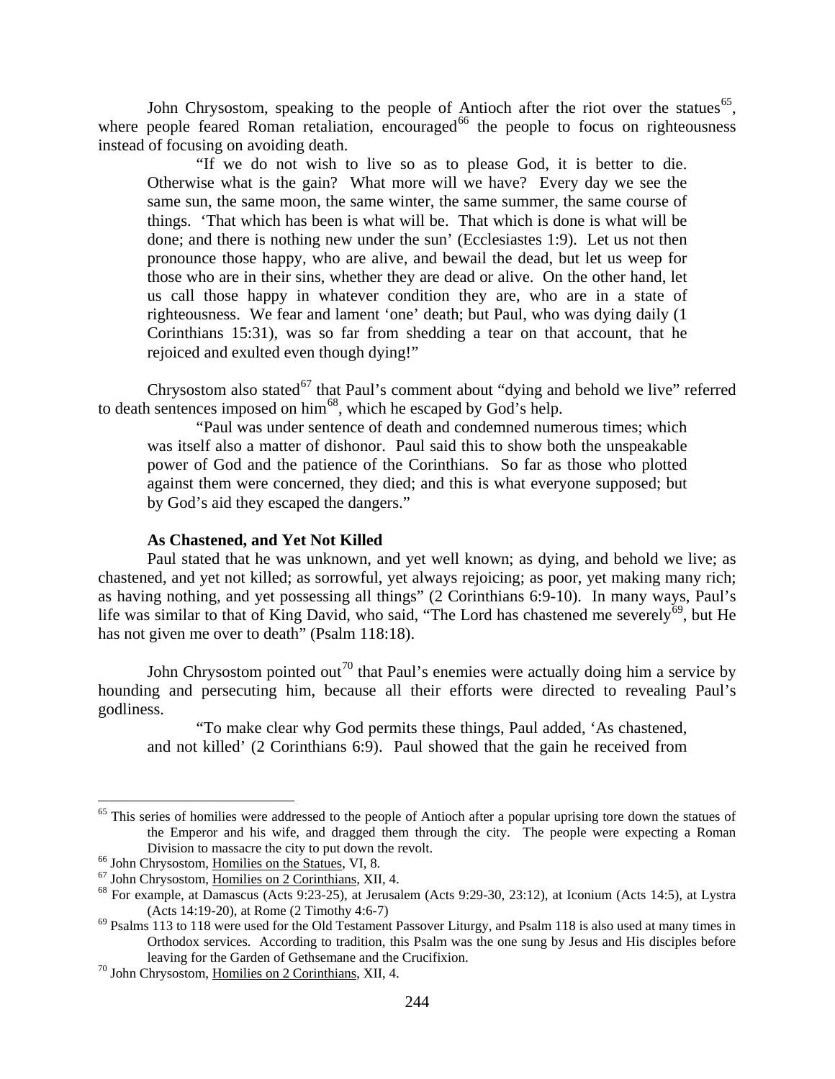John Chrysostom, speaking to the people of Antioch after the riot over the statues<sup>[65](#page-40-1)</sup>, where people feared Roman retaliation, encouraged<sup>[66](#page-40-2)</sup> the people to focus on righteousness instead of focusing on avoiding death.

"If we do not wish to live so as to please God, it is better to die. Otherwise what is the gain? What more will we have? Every day we see the same sun, the same moon, the same winter, the same summer, the same course of things. 'That which has been is what will be. That which is done is what will be done; and there is nothing new under the sun' (Ecclesiastes 1:9). Let us not then pronounce those happy, who are alive, and bewail the dead, but let us weep for those who are in their sins, whether they are dead or alive. On the other hand, let us call those happy in whatever condition they are, who are in a state of righteousness. We fear and lament 'one' death; but Paul, who was dying daily (1 Corinthians 15:31), was so far from shedding a tear on that account, that he rejoiced and exulted even though dying!"

Chrysostom also stated<sup>[67](#page-40-3)</sup> that Paul's comment about "dying and behold we live" referred to death sentences imposed on him<sup>[68](#page-40-4)</sup>, which he escaped by God's help.

"Paul was under sentence of death and condemned numerous times; which was itself also a matter of dishonor. Paul said this to show both the unspeakable power of God and the patience of the Corinthians. So far as those who plotted against them were concerned, they died; and this is what everyone supposed; but by God's aid they escaped the dangers."

### **As Chastened, and Yet Not Killed**

<span id="page-40-0"></span>Paul stated that he was unknown, and yet well known; as dying, and behold we live; as chastened, and yet not killed; as sorrowful, yet always rejoicing; as poor, yet making many rich; as having nothing, and yet possessing all things" (2 Corinthians 6:9-10). In many ways, Paul's life was similar to that of King David, who said, "The Lord has chastened me severely<sup>[69](#page-40-5)</sup>, but He has not given me over to death" (Psalm 118:18).

John Chrysostom pointed out<sup>[70](#page-40-6)</sup> that Paul's enemies were actually doing him a service by hounding and persecuting him, because all their efforts were directed to revealing Paul's godliness.

"To make clear why God permits these things, Paul added, 'As chastened, and not killed' (2 Corinthians 6:9). Paul showed that the gain he received from

<span id="page-40-1"></span><sup>&</sup>lt;sup>65</sup> This series of homilies were addressed to the people of Antioch after a popular uprising tore down the statues of the Emperor and his wife, and dragged them through the city. The people were expecting a Roman Division to massacre the city to put down the revolt.<br>
<sup>66</sup> John Chrysostom, <u>Homilies on the Statues</u>, VI, 8.<br>
<sup>67</sup> John Chrysostom, <u>Homilies on 2 Corinthians</u>, XII, 4.<br>
<sup>68</sup> For example, at Damascus (Acts 9:23-25), at J

<span id="page-40-3"></span><span id="page-40-2"></span>

<span id="page-40-4"></span><sup>(</sup>Acts 14:19-20), at Rome (2 Timothy 4:6-7)<br><sup>69</sup> Psalms 113 to 118 were used for the Old Testament Passover Liturgy, and Psalm 118 is also used at many times in

<span id="page-40-5"></span>Orthodox services. According to tradition, this Psalm was the one sung by Jesus and His disciples before leaving for the Garden of Gethsemane and the Crucifixion. <sup>70</sup> John Chrysostom, <u>Homilies on 2 Corinthians</u>, XII, 4.

<span id="page-40-6"></span>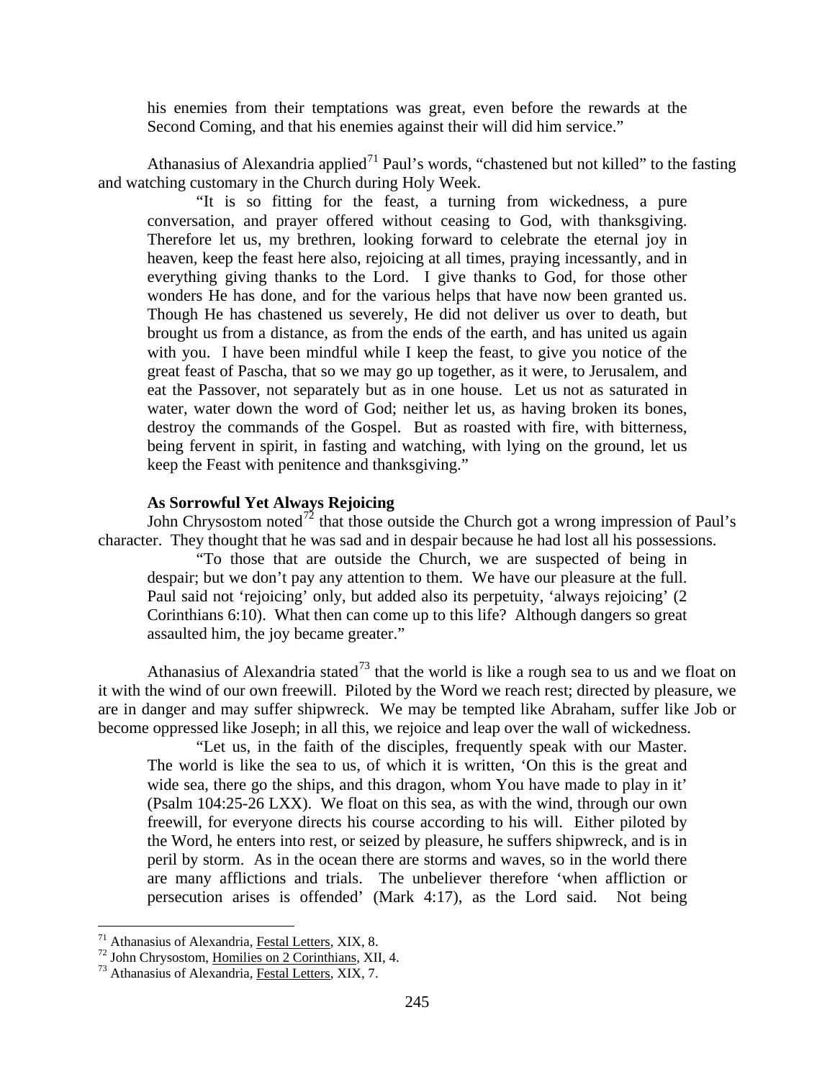his enemies from their temptations was great, even before the rewards at the Second Coming, and that his enemies against their will did him service."

Athanasius of Alexandria applied<sup>[71](#page-41-1)</sup> Paul's words, "chastened but not killed" to the fasting and watching customary in the Church during Holy Week.

"It is so fitting for the feast, a turning from wickedness, a pure conversation, and prayer offered without ceasing to God, with thanksgiving. Therefore let us, my brethren, looking forward to celebrate the eternal joy in heaven, keep the feast here also, rejoicing at all times, praying incessantly, and in everything giving thanks to the Lord. I give thanks to God, for those other wonders He has done, and for the various helps that have now been granted us. Though He has chastened us severely, He did not deliver us over to death, but brought us from a distance, as from the ends of the earth, and has united us again with you. I have been mindful while I keep the feast, to give you notice of the great feast of Pascha, that so we may go up together, as it were, to Jerusalem, and eat the Passover, not separately but as in one house. Let us not as saturated in water, water down the word of God; neither let us, as having broken its bones, destroy the commands of the Gospel. But as roasted with fire, with bitterness, being fervent in spirit, in fasting and watching, with lying on the ground, let us keep the Feast with penitence and thanksgiving."

# **As Sorrowful Yet Always Rejoicing**

<span id="page-41-0"></span>John Chrysostom noted<sup>[72](#page-41-2)</sup> that those outside the Church got a wrong impression of Paul's character. They thought that he was sad and in despair because he had lost all his possessions.

"To those that are outside the Church, we are suspected of being in despair; but we don't pay any attention to them. We have our pleasure at the full. Paul said not 'rejoicing' only, but added also its perpetuity, 'always rejoicing' (2 Corinthians 6:10). What then can come up to this life? Although dangers so great assaulted him, the joy became greater."

Athanasius of Alexandria stated<sup>[73](#page-41-3)</sup> that the world is like a rough sea to us and we float on it with the wind of our own freewill. Piloted by the Word we reach rest; directed by pleasure, we are in danger and may suffer shipwreck. We may be tempted like Abraham, suffer like Job or become oppressed like Joseph; in all this, we rejoice and leap over the wall of wickedness.

"Let us, in the faith of the disciples, frequently speak with our Master. The world is like the sea to us, of which it is written, 'On this is the great and wide sea, there go the ships, and this dragon, whom You have made to play in it' (Psalm 104:25-26 LXX). We float on this sea, as with the wind, through our own freewill, for everyone directs his course according to his will. Either piloted by the Word, he enters into rest, or seized by pleasure, he suffers shipwreck, and is in peril by storm. As in the ocean there are storms and waves, so in the world there are many afflictions and trials. The unbeliever therefore 'when affliction or persecution arises is offended' (Mark 4:17), as the Lord said. Not being

<span id="page-41-2"></span><span id="page-41-1"></span><sup>&</sup>lt;sup>71</sup> Athanasius of Alexandria, <u>Festal Letters</u>, XIX, 8.<br><sup>72</sup> John Chrysostom, <u>Homilies on 2 Corinthians</u>, XII, 4.<br><sup>73</sup> Athanasius of Alexandria, <u>Festal Letters</u>, XIX, 7.

<span id="page-41-3"></span>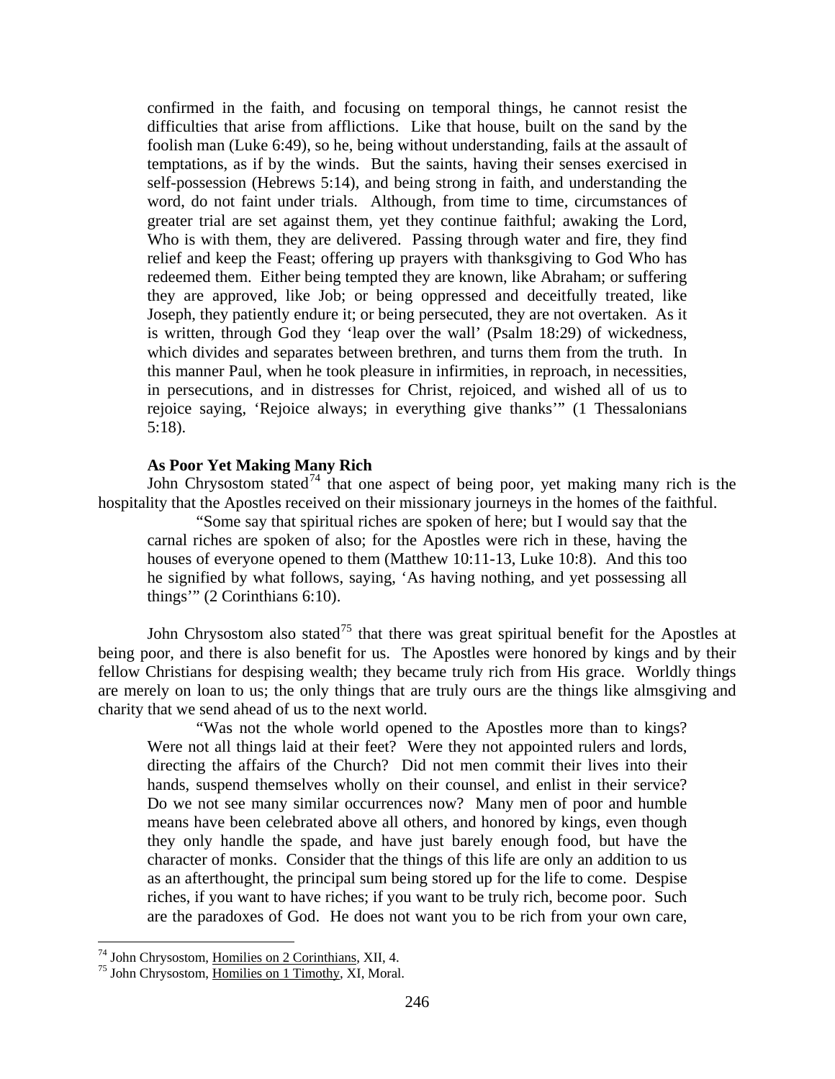confirmed in the faith, and focusing on temporal things, he cannot resist the difficulties that arise from afflictions. Like that house, built on the sand by the foolish man (Luke 6:49), so he, being without understanding, fails at the assault of temptations, as if by the winds. But the saints, having their senses exercised in self-possession (Hebrews 5:14), and being strong in faith, and understanding the word, do not faint under trials. Although, from time to time, circumstances of greater trial are set against them, yet they continue faithful; awaking the Lord, Who is with them, they are delivered. Passing through water and fire, they find relief and keep the Feast; offering up prayers with thanksgiving to God Who has redeemed them. Either being tempted they are known, like Abraham; or suffering they are approved, like Job; or being oppressed and deceitfully treated, like Joseph, they patiently endure it; or being persecuted, they are not overtaken. As it is written, through God they 'leap over the wall' (Psalm 18:29) of wickedness, which divides and separates between brethren, and turns them from the truth. In this manner Paul, when he took pleasure in infirmities, in reproach, in necessities, in persecutions, and in distresses for Christ, rejoiced, and wished all of us to rejoice saying, 'Rejoice always; in everything give thanks'" (1 Thessalonians 5:18).

# **As Poor Yet Making Many Rich**

<span id="page-42-0"></span>John Chrysostom stated<sup>[74](#page-42-1)</sup> that one aspect of being poor, yet making many rich is the hospitality that the Apostles received on their missionary journeys in the homes of the faithful.

"Some say that spiritual riches are spoken of here; but I would say that the carnal riches are spoken of also; for the Apostles were rich in these, having the houses of everyone opened to them (Matthew 10:11-13, Luke 10:8). And this too he signified by what follows, saying, 'As having nothing, and yet possessing all things'" (2 Corinthians 6:10).

John Chrysostom also stated<sup>[75](#page-42-2)</sup> that there was great spiritual benefit for the Apostles at being poor, and there is also benefit for us. The Apostles were honored by kings and by their fellow Christians for despising wealth; they became truly rich from His grace. Worldly things are merely on loan to us; the only things that are truly ours are the things like almsgiving and charity that we send ahead of us to the next world.

"Was not the whole world opened to the Apostles more than to kings? Were not all things laid at their feet? Were they not appointed rulers and lords, directing the affairs of the Church? Did not men commit their lives into their hands, suspend themselves wholly on their counsel, and enlist in their service? Do we not see many similar occurrences now? Many men of poor and humble means have been celebrated above all others, and honored by kings, even though they only handle the spade, and have just barely enough food, but have the character of monks. Consider that the things of this life are only an addition to us as an afterthought, the principal sum being stored up for the life to come. Despise riches, if you want to have riches; if you want to be truly rich, become poor. Such are the paradoxes of God. He does not want you to be rich from your own care,

<span id="page-42-2"></span><span id="page-42-1"></span><sup>&</sup>lt;sup>74</sup> John Chrysostom, <u>Homilies on 2 Corinthians</u>, XII, 4.<br><sup>75</sup> John Chrysostom, <u>Homilies on 1 Timothy</u>, XI, Moral.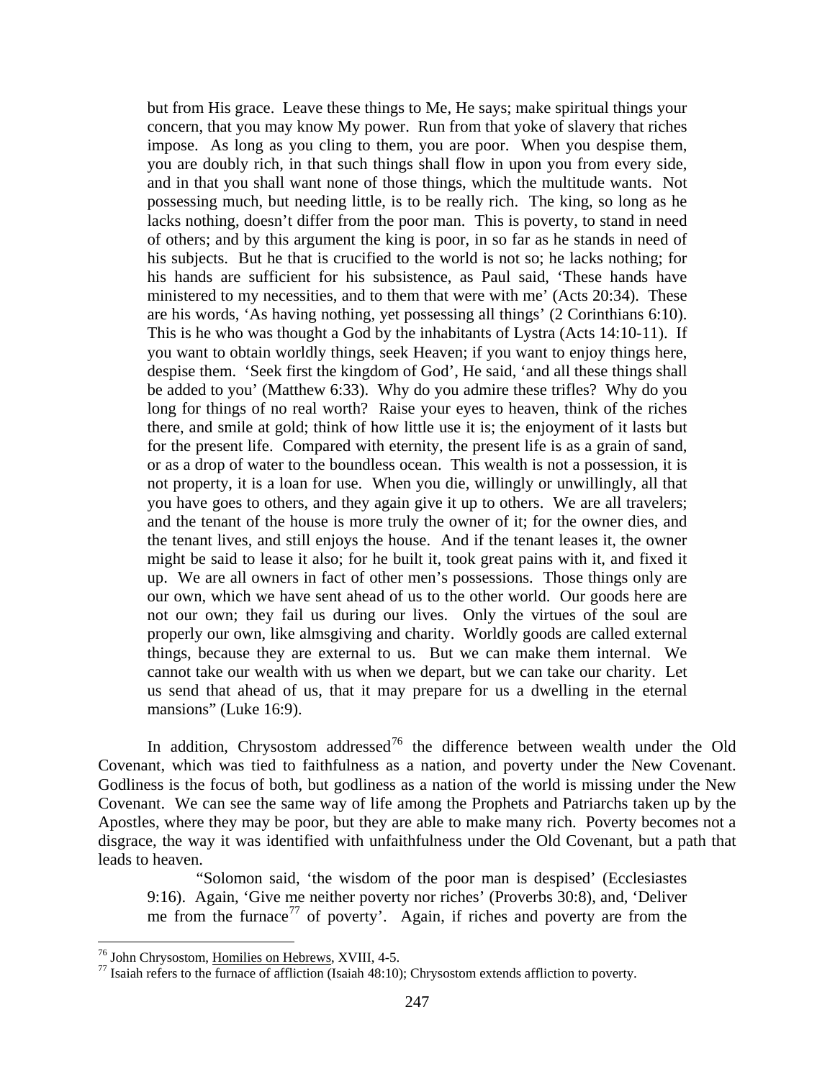but from His grace. Leave these things to Me, He says; make spiritual things your concern, that you may know My power. Run from that yoke of slavery that riches impose. As long as you cling to them, you are poor. When you despise them, you are doubly rich, in that such things shall flow in upon you from every side, and in that you shall want none of those things, which the multitude wants. Not possessing much, but needing little, is to be really rich. The king, so long as he lacks nothing, doesn't differ from the poor man. This is poverty, to stand in need of others; and by this argument the king is poor, in so far as he stands in need of his subjects. But he that is crucified to the world is not so; he lacks nothing; for his hands are sufficient for his subsistence, as Paul said, 'These hands have ministered to my necessities, and to them that were with me' (Acts 20:34). These are his words, 'As having nothing, yet possessing all things' (2 Corinthians 6:10). This is he who was thought a God by the inhabitants of Lystra (Acts 14:10-11). If you want to obtain worldly things, seek Heaven; if you want to enjoy things here, despise them. 'Seek first the kingdom of God', He said, 'and all these things shall be added to you' (Matthew 6:33). Why do you admire these trifles? Why do you long for things of no real worth? Raise your eyes to heaven, think of the riches there, and smile at gold; think of how little use it is; the enjoyment of it lasts but for the present life. Compared with eternity, the present life is as a grain of sand, or as a drop of water to the boundless ocean. This wealth is not a possession, it is not property, it is a loan for use. When you die, willingly or unwillingly, all that you have goes to others, and they again give it up to others. We are all travelers; and the tenant of the house is more truly the owner of it; for the owner dies, and the tenant lives, and still enjoys the house. And if the tenant leases it, the owner might be said to lease it also; for he built it, took great pains with it, and fixed it up. We are all owners in fact of other men's possessions. Those things only are our own, which we have sent ahead of us to the other world. Our goods here are not our own; they fail us during our lives. Only the virtues of the soul are properly our own, like almsgiving and charity. Worldly goods are called external things, because they are external to us. But we can make them internal. We cannot take our wealth with us when we depart, but we can take our charity. Let us send that ahead of us, that it may prepare for us a dwelling in the eternal mansions" (Luke 16:9).

In addition, Chrysostom addressed<sup>[76](#page-43-0)</sup> the difference between wealth under the Old Covenant, which was tied to faithfulness as a nation, and poverty under the New Covenant. Godliness is the focus of both, but godliness as a nation of the world is missing under the New Covenant. We can see the same way of life among the Prophets and Patriarchs taken up by the Apostles, where they may be poor, but they are able to make many rich. Poverty becomes not a disgrace, the way it was identified with unfaithfulness under the Old Covenant, but a path that leads to heaven.

"Solomon said, 'the wisdom of the poor man is despised' (Ecclesiastes 9:16). Again, 'Give me neither poverty nor riches' (Proverbs 30:8), and, 'Deliver me from the furnace<sup>[77](#page-43-1)</sup> of poverty'. Again, if riches and poverty are from the

<span id="page-43-1"></span><span id="page-43-0"></span><sup>&</sup>lt;sup>76</sup> John Chrysostom, <u>Homilies on Hebrews</u>, XVIII, 4-5.<br><sup>77</sup> Isaiah refers to the furnace of affliction (Isaiah 48:10); Chrysostom extends affliction to poverty.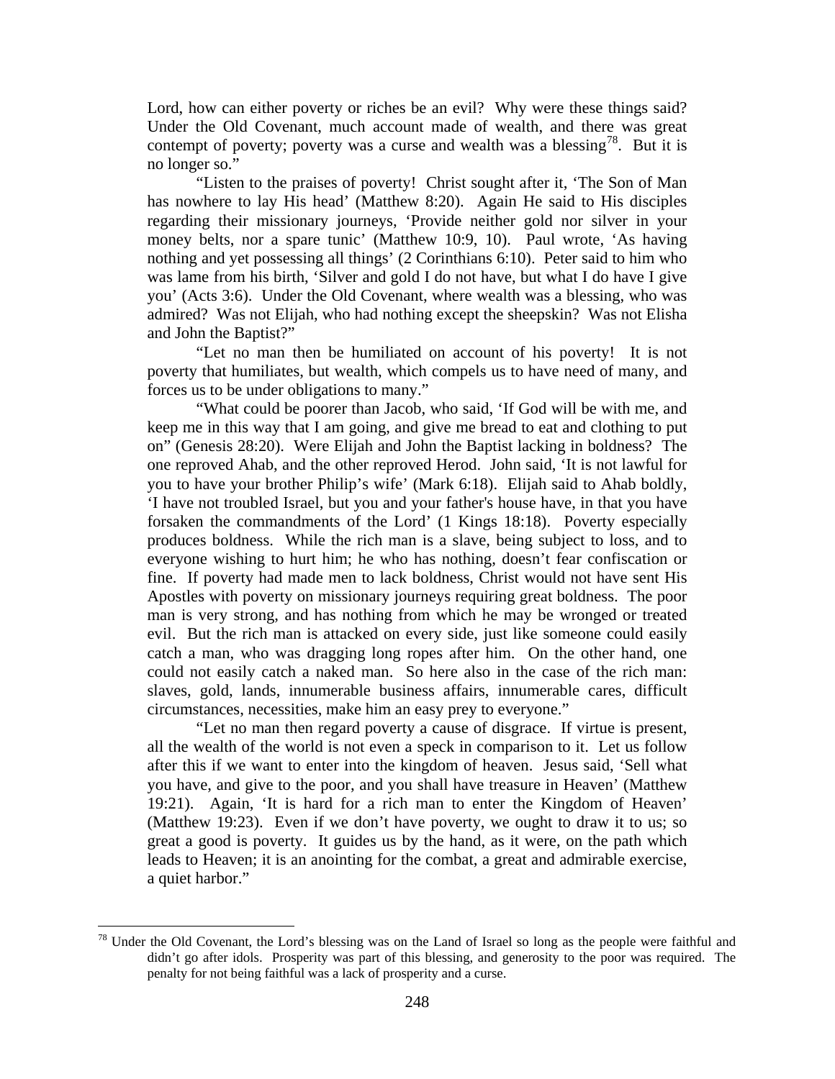Lord, how can either poverty or riches be an evil? Why were these things said? Under the Old Covenant, much account made of wealth, and there was great contempt of poverty; poverty was a curse and wealth was a blessing<sup>[78](#page-44-0)</sup>. But it is no longer so."

"Listen to the praises of poverty! Christ sought after it, 'The Son of Man has nowhere to lay His head' (Matthew 8:20). Again He said to His disciples regarding their missionary journeys, 'Provide neither gold nor silver in your money belts, nor a spare tunic' (Matthew 10:9, 10). Paul wrote, 'As having nothing and yet possessing all things' (2 Corinthians 6:10). Peter said to him who was lame from his birth, 'Silver and gold I do not have, but what I do have I give you' (Acts 3:6). Under the Old Covenant, where wealth was a blessing, who was admired? Was not Elijah, who had nothing except the sheepskin? Was not Elisha and John the Baptist?"

"Let no man then be humiliated on account of his poverty! It is not poverty that humiliates, but wealth, which compels us to have need of many, and forces us to be under obligations to many."

"What could be poorer than Jacob, who said, 'If God will be with me, and keep me in this way that I am going, and give me bread to eat and clothing to put on" (Genesis 28:20). Were Elijah and John the Baptist lacking in boldness? The one reproved Ahab, and the other reproved Herod. John said, 'It is not lawful for you to have your brother Philip's wife' (Mark 6:18). Elijah said to Ahab boldly, 'I have not troubled Israel, but you and your father's house have, in that you have forsaken the commandments of the Lord' (1 Kings 18:18). Poverty especially produces boldness. While the rich man is a slave, being subject to loss, and to everyone wishing to hurt him; he who has nothing, doesn't fear confiscation or fine. If poverty had made men to lack boldness, Christ would not have sent His Apostles with poverty on missionary journeys requiring great boldness. The poor man is very strong, and has nothing from which he may be wronged or treated evil. But the rich man is attacked on every side, just like someone could easily catch a man, who was dragging long ropes after him. On the other hand, one could not easily catch a naked man. So here also in the case of the rich man: slaves, gold, lands, innumerable business affairs, innumerable cares, difficult circumstances, necessities, make him an easy prey to everyone."

"Let no man then regard poverty a cause of disgrace. If virtue is present, all the wealth of the world is not even a speck in comparison to it. Let us follow after this if we want to enter into the kingdom of heaven. Jesus said, 'Sell what you have, and give to the poor, and you shall have treasure in Heaven' (Matthew 19:21). Again, 'It is hard for a rich man to enter the Kingdom of Heaven' (Matthew 19:23). Even if we don't have poverty, we ought to draw it to us; so great a good is poverty. It guides us by the hand, as it were, on the path which leads to Heaven; it is an anointing for the combat, a great and admirable exercise, a quiet harbor."

<span id="page-44-0"></span> $78$  Under the Old Covenant, the Lord's blessing was on the Land of Israel so long as the people were faithful and didn't go after idols. Prosperity was part of this blessing, and generosity to the poor was required. The penalty for not being faithful was a lack of prosperity and a curse.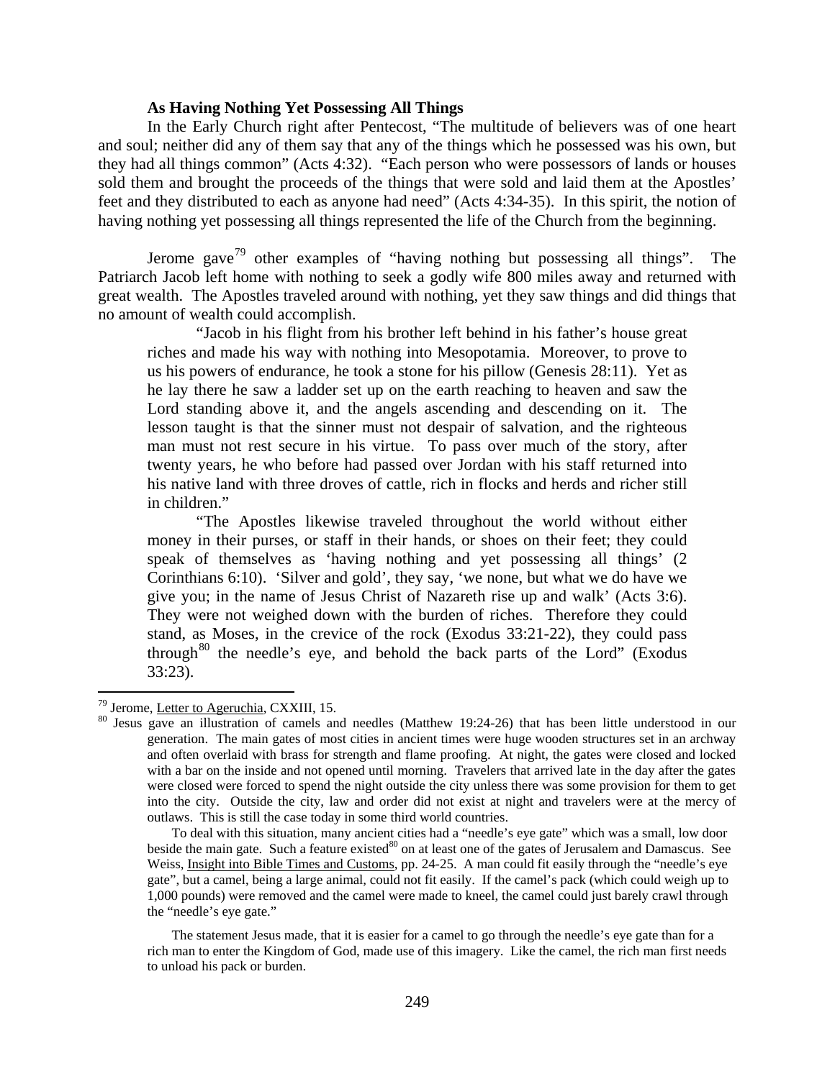### **As Having Nothing Yet Possessing All Things**

<span id="page-45-0"></span>In the Early Church right after Pentecost, "The multitude of believers was of one heart and soul; neither did any of them say that any of the things which he possessed was his own, but they had all things common" (Acts 4:32). "Each person who were possessors of lands or houses sold them and brought the proceeds of the things that were sold and laid them at the Apostles' feet and they distributed to each as anyone had need" (Acts 4:34-35). In this spirit, the notion of having nothing yet possessing all things represented the life of the Church from the beginning.

Jerome gave<sup>[79](#page-45-1)</sup> other examples of "having nothing but possessing all things". The Patriarch Jacob left home with nothing to seek a godly wife 800 miles away and returned with great wealth. The Apostles traveled around with nothing, yet they saw things and did things that no amount of wealth could accomplish.

"Jacob in his flight from his brother left behind in his father's house great riches and made his way with nothing into Mesopotamia. Moreover, to prove to us his powers of endurance, he took a stone for his pillow (Genesis 28:11). Yet as he lay there he saw a ladder set up on the earth reaching to heaven and saw the Lord standing above it, and the angels ascending and descending on it. The lesson taught is that the sinner must not despair of salvation, and the righteous man must not rest secure in his virtue. To pass over much of the story, after twenty years, he who before had passed over Jordan with his staff returned into his native land with three droves of cattle, rich in flocks and herds and richer still in children."

"The Apostles likewise traveled throughout the world without either money in their purses, or staff in their hands, or shoes on their feet; they could speak of themselves as 'having nothing and yet possessing all things' (2 Corinthians 6:10). 'Silver and gold', they say, 'we none, but what we do have we give you; in the name of Jesus Christ of Nazareth rise up and walk' (Acts 3:6). They were not weighed down with the burden of riches. Therefore they could stand, as Moses, in the crevice of the rock (Exodus 33:21-22), they could pass through $80$  the needle's eye, and behold the back parts of the Lord" (Exodus 33:23).

<span id="page-45-2"></span><span id="page-45-1"></span><sup>&</sup>lt;sup>79</sup> Jerome, <u>Letter to Ageruchia</u>, CXXIII, 15.<br><sup>80</sup> Jesus gave an illustration of camels and needles (Matthew 19:24-26) that has been little understood in our generation. The main gates of most cities in ancient times were huge wooden structures set in an archway and often overlaid with brass for strength and flame proofing. At night, the gates were closed and locked with a bar on the inside and not opened until morning. Travelers that arrived late in the day after the gates were closed were forced to spend the night outside the city unless there was some provision for them to get into the city. Outside the city, law and order did not exist at night and travelers were at the mercy of outlaws. This is still the case today in some third world countries.

To deal with this situation, many ancient cities had a "needle's eye gate" which was a small, low door beside the main gate. Such a feature existed<sup>80</sup> on at least one of the gates of Jerusalem and Damascus. See Weiss, Insight into Bible Times and Customs, pp. 24-25. A man could fit easily through the "needle's eye gate", but a camel, being a large animal, could not fit easily. If the camel's pack (which could weigh up to 1,000 pounds) were removed and the camel were made to kneel, the camel could just barely crawl through the "needle's eye gate."

The statement Jesus made, that it is easier for a camel to go through the needle's eye gate than for a rich man to enter the Kingdom of God, made use of this imagery. Like the camel, the rich man first needs to unload his pack or burden.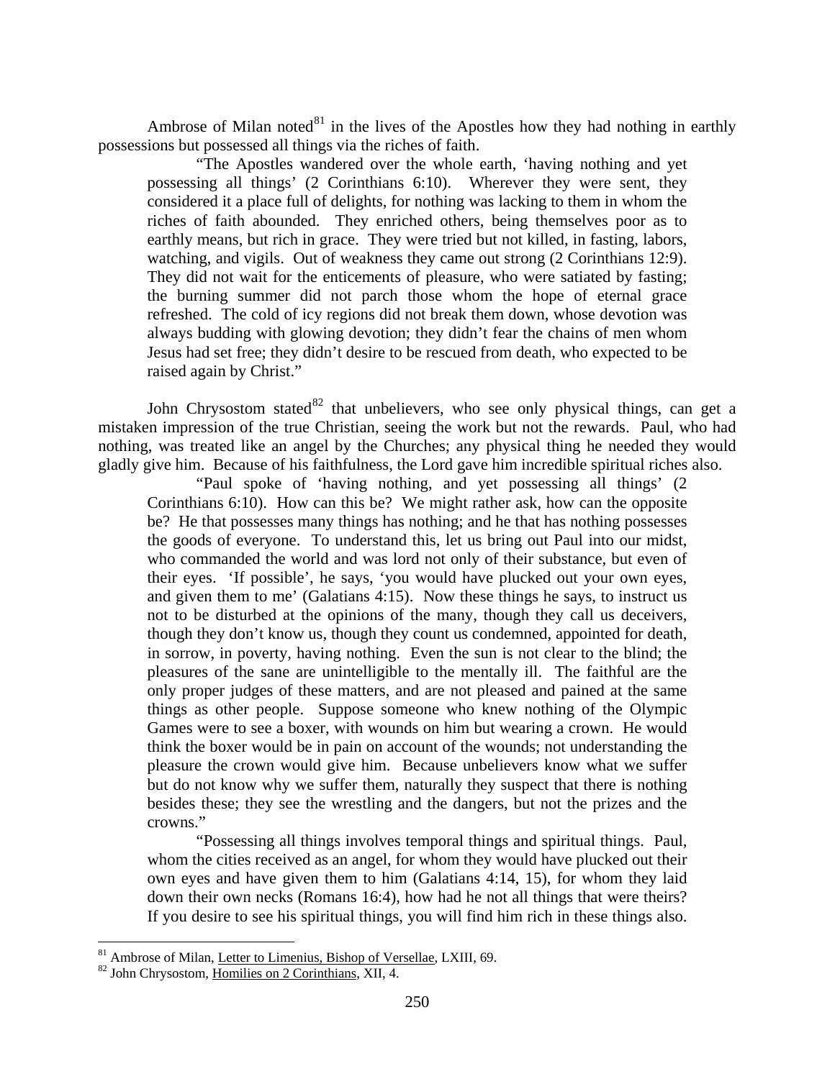Ambrose of Milan noted $81$  in the lives of the Apostles how they had nothing in earthly possessions but possessed all things via the riches of faith.

"The Apostles wandered over the whole earth, 'having nothing and yet possessing all things' (2 Corinthians 6:10). Wherever they were sent, they considered it a place full of delights, for nothing was lacking to them in whom the riches of faith abounded. They enriched others, being themselves poor as to earthly means, but rich in grace. They were tried but not killed, in fasting, labors, watching, and vigils. Out of weakness they came out strong (2 Corinthians 12:9). They did not wait for the enticements of pleasure, who were satiated by fasting; the burning summer did not parch those whom the hope of eternal grace refreshed. The cold of icy regions did not break them down, whose devotion was always budding with glowing devotion; they didn't fear the chains of men whom Jesus had set free; they didn't desire to be rescued from death, who expected to be raised again by Christ."

John Chrysostom stated  $82$  that unbelievers, who see only physical things, can get a mistaken impression of the true Christian, seeing the work but not the rewards. Paul, who had nothing, was treated like an angel by the Churches; any physical thing he needed they would gladly give him. Because of his faithfulness, the Lord gave him incredible spiritual riches also.

"Paul spoke of 'having nothing, and yet possessing all things' (2 Corinthians 6:10). How can this be? We might rather ask, how can the opposite be? He that possesses many things has nothing; and he that has nothing possesses the goods of everyone. To understand this, let us bring out Paul into our midst, who commanded the world and was lord not only of their substance, but even of their eyes. 'If possible', he says, 'you would have plucked out your own eyes, and given them to me' (Galatians 4:15). Now these things he says, to instruct us not to be disturbed at the opinions of the many, though they call us deceivers, though they don't know us, though they count us condemned, appointed for death, in sorrow, in poverty, having nothing. Even the sun is not clear to the blind; the pleasures of the sane are unintelligible to the mentally ill. The faithful are the only proper judges of these matters, and are not pleased and pained at the same things as other people. Suppose someone who knew nothing of the Olympic Games were to see a boxer, with wounds on him but wearing a crown. He would think the boxer would be in pain on account of the wounds; not understanding the pleasure the crown would give him. Because unbelievers know what we suffer but do not know why we suffer them, naturally they suspect that there is nothing besides these; they see the wrestling and the dangers, but not the prizes and the crowns."

"Possessing all things involves temporal things and spiritual things. Paul, whom the cities received as an angel, for whom they would have plucked out their own eyes and have given them to him (Galatians 4:14, 15), for whom they laid down their own necks (Romans 16:4), how had he not all things that were theirs? If you desire to see his spiritual things, you will find him rich in these things also.

<span id="page-46-1"></span><span id="page-46-0"></span><sup>&</sup>lt;sup>81</sup> Ambrose of Milan, <u>Letter to Limenius, Bishop of Versellae</u>, LXIII, 69. <sup>82</sup> John Chrysostom, Homilies on 2 Corinthians, XII, 4.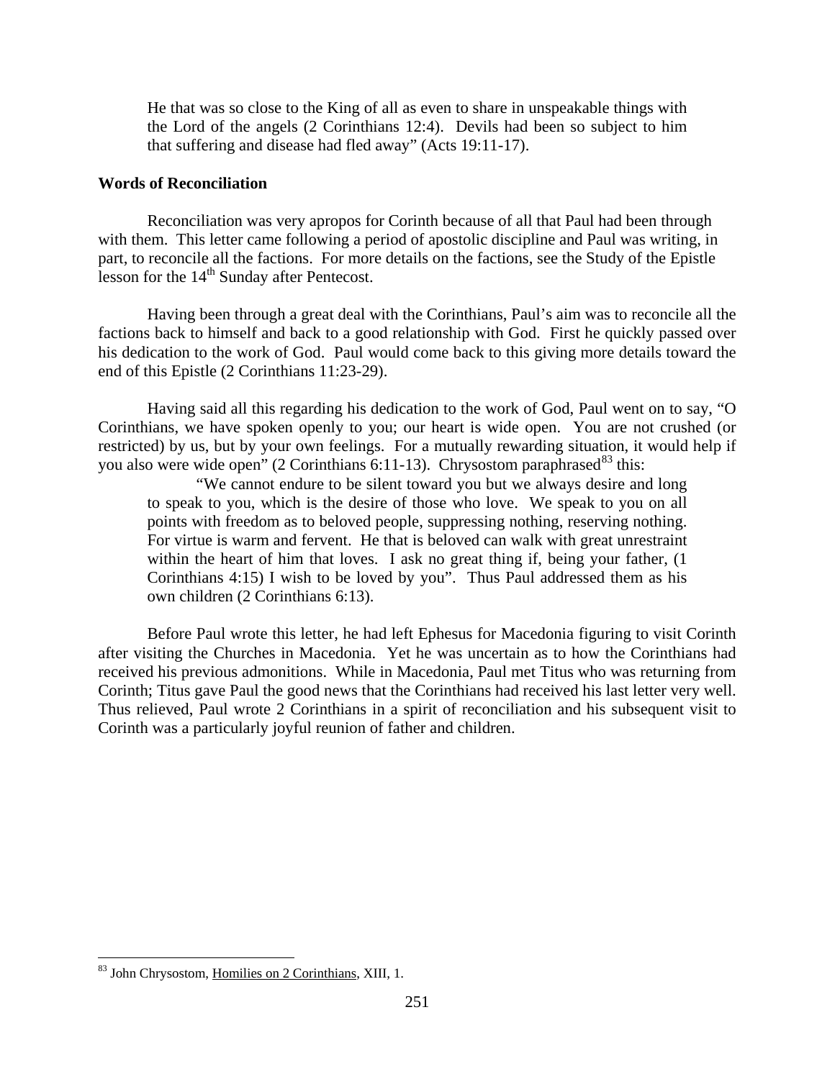He that was so close to the King of all as even to share in unspeakable things with the Lord of the angels (2 Corinthians 12:4). Devils had been so subject to him that suffering and disease had fled away" (Acts 19:11-17).

### <span id="page-47-0"></span>**Words of Reconciliation**

Reconciliation was very apropos for Corinth because of all that Paul had been through with them. This letter came following a period of apostolic discipline and Paul was writing, in part, to reconcile all the factions. For more details on the factions, see the Study of the Epistle lesson for the  $14<sup>th</sup>$  Sunday after Pentecost.

Having been through a great deal with the Corinthians, Paul's aim was to reconcile all the factions back to himself and back to a good relationship with God. First he quickly passed over his dedication to the work of God. Paul would come back to this giving more details toward the end of this Epistle (2 Corinthians 11:23-29).

Having said all this regarding his dedication to the work of God, Paul went on to say, "O Corinthians, we have spoken openly to you; our heart is wide open. You are not crushed (or restricted) by us, but by your own feelings. For a mutually rewarding situation, it would help if you also were wide open" (2 Corinthians 6:11-13). Chrysostom paraphrased  $83$  this:

"We cannot endure to be silent toward you but we always desire and long to speak to you, which is the desire of those who love. We speak to you on all points with freedom as to beloved people, suppressing nothing, reserving nothing. For virtue is warm and fervent. He that is beloved can walk with great unrestraint within the heart of him that loves. I ask no great thing if, being your father, (1) Corinthians 4:15) I wish to be loved by you". Thus Paul addressed them as his own children (2 Corinthians 6:13).

Before Paul wrote this letter, he had left Ephesus for Macedonia figuring to visit Corinth after visiting the Churches in Macedonia. Yet he was uncertain as to how the Corinthians had received his previous admonitions. While in Macedonia, Paul met Titus who was returning from Corinth; Titus gave Paul the good news that the Corinthians had received his last letter very well. Thus relieved, Paul wrote 2 Corinthians in a spirit of reconciliation and his subsequent visit to Corinth was a particularly joyful reunion of father and children.

<span id="page-47-1"></span> <sup>83</sup> John Chrysostom, Homilies on 2 Corinthians, XIII, 1.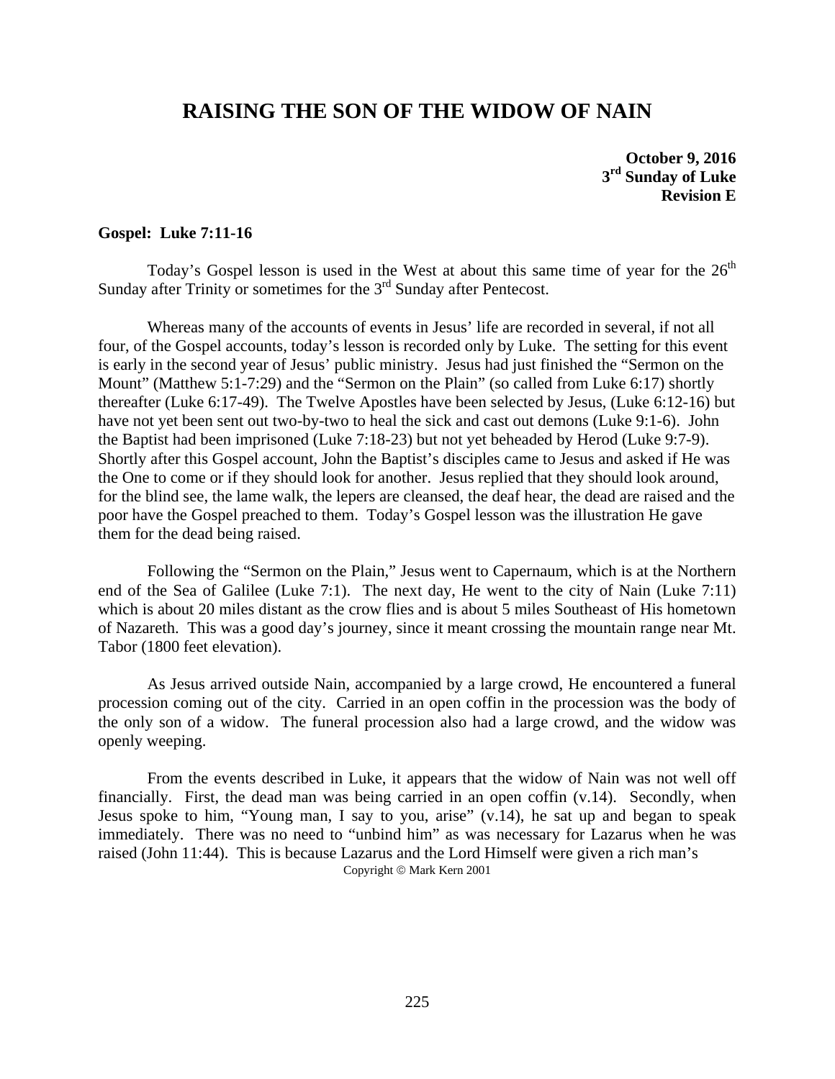# **RAISING THE SON OF THE WIDOW OF NAIN**

**October 9, 2016 3rd Sunday of Luke Revision E**

### **Gospel: Luke 7:11-16**

Today's Gospel lesson is used in the West at about this same time of year for the  $26<sup>th</sup>$ Sunday after Trinity or sometimes for the 3<sup>rd</sup> Sunday after Pentecost.

Whereas many of the accounts of events in Jesus' life are recorded in several, if not all four, of the Gospel accounts, today's lesson is recorded only by Luke. The setting for this event is early in the second year of Jesus' public ministry. Jesus had just finished the "Sermon on the Mount" (Matthew 5:1-7:29) and the "Sermon on the Plain" (so called from Luke 6:17) shortly thereafter (Luke 6:17-49). The Twelve Apostles have been selected by Jesus, (Luke 6:12-16) but have not yet been sent out two-by-two to heal the sick and cast out demons (Luke 9:1-6). John the Baptist had been imprisoned (Luke 7:18-23) but not yet beheaded by Herod (Luke 9:7-9). Shortly after this Gospel account, John the Baptist's disciples came to Jesus and asked if He was the One to come or if they should look for another. Jesus replied that they should look around, for the blind see, the lame walk, the lepers are cleansed, the deaf hear, the dead are raised and the poor have the Gospel preached to them. Today's Gospel lesson was the illustration He gave them for the dead being raised.

Following the "Sermon on the Plain," Jesus went to Capernaum, which is at the Northern end of the Sea of Galilee (Luke 7:1). The next day, He went to the city of Nain (Luke 7:11) which is about 20 miles distant as the crow flies and is about 5 miles Southeast of His hometown of Nazareth. This was a good day's journey, since it meant crossing the mountain range near Mt. Tabor (1800 feet elevation).

As Jesus arrived outside Nain, accompanied by a large crowd, He encountered a funeral procession coming out of the city. Carried in an open coffin in the procession was the body of the only son of a widow. The funeral procession also had a large crowd, and the widow was openly weeping.

From the events described in Luke, it appears that the widow of Nain was not well off financially. First, the dead man was being carried in an open coffin (v.14). Secondly, when Jesus spoke to him, "Young man, I say to you, arise" (v.14), he sat up and began to speak immediately. There was no need to "unbind him" as was necessary for Lazarus when he was raised (John 11:44). This is because Lazarus and the Lord Himself were given a rich man's Copyright © Mark Kern 2001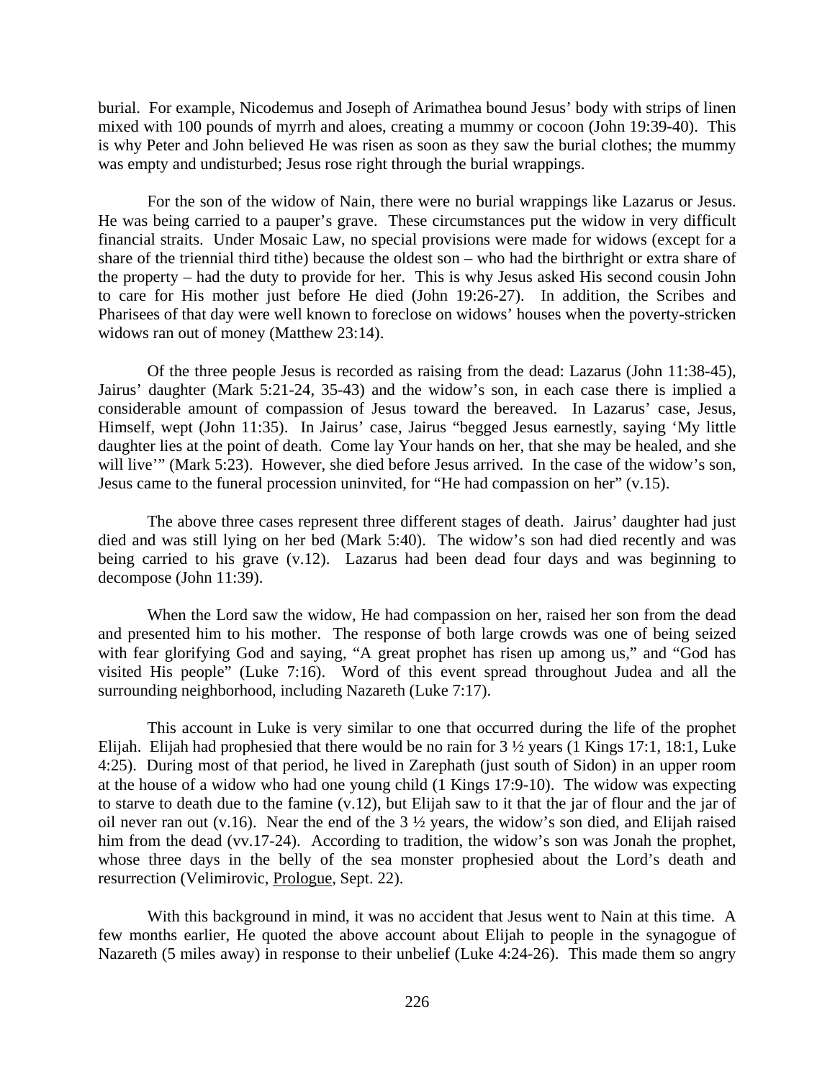burial. For example, Nicodemus and Joseph of Arimathea bound Jesus' body with strips of linen mixed with 100 pounds of myrrh and aloes, creating a mummy or cocoon (John 19:39-40). This is why Peter and John believed He was risen as soon as they saw the burial clothes; the mummy was empty and undisturbed; Jesus rose right through the burial wrappings.

For the son of the widow of Nain, there were no burial wrappings like Lazarus or Jesus. He was being carried to a pauper's grave. These circumstances put the widow in very difficult financial straits. Under Mosaic Law, no special provisions were made for widows (except for a share of the triennial third tithe) because the oldest son – who had the birthright or extra share of the property – had the duty to provide for her. This is why Jesus asked His second cousin John to care for His mother just before He died (John 19:26-27). In addition, the Scribes and Pharisees of that day were well known to foreclose on widows' houses when the poverty-stricken widows ran out of money (Matthew 23:14).

Of the three people Jesus is recorded as raising from the dead: Lazarus (John 11:38-45), Jairus' daughter (Mark 5:21-24, 35-43) and the widow's son, in each case there is implied a considerable amount of compassion of Jesus toward the bereaved. In Lazarus' case, Jesus, Himself, wept (John 11:35). In Jairus' case, Jairus "begged Jesus earnestly, saying 'My little daughter lies at the point of death. Come lay Your hands on her, that she may be healed, and she will live'" (Mark 5:23). However, she died before Jesus arrived. In the case of the widow's son, Jesus came to the funeral procession uninvited, for "He had compassion on her" (v.15).

The above three cases represent three different stages of death. Jairus' daughter had just died and was still lying on her bed (Mark 5:40). The widow's son had died recently and was being carried to his grave (v.12). Lazarus had been dead four days and was beginning to decompose (John 11:39).

When the Lord saw the widow, He had compassion on her, raised her son from the dead and presented him to his mother. The response of both large crowds was one of being seized with fear glorifying God and saying, "A great prophet has risen up among us," and "God has visited His people" (Luke 7:16). Word of this event spread throughout Judea and all the surrounding neighborhood, including Nazareth (Luke 7:17).

This account in Luke is very similar to one that occurred during the life of the prophet Elijah. Elijah had prophesied that there would be no rain for 3 ½ years (1 Kings 17:1, 18:1, Luke 4:25). During most of that period, he lived in Zarephath (just south of Sidon) in an upper room at the house of a widow who had one young child (1 Kings 17:9-10). The widow was expecting to starve to death due to the famine (v.12), but Elijah saw to it that the jar of flour and the jar of oil never ran out  $(v.16)$ . Near the end of the 3  $\frac{1}{2}$  years, the widow's son died, and Elijah raised him from the dead (vv.17-24). According to tradition, the widow's son was Jonah the prophet, whose three days in the belly of the sea monster prophesied about the Lord's death and resurrection (Velimirovic, Prologue, Sept. 22).

With this background in mind, it was no accident that Jesus went to Nain at this time. A few months earlier, He quoted the above account about Elijah to people in the synagogue of Nazareth (5 miles away) in response to their unbelief (Luke 4:24-26). This made them so angry